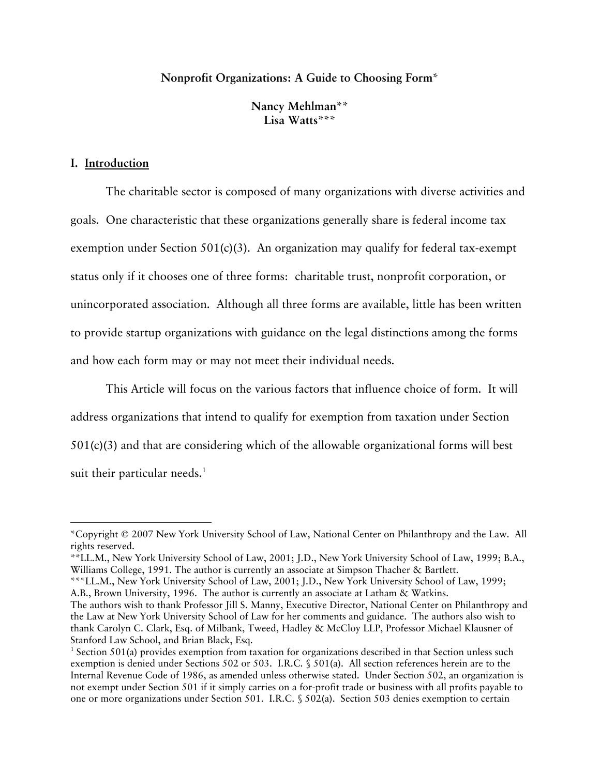# **Nonprofit Organizations: A Guide to Choosing Form\***

**Nancy Mehlman\*\* Lisa Watts\*\*\*** 

#### **I. Introduction**

 $\overline{a}$ 

The charitable sector is composed of many organizations with diverse activities and goals. One characteristic that these organizations generally share is federal income tax exemption under Section  $501(c)(3)$ . An organization may qualify for federal tax-exempt status only if it chooses one of three forms: charitable trust, nonprofit corporation, or unincorporated association. Although all three forms are available, little has been written to provide startup organizations with guidance on the legal distinctions among the forms and how each form may or may not meet their individual needs.

This Article will focus on the various factors that influence choice of form. It will address organizations that intend to qualify for exemption from taxation under Section 501(c)(3) and that are considering which of the allowable organizational forms will best suit their particular needs. $<sup>1</sup>$ </sup>

<sup>\*</sup>Copyright © 2007 New York University School of Law, National Center on Philanthropy and the Law. All rights reserved.

<sup>\*\*</sup>LL.M., New York University School of Law, 2001; J.D., New York University School of Law, 1999; B.A., Williams College, 1991. The author is currently an associate at Simpson Thacher & Bartlett.

<sup>\*\*\*</sup>LL.M., New York University School of Law, 2001; J.D., New York University School of Law, 1999; A.B., Brown University, 1996. The author is currently an associate at Latham & Watkins. The authors wish to thank Professor Jill S. Manny, Executive Director, National Center on Philanthropy and the Law at New York University School of Law for her comments and guidance. The authors also wish to thank Carolyn C. Clark, Esq. of Milbank, Tweed, Hadley & McCloy LLP, Professor Michael Klausner of Stanford Law School, and Brian Black, Esq.

<sup>&</sup>lt;sup>1</sup> Section 501(a) provides exemption from taxation for organizations described in that Section unless such exemption is denied under Sections 502 or 503. I.R.C. § 501(a). All section references herein are to the Internal Revenue Code of 1986, as amended unless otherwise stated. Under Section 502, an organization is not exempt under Section 501 if it simply carries on a for-profit trade or business with all profits payable to one or more organizations under Section 501. I.R.C. § 502(a). Section 503 denies exemption to certain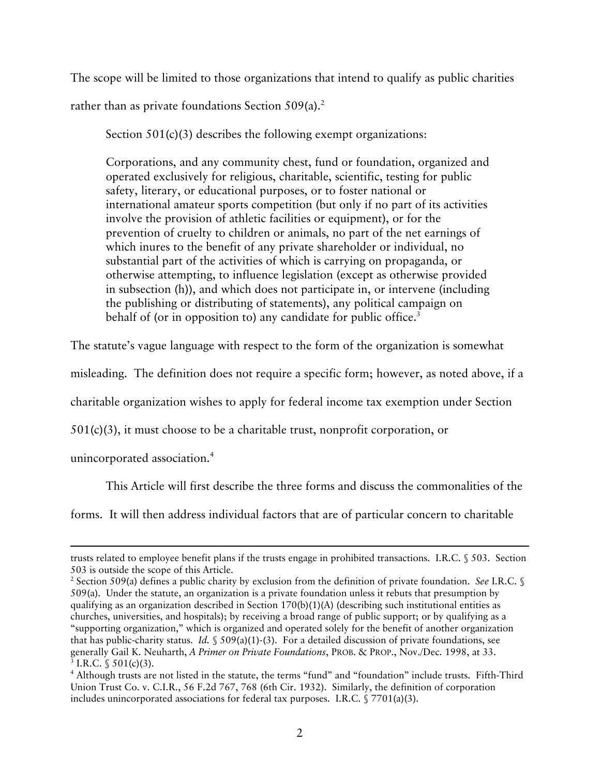The scope will be limited to those organizations that intend to qualify as public charities rather than as private foundations Section  $509(a)$ <sup>2</sup>

Section 501(c)(3) describes the following exempt organizations:

Corporations, and any community chest, fund or foundation, organized and operated exclusively for religious, charitable, scientific, testing for public safety, literary, or educational purposes, or to foster national or international amateur sports competition (but only if no part of its activities involve the provision of athletic facilities or equipment), or for the prevention of cruelty to children or animals, no part of the net earnings of which inures to the benefit of any private shareholder or individual, no substantial part of the activities of which is carrying on propaganda, or otherwise attempting, to influence legislation (except as otherwise provided in subsection (h)), and which does not participate in, or intervene (including the publishing or distributing of statements), any political campaign on behalf of (or in opposition to) any candidate for public office.<sup>3</sup>

The statute's vague language with respect to the form of the organization is somewhat

misleading. The definition does not require a specific form; however, as noted above, if a

charitable organization wishes to apply for federal income tax exemption under Section

501(c)(3), it must choose to be a charitable trust, nonprofit corporation, or

unincorporated association.4

 $\overline{a}$ 

This Article will first describe the three forms and discuss the commonalities of the

forms. It will then address individual factors that are of particular concern to charitable

trusts related to employee benefit plans if the trusts engage in prohibited transactions. I.R.C. § 503. Section 503 is outside the scope of this Article. 2

<sup>&</sup>lt;sup>2</sup> Section 509(a) defines a public charity by exclusion from the definition of private foundation. *See* I.R.C. § 509(a). Under the statute, an organization is a private foundation unless it rebuts that presumption by qualifying as an organization described in Section  $170(b)(1)(A)$  (describing such institutional entities as churches, universities, and hospitals); by receiving a broad range of public support; or by qualifying as a "supporting organization," which is organized and operated solely for the benefit of another organization that has public-charity status. *Id.* § 509(a)(1)-(3). For a detailed discussion of private foundations, see generally Gail K. Neuharth, *A Primer on Private Foundations*, PROB. & PROP., Nov./Dec. 1998, at 33. 3 <sup>3</sup> I.R.C. § 501(c)(3).

Although trusts are not listed in the statute, the terms "fund" and "foundation" include trusts. Fifth-Third Union Trust Co. v. C.I.R., 56 F.2d 767, 768 (6th Cir. 1932). Similarly, the definition of corporation includes unincorporated associations for federal tax purposes. I.R.C. § 7701(a)(3).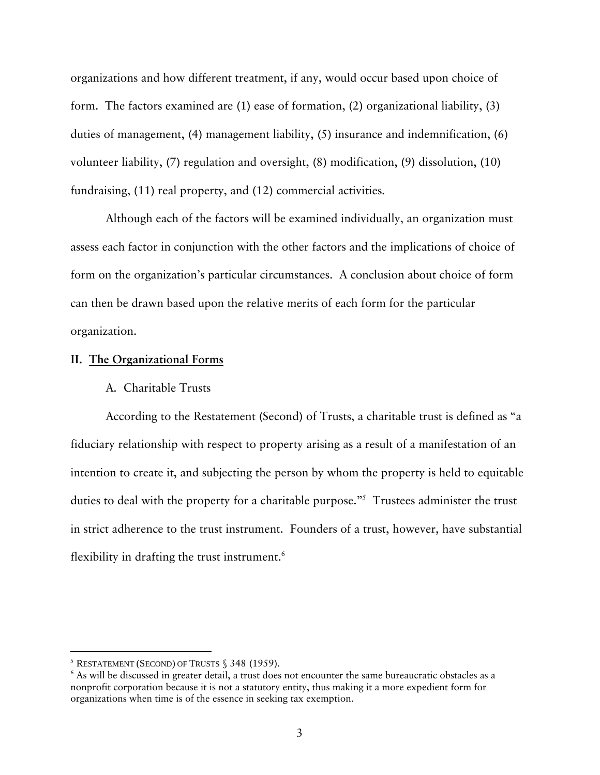organizations and how different treatment, if any, would occur based upon choice of form. The factors examined are (1) ease of formation, (2) organizational liability, (3) duties of management, (4) management liability, (5) insurance and indemnification, (6) volunteer liability, (7) regulation and oversight, (8) modification, (9) dissolution, (10) fundraising, (11) real property, and (12) commercial activities.

Although each of the factors will be examined individually, an organization must assess each factor in conjunction with the other factors and the implications of choice of form on the organization's particular circumstances. A conclusion about choice of form can then be drawn based upon the relative merits of each form for the particular organization.

#### **II. The Organizational Forms**

## A. Charitable Trusts

According to the Restatement (Second) of Trusts, a charitable trust is defined as "a fiduciary relationship with respect to property arising as a result of a manifestation of an intention to create it, and subjecting the person by whom the property is held to equitable duties to deal with the property for a charitable purpose."<sup>5</sup> Trustees administer the trust in strict adherence to the trust instrument. Founders of a trust, however, have substantial flexibility in drafting the trust instrument. $6$ 

 $5$  RESTATEMENT (SECOND) OF TRUSTS  $$348$  (1959).

<sup>&</sup>lt;sup>6</sup> As will be discussed in greater detail, a trust does not encounter the same bureaucratic obstacles as a nonprofit corporation because it is not a statutory entity, thus making it a more expedient form for organizations when time is of the essence in seeking tax exemption.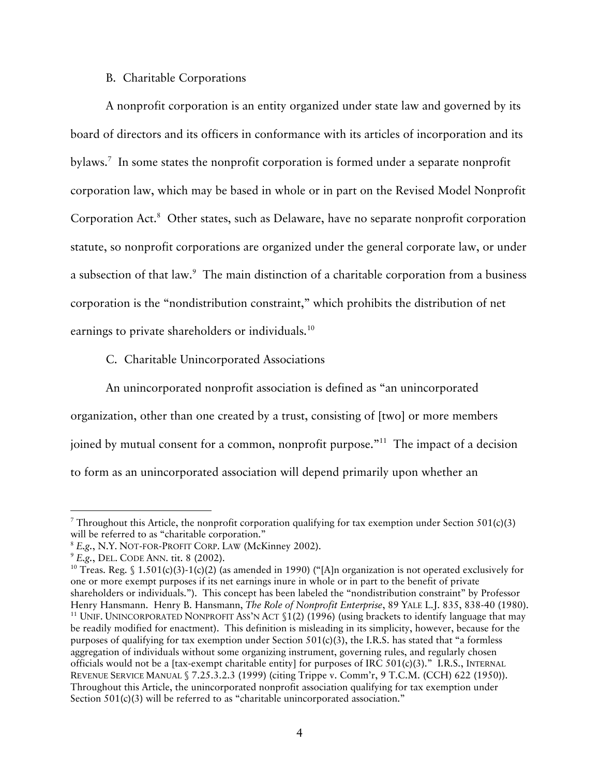# B. Charitable Corporations

A nonprofit corporation is an entity organized under state law and governed by its board of directors and its officers in conformance with its articles of incorporation and its bylaws.<sup>7</sup> In some states the nonprofit corporation is formed under a separate nonprofit corporation law, which may be based in whole or in part on the Revised Model Nonprofit Corporation Act.<sup>8</sup> Other states, such as Delaware, have no separate nonprofit corporation statute, so nonprofit corporations are organized under the general corporate law, or under a subsection of that law.<sup>9</sup> The main distinction of a charitable corporation from a business corporation is the "nondistribution constraint," which prohibits the distribution of net earnings to private shareholders or individuals.<sup>10</sup>

C. Charitable Unincorporated Associations

An unincorporated nonprofit association is defined as "an unincorporated organization, other than one created by a trust, consisting of [two] or more members joined by mutual consent for a common, nonprofit purpose."11 The impact of a decision to form as an unincorporated association will depend primarily upon whether an

<sup>—&</sup>lt;br>7 <sup>7</sup> Throughout this Article, the nonprofit corporation qualifying for tax exemption under Section 501(c)(3) will be referred to as "charitable corporation."<br>
<sup>8</sup> E.g., N.Y. NOT-FOR-PROFIT CORP. LAW (McKinney 2002).<br>
<sup>9</sup> E.g., DEL. CODE ANN. tit. 8 (2002).<br>
<sup>10</sup> Treas. Reg. § 1.501(c)(3)-1(c)(2) (as amended in 1990) ("[A]n organ

one or more exempt purposes if its net earnings inure in whole or in part to the benefit of private shareholders or individuals."). This concept has been labeled the "nondistribution constraint" by Professor Henry Hansmann. Henry B. Hansmann, *The Role of Nonprofit Enterprise*, 89 YALE L.J. 835, 838-40 (1980).<br><sup>11</sup> UNIF. UNINCORPORATED NONPROFIT ASS'N ACT §1(2) (1996) (using brackets to identify language that may be readily modified for enactment). This definition is misleading in its simplicity, however, because for the purposes of qualifying for tax exemption under Section  $501(c)(3)$ , the I.R.S. has stated that "a formless" aggregation of individuals without some organizing instrument, governing rules, and regularly chosen officials would not be a [tax-exempt charitable entity] for purposes of IRC 501(c)(3)." I.R.S., INTERNAL REVENUE SERVICE MANUAL § 7.25.3.2.3 (1999) (citing Trippe v. Comm'r, 9 T.C.M. (CCH) 622 (1950)). Throughout this Article, the unincorporated nonprofit association qualifying for tax exemption under Section 501(c)(3) will be referred to as "charitable unincorporated association."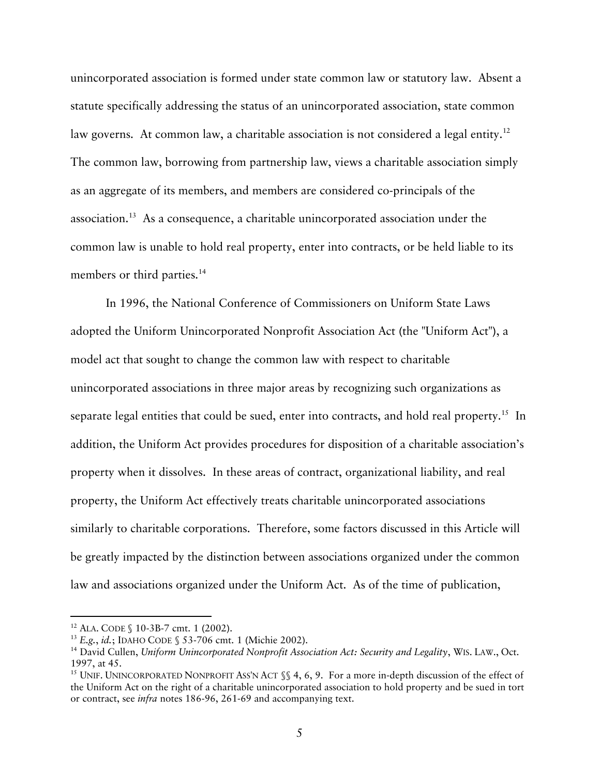unincorporated association is formed under state common law or statutory law. Absent a statute specifically addressing the status of an unincorporated association, state common law governs. At common law, a charitable association is not considered a legal entity.<sup>12</sup> The common law, borrowing from partnership law, views a charitable association simply as an aggregate of its members, and members are considered co-principals of the association.13 As a consequence, a charitable unincorporated association under the common law is unable to hold real property, enter into contracts, or be held liable to its members or third parties.<sup>14</sup>

In 1996, the National Conference of Commissioners on Uniform State Laws adopted the Uniform Unincorporated Nonprofit Association Act (the "Uniform Act"), a model act that sought to change the common law with respect to charitable unincorporated associations in three major areas by recognizing such organizations as separate legal entities that could be sued, enter into contracts, and hold real property.<sup>15</sup> In addition, the Uniform Act provides procedures for disposition of a charitable association's property when it dissolves. In these areas of contract, organizational liability, and real property, the Uniform Act effectively treats charitable unincorporated associations similarly to charitable corporations. Therefore, some factors discussed in this Article will be greatly impacted by the distinction between associations organized under the common law and associations organized under the Uniform Act. As of the time of publication,

<sup>&</sup>lt;sup>12</sup> ALA. CODE § 10-3B-7 cmt. 1 (2002).<br><sup>13</sup> *E.g., id.*; IDAHO CODE § 53-706 cmt. 1 (Michie 2002).<br><sup>14</sup> David Cullen, *Uniform Unincorporated Nonprofit Association Act: Security and Legality*, WIS. LAW., Oct. 1997, at 45.

<sup>&</sup>lt;sup>15</sup> UNIF. UNINCORPORATED NONPROFIT ASS'N ACT  $\$  4, 6, 9. For a more in-depth discussion of the effect of the Uniform Act on the right of a charitable unincorporated association to hold property and be sued in tort or contract, see *infra* notes 186-96, 261-69 and accompanying text.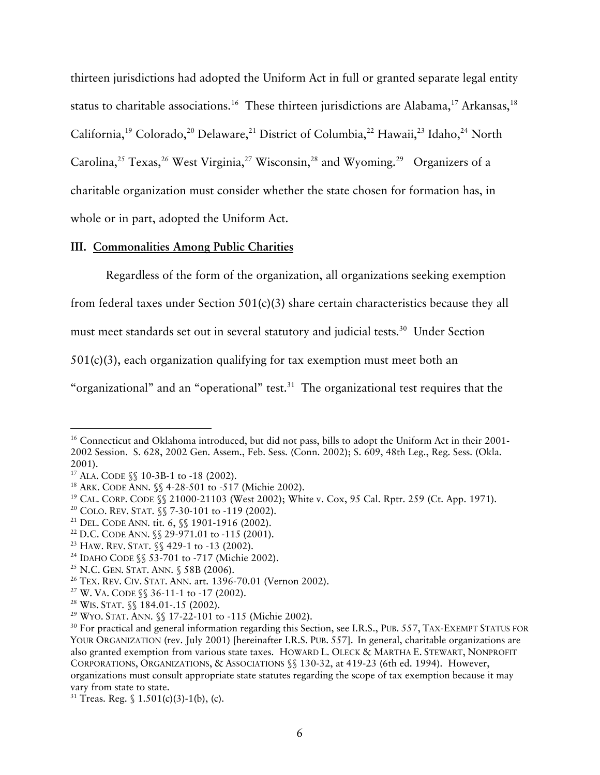thirteen jurisdictions had adopted the Uniform Act in full or granted separate legal entity status to charitable associations.<sup>16</sup> These thirteen jurisdictions are Alabama,<sup>17</sup> Arkansas,<sup>18</sup> California,<sup>19</sup> Colorado,<sup>20</sup> Delaware,<sup>21</sup> District of Columbia,<sup>22</sup> Hawaii,<sup>23</sup> Idaho,<sup>24</sup> North Carolina,<sup>25</sup> Texas,<sup>26</sup> West Virginia,<sup>27</sup> Wisconsin,<sup>28</sup> and Wyoming.<sup>29</sup> Organizers of a charitable organization must consider whether the state chosen for formation has, in whole or in part, adopted the Uniform Act.

# **III. Commonalities Among Public Charities**

Regardless of the form of the organization, all organizations seeking exemption

from federal taxes under Section 501(c)(3) share certain characteristics because they all

must meet standards set out in several statutory and judicial tests.<sup>30</sup> Under Section

501(c)(3), each organization qualifying for tax exemption must meet both an

"organizational" and an "operational" test.<sup>31</sup> The organizational test requires that the

<sup>&</sup>lt;sup>16</sup> Connecticut and Oklahoma introduced, but did not pass, bills to adopt the Uniform Act in their 2001-2002 Session. S. 628, 2002 Gen. Assem., Feb. Sess. (Conn. 2002); S. 609, 48th Leg., Reg. Sess. (Okla.

<sup>2001).&</sup>lt;br><sup>17</sup> ALA. CODE §§ 10-3B-1 to -18 (2002).<br><sup>18</sup> ARK. CODE §§ 10-3B-1 to -18 (2002).<br><sup>19</sup> CAL. CORP. CODE §§ 21000-21103 (West 2002); White v. Cox, 95 Cal. Rptr. 259 (Ct. App. 1971).<br><sup>20</sup> COLO. REV. STAT. §§ 7-30-101 t

YOUR ORGANIZATION (rev. July 2001) [hereinafter I.R.S. PUB. 557]. In general, charitable organizations are also granted exemption from various state taxes. HOWARD L. OLECK & MARTHA E. STEWART, NONPROFIT CORPORATIONS, ORGANIZATIONS, & ASSOCIATIONS §§ 130-32, at 419-23 (6th ed. 1994). However, organizations must consult appropriate state statutes regarding the scope of tax exemption because it may vary from state to state.<br><sup>31</sup> Treas. Reg. § 1.501(c)(3)-1(b), (c).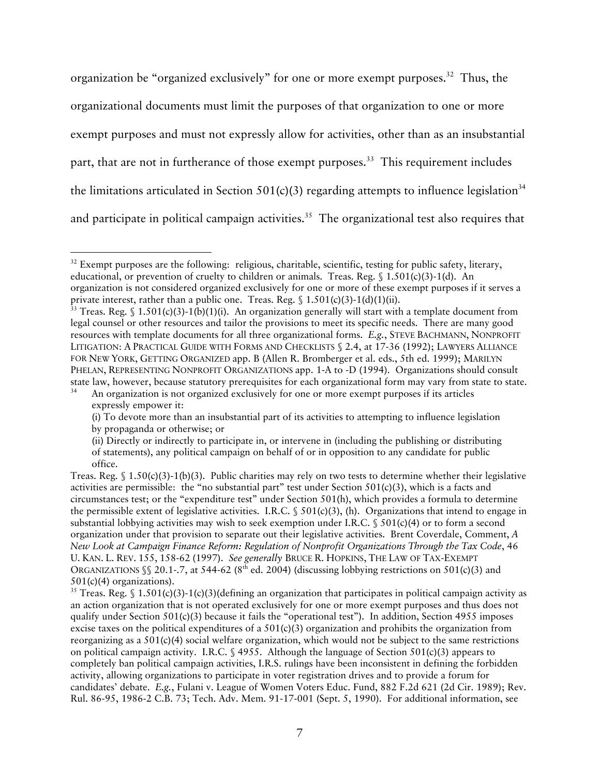organization be "organized exclusively" for one or more exempt purposes.<sup>32</sup> Thus, the organizational documents must limit the purposes of that organization to one or more exempt purposes and must not expressly allow for activities, other than as an insubstantial part, that are not in furtherance of those exempt purposes.<sup>33</sup> This requirement includes the limitations articulated in Section  $501(c)(3)$  regarding attempts to influence legislation<sup>34</sup> and participate in political campaign activities.<sup>35</sup> The organizational test also requires that

<sup>&</sup>lt;sup>32</sup> Exempt purposes are the following: religious, charitable, scientific, testing for public safety, literary, educational, or prevention of cruelty to children or animals. Treas. Reg.  $\$ 1.501(c)(3)-1(d). An organization is not considered organized exclusively for one or more of these exempt purposes if it serves a private interest, rather than a public one. Treas. Reg.  $\$ 1.501(c)(3)-1(d)(1)(ii)$ .<br><sup>33</sup> Treas. Reg.  $\$ 1.501(c)(3)-1(b)(1)(i)$ . An organization generally will start with a template document from

legal counsel or other resources and tailor the provisions to meet its specific needs. There are many good resources with template documents for all three organizational forms. *E.g.*, STEVE BACHMANN, NONPROFIT LITIGATION: A PRACTICAL GUIDE WITH FORMS AND CHECKLISTS § 2.4, at 17-36 (1992); LAWYERS ALLIANCE FOR NEW YORK, GETTING ORGANIZED app. B (Allen R. Bromberger et al. eds., 5th ed. 1999); MARILYN PHELAN, REPRESENTING NONPROFIT ORGANIZATIONS app. 1-A to -D (1994). Organizations should consult state law, however, because statutory prerequisites for each organizational form may vary from state to state.<br><sup>34</sup> An organization is not organized exclusively for one or more exempt purposes if its articles

expressly empower it:

<sup>(</sup>i) To devote more than an insubstantial part of its activities to attempting to influence legislation by propaganda or otherwise; or

<sup>(</sup>ii) Directly or indirectly to participate in, or intervene in (including the publishing or distributing of statements), any political campaign on behalf of or in opposition to any candidate for public office.

Treas. Reg.  $$ 1.50(c)(3)-1(b)(3)$ . Public charities may rely on two tests to determine whether their legislative activities are permissible: the "no substantial part" test under Section 501(c)(3), which is a facts and circumstances test; or the "expenditure test" under Section 501(h), which provides a formula to determine the permissible extent of legislative activities. I.R.C. § 501(c)(3), (h). Organizations that intend to engage in substantial lobbying activities may wish to seek exemption under I.R.C.  $\$501(c)(4)$  or to form a second organization under that provision to separate out their legislative activities. Brent Coverdale, Comment, *A New Look at Campaign Finance Reform: Regulation of Nonprofit Organizations Through the Tax Code*, 46 U. KAN. L. REV. 155, 158-62 (1997). *See generally* BRUCE R. HOPKINS, THE LAW OF TAX-EXEMPT ORGANIZATIONS  $\S$  20.1-.7, at 544-62 (8<sup>th</sup> ed. 2004) (discussing lobbying restrictions on 501(c)(3) and

<sup>501(</sup>c)(4) organizations).<br><sup>35</sup> Treas. Reg. § 1.501(c)(3)-1(c)(3)(defining an organization that participates in political campaign activity as an action organization that is not operated exclusively for one or more exempt purposes and thus does not qualify under Section  $501(c)(3)$  because it fails the "operational test"). In addition, Section 4955 imposes excise taxes on the political expenditures of a  $501(c)(3)$  organization and prohibits the organization from reorganizing as a  $501(c)(4)$  social welfare organization, which would not be subject to the same restrictions on political campaign activity. I.R.C. § 4955. Although the language of Section 501(c)(3) appears to completely ban political campaign activities, I.R.S. rulings have been inconsistent in defining the forbidden activity, allowing organizations to participate in voter registration drives and to provide a forum for candidates' debate. *E.g.*, Fulani v. League of Women Voters Educ. Fund, 882 F.2d 621 (2d Cir. 1989); Rev. Rul. 86-95, 1986-2 C.B. 73; Tech. Adv. Mem. 91-17-001 (Sept. 5, 1990). For additional information, see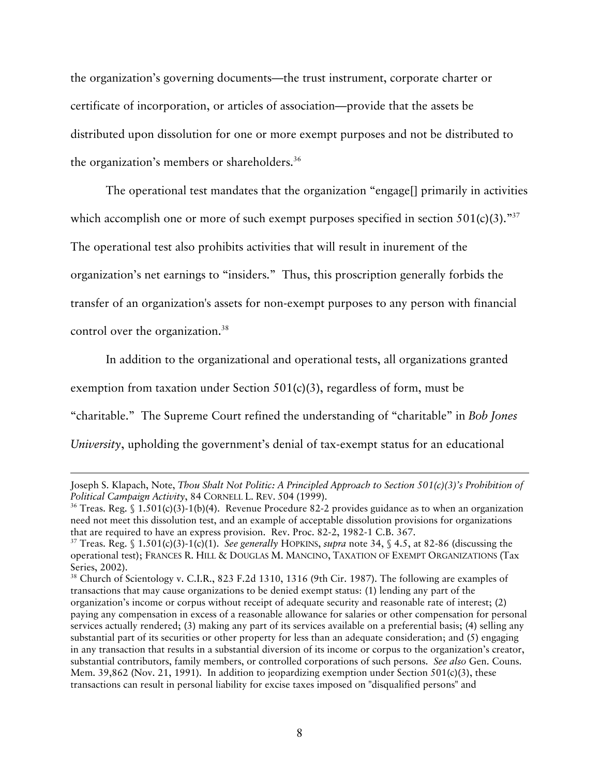the organization's governing documents—the trust instrument, corporate charter or certificate of incorporation, or articles of association—provide that the assets be distributed upon dissolution for one or more exempt purposes and not be distributed to the organization's members or shareholders.<sup>36</sup>

The operational test mandates that the organization "engage[] primarily in activities which accomplish one or more of such exempt purposes specified in section  $501(c)(3)$ ."<sup>37</sup> The operational test also prohibits activities that will result in inurement of the organization's net earnings to "insiders." Thus, this proscription generally forbids the transfer of an organization's assets for non-exempt purposes to any person with financial control over the organization.<sup>38</sup>

In addition to the organizational and operational tests, all organizations granted exemption from taxation under Section 501(c)(3), regardless of form, must be "charitable." The Supreme Court refined the understanding of "charitable" in *Bob Jones University*, upholding the government's denial of tax-exempt status for an educational

l

Joseph S. Klapach, Note, *Thou Shalt Not Politic: A Principled Approach to Section 501(c)(3)'s Prohibition of Political Campaign Activity*, 84 CORNELL L. REV. 504 (1999).<br><sup>36</sup> Treas. Reg. § 1.501(c)(3)-1(b)(4). Revenue Procedure 82-2 provides guidance as to when an organization

need not meet this dissolution test, and an example of acceptable dissolution provisions for organizations that are required to have an express provision. Rev. Proc. 82-2, 1982-1 C.B. 367.<br><sup>37</sup> Treas. Reg. § 1.501(c)(3)-1(c)(1). *See generally* HOPKINS, *supra* note 34, § 4.5, at 82-86 (discussing the

operational test); FRANCES R. HILL & DOUGLAS M. MANCINO, TAXATION OF EXEMPT ORGANIZATIONS (Tax Series, 2002).<br><sup>38</sup> Church of Scientology v. C.I.R., 823 F.2d 1310, 1316 (9th Cir. 1987). The following are examples of

transactions that may cause organizations to be denied exempt status: (1) lending any part of the organization's income or corpus without receipt of adequate security and reasonable rate of interest; (2) paying any compensation in excess of a reasonable allowance for salaries or other compensation for personal services actually rendered; (3) making any part of its services available on a preferential basis; (4) selling any substantial part of its securities or other property for less than an adequate consideration; and (5) engaging in any transaction that results in a substantial diversion of its income or corpus to the organization's creator, substantial contributors, family members, or controlled corporations of such persons. *See also* Gen. Couns. Mem. 39,862 (Nov. 21, 1991). In addition to jeopardizing exemption under Section 501(c)(3), these transactions can result in personal liability for excise taxes imposed on "disqualified persons" and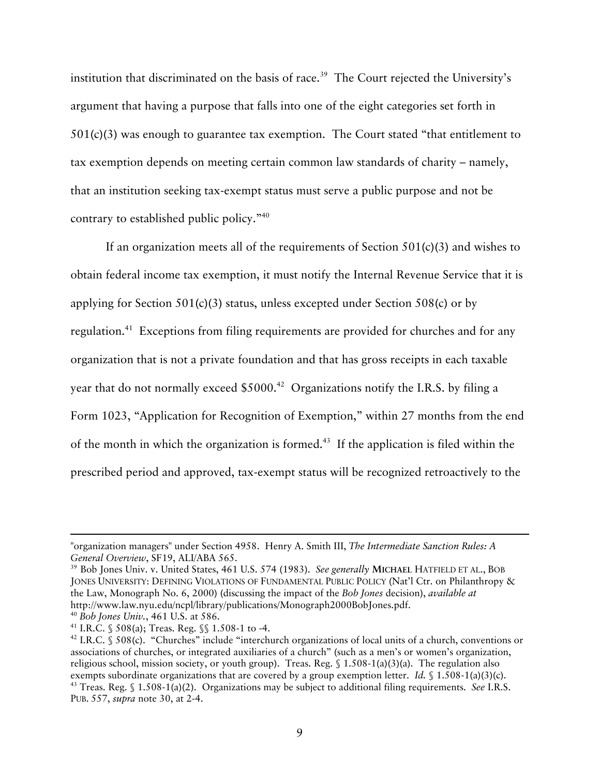institution that discriminated on the basis of race.<sup>39</sup> The Court rejected the University's argument that having a purpose that falls into one of the eight categories set forth in 501(c)(3) was enough to guarantee tax exemption. The Court stated "that entitlement to tax exemption depends on meeting certain common law standards of charity – namely, that an institution seeking tax-exempt status must serve a public purpose and not be contrary to established public policy."40

If an organization meets all of the requirements of Section  $501(c)(3)$  and wishes to obtain federal income tax exemption, it must notify the Internal Revenue Service that it is applying for Section 501(c)(3) status, unless excepted under Section 508(c) or by regulation.<sup>41</sup> Exceptions from filing requirements are provided for churches and for any organization that is not a private foundation and that has gross receipts in each taxable year that do not normally exceed  $$5000.<sup>42</sup>$  Organizations notify the I.R.S. by filing a Form 1023, "Application for Recognition of Exemption," within 27 months from the end of the month in which the organization is formed.43 If the application is filed within the prescribed period and approved, tax-exempt status will be recognized retroactively to the

-

<sup>&</sup>quot;organization managers" under Section 4958. Henry A. Smith III, *The Intermediate Sanction Rules: A General Overview*, SF19, ALI/ABA 565.<br><sup>39</sup> Bob Jones Univ. v. United States, 461 U.S. 574 (1983). *See generally MICHAEL HATFIELD ET AL.*, BOB

JONES UNIVERSITY: DEFINING VIOLATIONS OF FUNDAMENTAL PUBLIC POLICY (Nat'l Ctr. on Philanthropy & the Law, Monograph No. 6, 2000) (discussing the impact of the *Bob Jones* decision), *available at* http://www.law.nyu.edu/ncpl/library/publications/Monograph2000BobJones.pdf.<br><sup>40</sup> Bob Jones Univ., 461 U.S. at 586.<br><sup>41</sup> I.R.C. § 508(a); Treas. Reg. §§ 1.508-1 to -4.<br><sup>42</sup> I.R.C. § 508(c). "Churches" include "interchurch o

associations of churches, or integrated auxiliaries of a church" (such as a men's or women's organization, religious school, mission society, or youth group). Treas. Reg. § 1.508-1(a)(3)(a). The regulation also exempts subordinate organizations that are covered by a group exemption letter. *Id.* § 1.508-1(a)(3)(c). 43 Treas. Reg. § 1.508-1(a)(2). Organizations may be subject to additional filing requirements. *See* I.R.S. PUB. 557, *supra* note 30, at 2-4.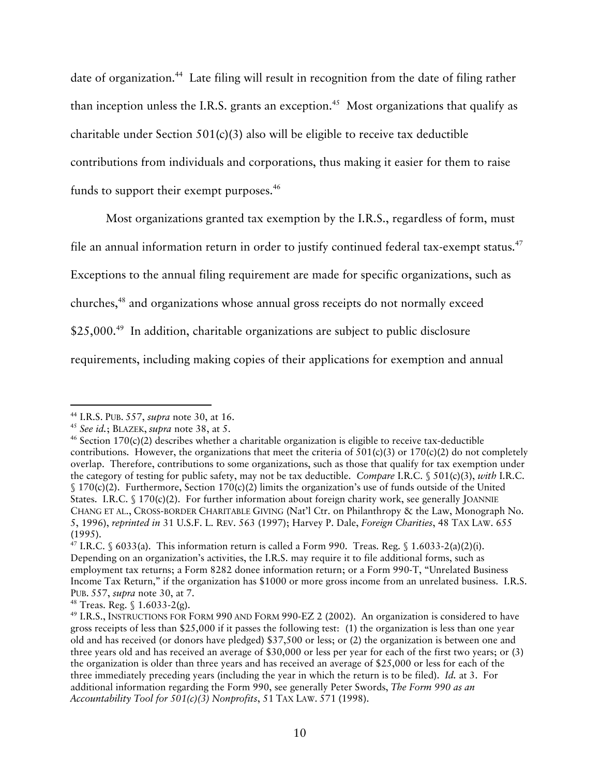date of organization.<sup>44</sup> Late filing will result in recognition from the date of filing rather than inception unless the I.R.S. grants an exception.<sup>45</sup> Most organizations that qualify as charitable under Section 501(c)(3) also will be eligible to receive tax deductible contributions from individuals and corporations, thus making it easier for them to raise funds to support their exempt purposes.<sup>46</sup>

Most organizations granted tax exemption by the I.R.S., regardless of form, must file an annual information return in order to justify continued federal tax-exempt status. 47 Exceptions to the annual filing requirement are made for specific organizations, such as churches,48 and organizations whose annual gross receipts do not normally exceed \$25,000.<sup>49</sup> In addition, charitable organizations are subject to public disclosure requirements, including making copies of their applications for exemption and annual

<sup>&</sup>lt;sup>44</sup> I.R.S. PUB. 557, *supra* note 30, at 16.<br><sup>45</sup> *See id.*; BLAZEK, *supra* note 38, at 5.<br><sup>46</sup> Section 170(c)(2) describes whether a charitable organization is eligible to receive tax-deductible contributions. However, the organizations that meet the criteria of  $501(c)(3)$  or  $170(c)(2)$  do not completely overlap. Therefore, contributions to some organizations, such as those that qualify for tax exemption under the category of testing for public safety, may not be tax deductible. *Compare* I.R.C. § 501(c)(3), *with* I.R.C.  $\{(170)(c)(2)\}$ . Furthermore, Section 170(c)(2) limits the organization's use of funds outside of the United States. I.R.C. § 170(c)(2). For further information about foreign charity work, see generally JOANNIE CHANG ET AL., CROSS-BORDER CHARITABLE GIVING (Nat'l Ctr. on Philanthropy & the Law, Monograph No. 5, 1996), *reprinted in* 31 U.S.F. L. REV. 563 (1997); Harvey P. Dale, *Foreign Charities*, 48 TAX LAW. 655 (1995).<br><sup>47</sup> I.R.C. § 6033(a). This information return is called a Form 990. Treas. Reg. § 1.6033-2(a)(2)(i).

Depending on an organization's activities, the I.R.S. may require it to file additional forms, such as employment tax returns; a Form 8282 donee information return; or a Form 990-T, "Unrelated Business Income Tax Return," if the organization has \$1000 or more gross income from an unrelated business. I.R.S. PUB. 557, *supra* note 30, at 7. 48 Treas. Reg. § 1.6033-2(g).

<sup>49</sup> I.R.S., INSTRUCTIONS FOR FORM 990 AND FORM 990-EZ 2 (2002). An organization is considered to have gross receipts of less than \$25,000 if it passes the following test: (1) the organization is less than one year old and has received (or donors have pledged) \$37,500 or less; or (2) the organization is between one and three years old and has received an average of \$30,000 or less per year for each of the first two years; or (3) the organization is older than three years and has received an average of \$25,000 or less for each of the three immediately preceding years (including the year in which the return is to be filed). *Id.* at 3. For additional information regarding the Form 990, see generally Peter Swords, *The Form 990 as an Accountability Tool for 501(c)(3) Nonprofits*, 51 TAX LAW. 571 (1998).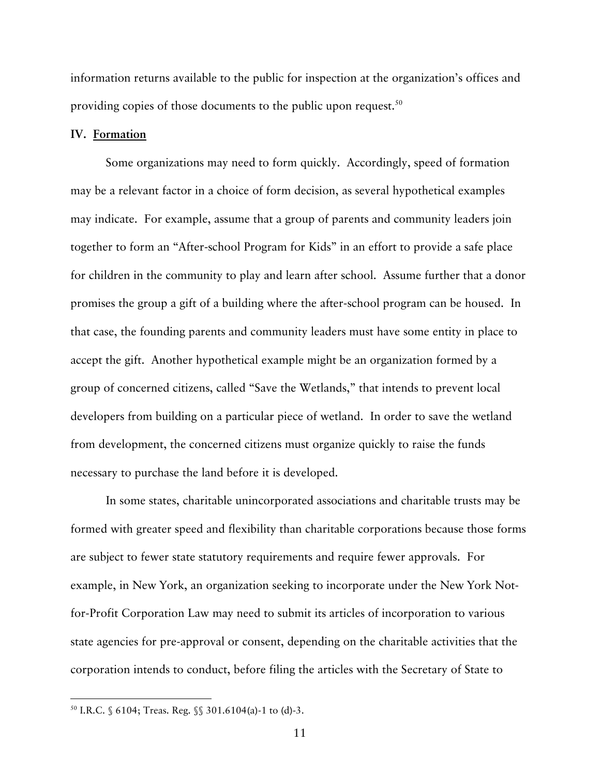information returns available to the public for inspection at the organization's offices and providing copies of those documents to the public upon request.<sup>50</sup>

### **IV. Formation**

Some organizations may need to form quickly. Accordingly, speed of formation may be a relevant factor in a choice of form decision, as several hypothetical examples may indicate. For example, assume that a group of parents and community leaders join together to form an "After-school Program for Kids" in an effort to provide a safe place for children in the community to play and learn after school. Assume further that a donor promises the group a gift of a building where the after-school program can be housed. In that case, the founding parents and community leaders must have some entity in place to accept the gift. Another hypothetical example might be an organization formed by a group of concerned citizens, called "Save the Wetlands," that intends to prevent local developers from building on a particular piece of wetland. In order to save the wetland from development, the concerned citizens must organize quickly to raise the funds necessary to purchase the land before it is developed.

In some states, charitable unincorporated associations and charitable trusts may be formed with greater speed and flexibility than charitable corporations because those forms are subject to fewer state statutory requirements and require fewer approvals. For example, in New York, an organization seeking to incorporate under the New York Notfor-Profit Corporation Law may need to submit its articles of incorporation to various state agencies for pre-approval or consent, depending on the charitable activities that the corporation intends to conduct, before filing the articles with the Secretary of State to

 <sup>50</sup> I.R.C. § 6104; Treas. Reg. §§ 301.6104(a)-1 to (d)-3.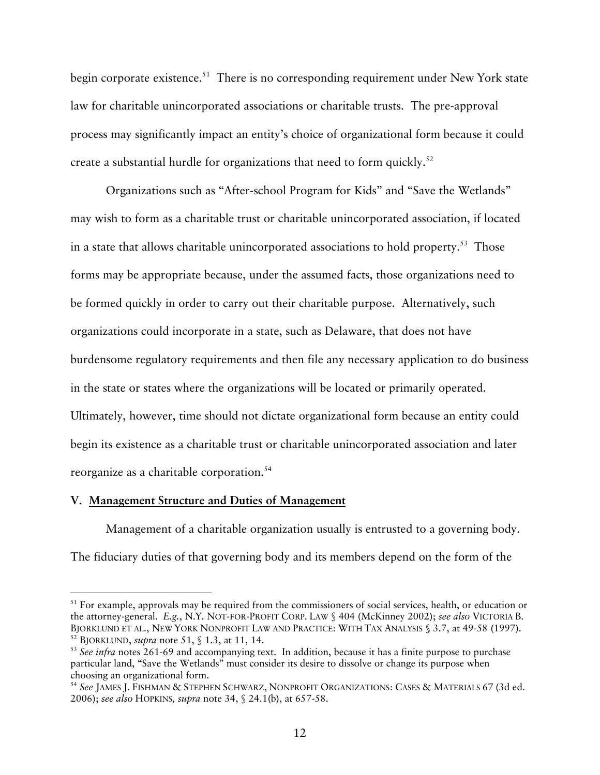begin corporate existence.<sup>51</sup> There is no corresponding requirement under New York state law for charitable unincorporated associations or charitable trusts. The pre-approval process may significantly impact an entity's choice of organizational form because it could create a substantial hurdle for organizations that need to form quickly. $52$ 

Organizations such as "After-school Program for Kids" and "Save the Wetlands" may wish to form as a charitable trust or charitable unincorporated association, if located in a state that allows charitable unincorporated associations to hold property.<sup>53</sup> Those forms may be appropriate because, under the assumed facts, those organizations need to be formed quickly in order to carry out their charitable purpose. Alternatively, such organizations could incorporate in a state, such as Delaware, that does not have burdensome regulatory requirements and then file any necessary application to do business in the state or states where the organizations will be located or primarily operated. Ultimately, however, time should not dictate organizational form because an entity could begin its existence as a charitable trust or charitable unincorporated association and later reorganize as a charitable corporation.<sup>54</sup>

# **V. Management Structure and Duties of Management**

Management of a charitable organization usually is entrusted to a governing body. The fiduciary duties of that governing body and its members depend on the form of the

<sup>&</sup>lt;sup>51</sup> For example, approvals may be required from the commissioners of social services, health, or education or the attorney-general. *E.g.*, N.Y. NOT-FOR-PROFIT CORP. LAW § 404 (McKinney 2002); *see also* VICTORIA B. <sup>52</sup> BJORKLUND, *supra* note 51, § 1.3, at 11, 14.<br><sup>53</sup> See infra notes 261-69 and accompanying text. In addition, because it has a finite purpose to purchase

particular land, "Save the Wetlands" must consider its desire to dissolve or change its purpose when choosing an organizational form.<br><sup>54</sup> See JAMES J. FISHMAN & STEPHEN SCHWARZ, NONPROFIT ORGANIZATIONS: CASES & MATERIALS 67 (3d ed.

<sup>2006);</sup> *see also* HOPKINS*, supra* note 34, § 24.1(b), at 657-58.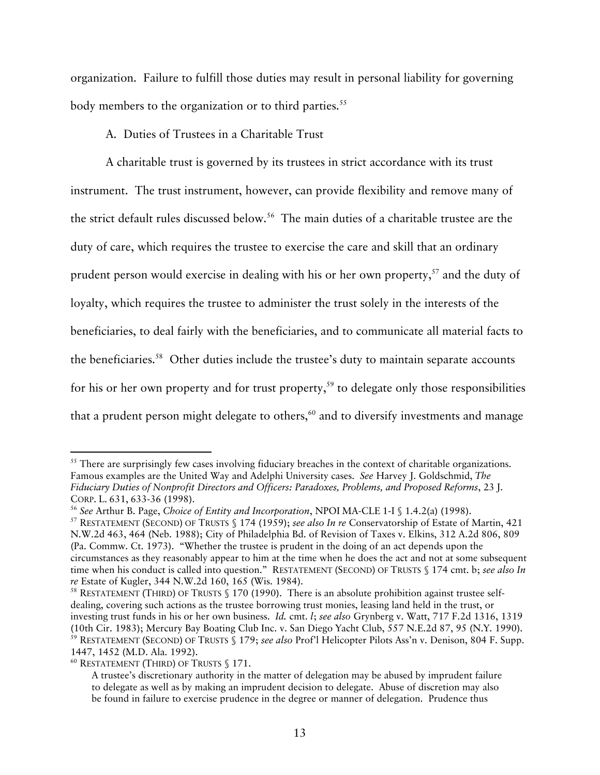organization. Failure to fulfill those duties may result in personal liability for governing body members to the organization or to third parties.<sup>55</sup>

A. Duties of Trustees in a Charitable Trust

A charitable trust is governed by its trustees in strict accordance with its trust instrument. The trust instrument, however, can provide flexibility and remove many of the strict default rules discussed below.<sup>56</sup> The main duties of a charitable trustee are the duty of care, which requires the trustee to exercise the care and skill that an ordinary prudent person would exercise in dealing with his or her own property,  $57$  and the duty of loyalty, which requires the trustee to administer the trust solely in the interests of the beneficiaries, to deal fairly with the beneficiaries, and to communicate all material facts to the beneficiaries.<sup>58</sup> Other duties include the trustee's duty to maintain separate accounts for his or her own property and for trust property,<sup>59</sup> to delegate only those responsibilities that a prudent person might delegate to others, $60$  and to diversify investments and manage

<sup>&</sup>lt;sup>55</sup> There are surprisingly few cases involving fiduciary breaches in the context of charitable organizations. Famous examples are the United Way and Adelphi University cases. *See* Harvey J. Goldschmid, *The Fiduciary Duties of Nonprofit Directors and Officers: Paradoxes, Problems, and Proposed Reforms*, 23 J. CORP. L. 631, 633-36 (1998).<br><sup>56</sup> See Arthur B. Page, Choice of Entity and Incorporation, NPOI MA-CLE 1-I § 1.4.2(a) (1998).<br><sup>57</sup> RESTATEMENT (SECOND) OF TRUSTS § 174 (1959); see also In re Conservatorship of Estate of Mar

N.W.2d 463, 464 (Neb. 1988); City of Philadelphia Bd. of Revision of Taxes v. Elkins, 312 A.2d 806, 809 (Pa. Commw. Ct. 1973). "Whether the trustee is prudent in the doing of an act depends upon the circumstances as they reasonably appear to him at the time when he does the act and not at some subsequent time when his conduct is called into question." RESTATEMENT (SECOND) OF TRUSTS § 174 cmt. b; *see also In re* Estate of Kugler, 344 N.W.2d 160, 165 (Wis. 1984).<br><sup>58</sup> RESTATEMENT (THIRD) OF TRUSTS § 170 (1990). There is an absolute prohibition against trustee self-

dealing, covering such actions as the trustee borrowing trust monies, leasing land held in the trust, or investing trust funds in his or her own business. *Id.* cmt. *l*; *see also* Grynberg v. Watt, 717 F.2d 1316, 1319 (10th Cir. 1983); Mercury Bay Boating Club Inc. v. San Diego Yacht Club, 557 N.E.2d 87, 95 (N.Y. 1990). 59 RESTATEMENT (SECOND) OF TRUSTS § 179; *see also* Prof'l Helicopter Pilots Ass'n v. Denison, 804 F. Supp.

<sup>1447, 1452 (</sup>M.D. Ala. 1992).<br><sup>60</sup> RESTATEMENT (THIRD) OF TRUSTS § 171.

A trustee's discretionary authority in the matter of delegation may be abused by imprudent failure to delegate as well as by making an imprudent decision to delegate. Abuse of discretion may also be found in failure to exercise prudence in the degree or manner of delegation. Prudence thus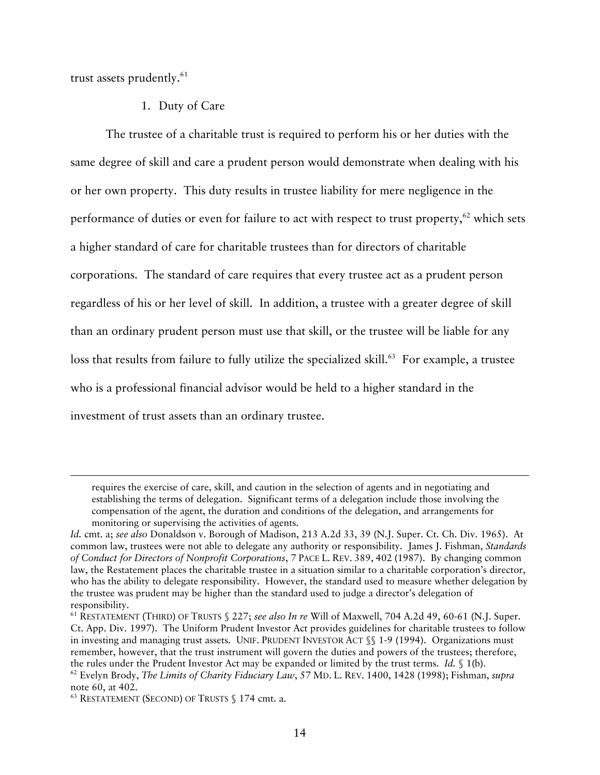trust assets prudently. $61$ 

 $\overline{a}$ 

## 1. Duty of Care

The trustee of a charitable trust is required to perform his or her duties with the same degree of skill and care a prudent person would demonstrate when dealing with his or her own property. This duty results in trustee liability for mere negligence in the performance of duties or even for failure to act with respect to trust property,<sup>62</sup> which sets a higher standard of care for charitable trustees than for directors of charitable corporations. The standard of care requires that every trustee act as a prudent person regardless of his or her level of skill. In addition, a trustee with a greater degree of skill than an ordinary prudent person must use that skill, or the trustee will be liable for any loss that results from failure to fully utilize the specialized skill.<sup>63</sup> For example, a trustee who is a professional financial advisor would be held to a higher standard in the investment of trust assets than an ordinary trustee.

requires the exercise of care, skill, and caution in the selection of agents and in negotiating and establishing the terms of delegation. Significant terms of a delegation include those involving the compensation of the agent, the duration and conditions of the delegation, and arrangements for monitoring or supervising the activities of agents.

*Id.* cmt. a; *see also* Donaldson v. Borough of Madison, 213 A.2d 33, 39 (N.J. Super. Ct. Ch. Div. 1965). At common law, trustees were not able to delegate any authority or responsibility. James J. Fishman, *Standards of Conduct for Directors of Nonprofit Corporations*, 7 PACE L. REV. 389, 402 (1987). By changing common law, the Restatement places the charitable trustee in a situation similar to a charitable corporation's director, who has the ability to delegate responsibility. However, the standard used to measure whether delegation by the trustee was prudent may be higher than the standard used to judge a director's delegation of responsibility.

<sup>61</sup> RESTATEMENT (THIRD) OF TRUSTS § 227; *see also In re* Will of Maxwell, 704 A.2d 49, 60-61 (N.J. Super. Ct. App. Div. 1997). The Uniform Prudent Investor Act provides guidelines for charitable trustees to follow in investing and managing trust assets. UNIF. PRUDENT INVESTOR ACT  $\S$  1-9 (1994). Organizations must remember, however, that the trust instrument will govern the duties and powers of the trustees; therefore, the rules under the Prudent Investor Act may be expanded or limited by the trust terms. *Id.* § 1(b). 62 Evelyn Brody, *The Limits of Charity Fiduciary Law*, <sup>57</sup> MD. L. REV. 1400, <sup>1428</sup> (1998); Fishman, *supra* 

 $63$  RESTATEMENT (SECOND) OF TRUSTS § 174 cmt. a.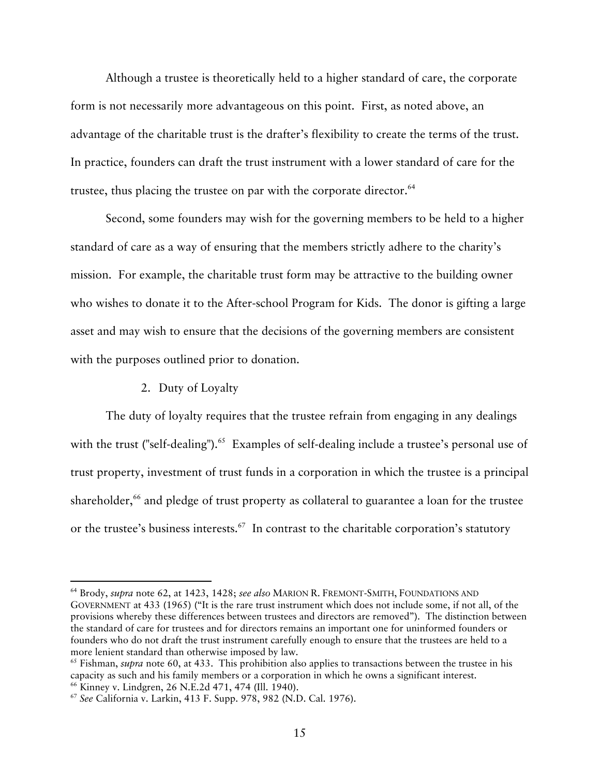Although a trustee is theoretically held to a higher standard of care, the corporate form is not necessarily more advantageous on this point. First, as noted above, an advantage of the charitable trust is the drafter's flexibility to create the terms of the trust. In practice, founders can draft the trust instrument with a lower standard of care for the trustee, thus placing the trustee on par with the corporate director. $64$ 

Second, some founders may wish for the governing members to be held to a higher standard of care as a way of ensuring that the members strictly adhere to the charity's mission. For example, the charitable trust form may be attractive to the building owner who wishes to donate it to the After-school Program for Kids. The donor is gifting a large asset and may wish to ensure that the decisions of the governing members are consistent with the purposes outlined prior to donation.

# 2. Duty of Loyalty

The duty of loyalty requires that the trustee refrain from engaging in any dealings with the trust ("self-dealing").<sup>65</sup> Examples of self-dealing include a trustee's personal use of trust property, investment of trust funds in a corporation in which the trustee is a principal shareholder, $66$  and pledge of trust property as collateral to guarantee a loan for the trustee or the trustee's business interests.<sup>67</sup> In contrast to the charitable corporation's statutory

 <sup>64</sup> Brody, *supra* note 62, at 1423, 1428; *see also* MARION R. FREMONT-SMITH, FOUNDATIONS AND GOVERNMENT at 433 (1965) ("It is the rare trust instrument which does not include some, if not all, of the provisions whereby these differences between trustees and directors are removed"). The distinction between the standard of care for trustees and for directors remains an important one for uninformed founders or founders who do not draft the trust instrument carefully enough to ensure that the trustees are held to a more lenient standard than otherwise imposed by law.<br><sup>65</sup> Fishman, *supra* note 60, at 433. This prohibition also applies to transactions between the trustee in his

capacity as such and his family members or a corporation in which he owns a significant interest.<br><sup>66</sup> Kinney v. Lindgren, 26 N.E.2d 471, 474 (Ill. 1940).<br><sup>67</sup> See California v. Larkin, 413 F. Supp. 978, 982 (N.D. Cal. 197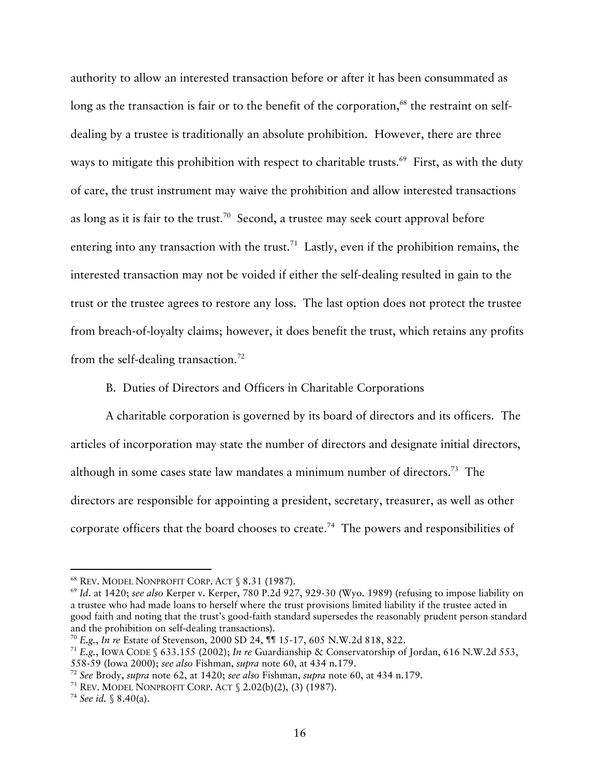authority to allow an interested transaction before or after it has been consummated as long as the transaction is fair or to the benefit of the corporation,<sup>68</sup> the restraint on selfdealing by a trustee is traditionally an absolute prohibition. However, there are three ways to mitigate this prohibition with respect to charitable trusts.<sup>69</sup> First, as with the duty of care, the trust instrument may waive the prohibition and allow interested transactions as long as it is fair to the trust.<sup>70</sup> Second, a trustee may seek court approval before entering into any transaction with the trust.<sup>71</sup> Lastly, even if the prohibition remains, the interested transaction may not be voided if either the self-dealing resulted in gain to the trust or the trustee agrees to restore any loss. The last option does not protect the trustee from breach-of-loyalty claims; however, it does benefit the trust, which retains any profits from the self-dealing transaction.<sup>72</sup>

B. Duties of Directors and Officers in Charitable Corporations

A charitable corporation is governed by its board of directors and its officers. The articles of incorporation may state the number of directors and designate initial directors, although in some cases state law mandates a minimum number of directors.73 The directors are responsible for appointing a president, secretary, treasurer, as well as other corporate officers that the board chooses to create.74 The powers and responsibilities of

<sup>&</sup>lt;sup>68</sup> REV. MODEL NONPROFIT CORP. ACT § 8.31 (1987).<br><sup>69</sup> *Id.* at 1420; *see also* Kerper v. Kerper, 780 P.2d 927, 929-30 (Wyo. 1989) (refusing to impose liability on a trustee who had made loans to herself where the trust provisions limited liability if the trustee acted in good faith and noting that the trust's good-faith standard supersedes the reasonably prudent person standard and the prohibition on self-dealing transactions).<br><sup>70</sup> E.g., *In re* Estate of Stevenson, 2000 SD 24, **11** 15-17, 605 N.W.2d 818, 822.<br><sup>71</sup> E.g., IOWA CODE § 633.155 (2002); *In re* Guardianship & Conservatorship of Jord

<sup>558-59 (</sup>Iowa 2000); *see also* Fishman, *supra* note 60, at 434 n.179.<br><sup>72</sup> See Brody, *supra* note 62, at 1420; *see also* Fishman, *supra* note 60, at 434 n.179.<br><sup>73</sup> REV. MODEL NONPROFIT CORP. ACT § 2.02(b)(2), (3) (19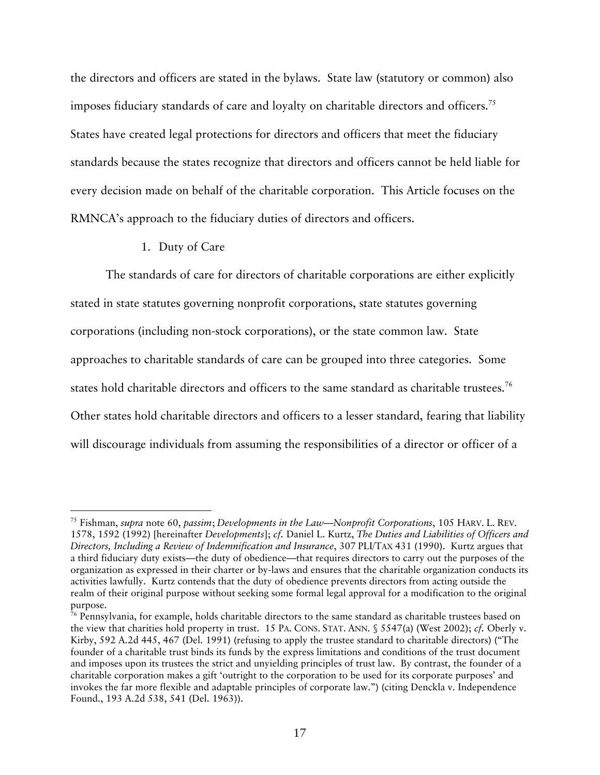the directors and officers are stated in the bylaws. State law (statutory or common) also imposes fiduciary standards of care and loyalty on charitable directors and officers.<sup>75</sup> States have created legal protections for directors and officers that meet the fiduciary standards because the states recognize that directors and officers cannot be held liable for every decision made on behalf of the charitable corporation. This Article focuses on the RMNCA's approach to the fiduciary duties of directors and officers.

# 1. Duty of Care

The standards of care for directors of charitable corporations are either explicitly stated in state statutes governing nonprofit corporations, state statutes governing corporations (including non-stock corporations), or the state common law. State approaches to charitable standards of care can be grouped into three categories. Some states hold charitable directors and officers to the same standard as charitable trustees.<sup>76</sup> Other states hold charitable directors and officers to a lesser standard, fearing that liability will discourage individuals from assuming the responsibilities of a director or officer of a

 <sup>75</sup> Fishman, *supra* note 60, *passim*; *Developments in the Law—Nonprofit Corporations*, 105 HARV. L. REV. 1578, 1592 (1992) [hereinafter *Developments*]; *cf.* Daniel L. Kurtz, *The Duties and Liabilities of Officers and Directors, Including a Review of Indemnification and Insurance*, 307 PLI/TAX 431 (1990). Kurtz argues that a third fiduciary duty exists—the duty of obedience—that requires directors to carry out the purposes of the organization as expressed in their charter or by-laws and ensures that the charitable organization conducts its activities lawfully. Kurtz contends that the duty of obedience prevents directors from acting outside the realm of their original purpose without seeking some formal legal approval for a modification to the original purpose.

<sup>&</sup>lt;sup>76</sup> Pennsylvania, for example, holds charitable directors to the same standard as charitable trustees based on the view that charities hold property in trust. 15 PA. CONS. STAT. ANN. § 5547(a) (West 2002); *cf.* Oberly v. Kirby, 592 A.2d 445, 467 (Del. 1991) (refusing to apply the trustee standard to charitable directors) ("The founder of a charitable trust binds its funds by the express limitations and conditions of the trust document and imposes upon its trustees the strict and unyielding principles of trust law. By contrast, the founder of a charitable corporation makes a gift 'outright to the corporation to be used for its corporate purposes' and invokes the far more flexible and adaptable principles of corporate law.") (citing Denckla v. Independence Found., 193 A.2d 538, 541 (Del. 1963)).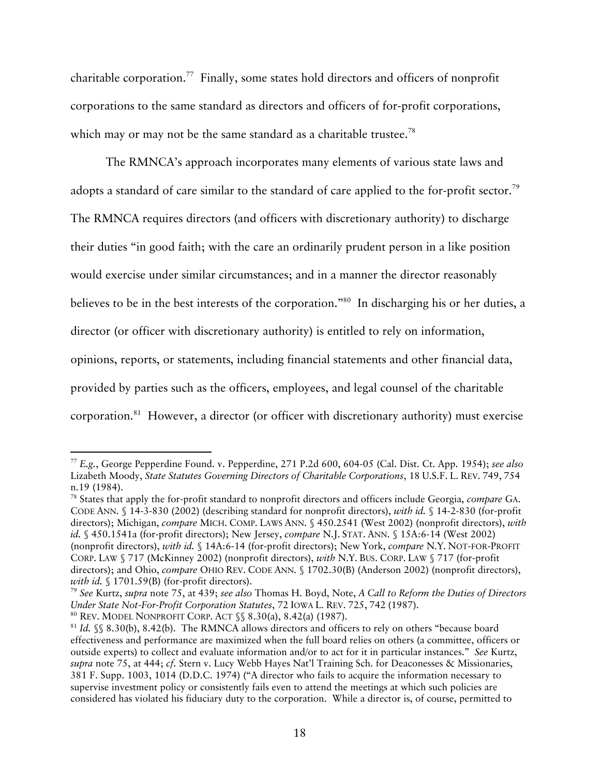charitable corporation.77 Finally, some states hold directors and officers of nonprofit corporations to the same standard as directors and officers of for-profit corporations, which may or may not be the same standard as a charitable trustee.<sup>78</sup>

The RMNCA's approach incorporates many elements of various state laws and adopts a standard of care similar to the standard of care applied to the for-profit sector.<sup>79</sup> The RMNCA requires directors (and officers with discretionary authority) to discharge their duties "in good faith; with the care an ordinarily prudent person in a like position would exercise under similar circumstances; and in a manner the director reasonably believes to be in the best interests of the corporation."80 In discharging his or her duties, a director (or officer with discretionary authority) is entitled to rely on information, opinions, reports, or statements, including financial statements and other financial data, provided by parties such as the officers, employees, and legal counsel of the charitable corporation. 81 However, a director (or officer with discretionary authority) must exercise

 <sup>77</sup> *E.g.*, George Pepperdine Found. v. Pepperdine, 271 P.2d 600, 604-05 (Cal. Dist. Ct. App. 1954); *see also* Lizabeth Moody, *State Statutes Governing Directors of Charitable Corporations*, 18 U.S.F. L. REV. 749, 754 n.19 (1984).<br><sup>78</sup> States that apply the for-profit standard to nonprofit directors and officers include Georgia, *compare* GA.

CODE ANN. § 14-3-830 (2002) (describing standard for nonprofit directors), *with id.* § 14-2-830 (for-profit directors); Michigan, *compare* MICH. COMP. LAWS ANN. § 450.2541 (West 2002) (nonprofit directors), *with id.* § 450.1541a (for-profit directors); New Jersey, *compare* N.J. STAT. ANN. § 15A:6-14 (West 2002) (nonprofit directors), *with id.* § 14A:6-14 (for-profit directors); New York, *compare* N.Y. NOT-FOR-PROFIT CORP. LAW § 717 (McKinney 2002) (nonprofit directors), *with* N.Y. BUS. CORP. LAW § 717 (for-profit directors); and Ohio, *compare* OHIO REV. CODE ANN. § 1702.30(B) (Anderson 2002) (nonprofit directors), *with id.* § 1701.59(B) (for-profit directors). 79 *See* Kurtz, *supra* note 75, at 439; *see also* Thomas H. Boyd, Note, *A Call to Reform the Duties of Directors* 

*Under State Not-For-Profit Corporation Statutes*, 72 IOWA L. REV. 725, 742 (1987).<br><sup>80</sup> REV. MODEL NONPROFIT CORP. ACT §§ 8.30(a), 8.42(a) (1987).

<sup>&</sup>lt;sup>81</sup> Id. §§ 8.30(b), 8.42(b). The RMNCA allows directors and officers to rely on others "because board effectiveness and performance are maximized when the full board relies on others (a committee, officers or outside experts) to collect and evaluate information and/or to act for it in particular instances." *See* Kurtz, *supra* note 75, at 444; *cf.* Stern v. Lucy Webb Hayes Nat'l Training Sch. for Deaconesses & Missionaries, 381 F. Supp. 1003, 1014 (D.D.C. 1974) ("A director who fails to acquire the information necessary to supervise investment policy or consistently fails even to attend the meetings at which such policies are considered has violated his fiduciary duty to the corporation. While a director is, of course, permitted to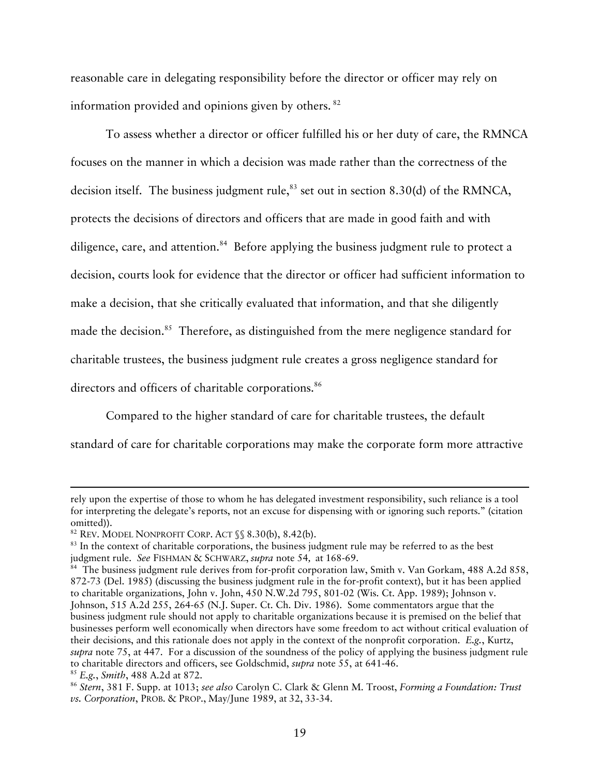reasonable care in delegating responsibility before the director or officer may rely on information provided and opinions given by others. 82

To assess whether a director or officer fulfilled his or her duty of care, the RMNCA focuses on the manner in which a decision was made rather than the correctness of the decision itself. The business judgment rule,  $83$  set out in section 8.30(d) of the RMNCA, protects the decisions of directors and officers that are made in good faith and with diligence, care, and attention.<sup>84</sup> Before applying the business judgment rule to protect a decision, courts look for evidence that the director or officer had sufficient information to make a decision, that she critically evaluated that information, and that she diligently made the decision.<sup>85</sup> Therefore, as distinguished from the mere negligence standard for charitable trustees, the business judgment rule creates a gross negligence standard for directors and officers of charitable corporations.<sup>86</sup>

Compared to the higher standard of care for charitable trustees, the default standard of care for charitable corporations may make the corporate form more attractive

 $\overline{a}$ 

rely upon the expertise of those to whom he has delegated investment responsibility, such reliance is a tool for interpreting the delegate's reports, not an excuse for dispensing with or ignoring such reports." (citation omitted)).<br><sup>82</sup> Rev. Model Nonprofit Corp. Act  $\$  8.30(b), 8.42(b).

 $83$  In the context of charitable corporations, the business judgment rule may be referred to as the best judgment rule. *See* FISHMAN & SCHWARZ, *supra* note 54*,* at 168-69.

<sup>&</sup>lt;sup>84</sup> The business judgment rule derives from for-profit corporation law, Smith v. Van Gorkam, 488 A.2d 858, 872-73 (Del. 1985) (discussing the business judgment rule in the for-profit context), but it has been applied to charitable organizations, John v. John, 450 N.W.2d 795, 801-02 (Wis. Ct. App. 1989); Johnson v. Johnson, 515 A.2d 255, 264-65 (N.J. Super. Ct. Ch. Div. 1986). Some commentators argue that the business judgment rule should not apply to charitable organizations because it is premised on the belief that businesses perform well economically when directors have some freedom to act without critical evaluation of their decisions, and this rationale does not apply in the context of the nonprofit corporation. *E.g.*, Kurtz, *supra* note 75, at 447. For a discussion of the soundness of the policy of applying the business judgment rule to charitable directors and officers, see Goldschmid, *supra* note 55, at 641-46.<br><sup>85</sup> E.g., *Smith*, 488 A.2d at 872.<br><sup>86</sup> Stern, 381 F. Supp. at 1013; *see also* Carolyn C. Clark & Glenn M. Troost, Forming a Foundation:

*vs. Corporation*, PROB. & PROP., May/June 1989, at 32, 33-34.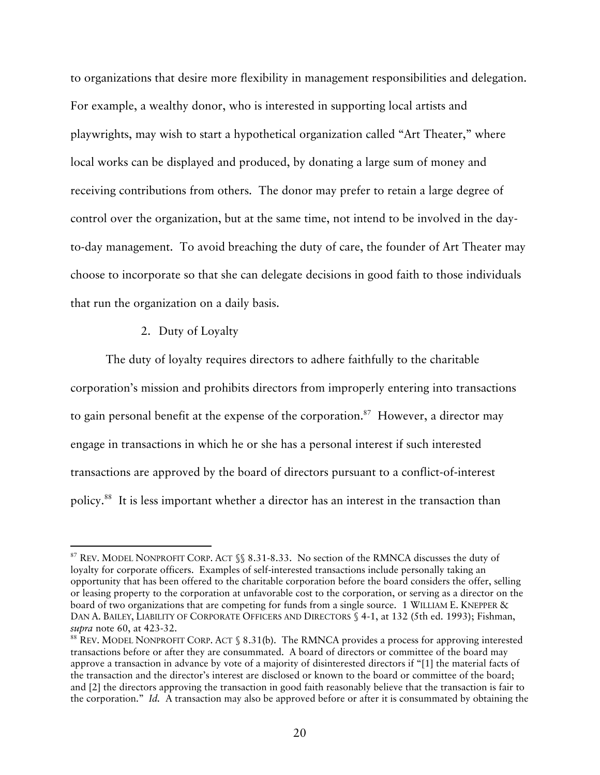to organizations that desire more flexibility in management responsibilities and delegation. For example, a wealthy donor, who is interested in supporting local artists and playwrights, may wish to start a hypothetical organization called "Art Theater," where local works can be displayed and produced, by donating a large sum of money and receiving contributions from others. The donor may prefer to retain a large degree of control over the organization, but at the same time, not intend to be involved in the dayto-day management. To avoid breaching the duty of care, the founder of Art Theater may choose to incorporate so that she can delegate decisions in good faith to those individuals that run the organization on a daily basis.

## 2. Duty of Loyalty

The duty of loyalty requires directors to adhere faithfully to the charitable corporation's mission and prohibits directors from improperly entering into transactions to gain personal benefit at the expense of the corporation.<sup>87</sup> However, a director may engage in transactions in which he or she has a personal interest if such interested transactions are approved by the board of directors pursuant to a conflict-of-interest policy.88 It is less important whether a director has an interest in the transaction than

<sup>87</sup> REV. MODEL NONPROFIT CORP. ACT  $\$  8.31-8.33. No section of the RMNCA discusses the duty of loyalty for corporate officers. Examples of self-interested transactions include personally taking an opportunity that has been offered to the charitable corporation before the board considers the offer, selling or leasing property to the corporation at unfavorable cost to the corporation, or serving as a director on the board of two organizations that are competing for funds from a single source. 1 WILLIAM E. KNEPPER & DAN A. BAILEY, LIABILITY OF CORPORATE OFFICERS AND DIRECTORS § 4-1, at 132 (5th ed. 1993); Fishman, *supra* note 60, at 423-32.<br><sup>88</sup> REV. MODEL NONPROFIT CORP. ACT § 8.31(b). The RMNCA provides a process for approving interested

transactions before or after they are consummated. A board of directors or committee of the board may approve a transaction in advance by vote of a majority of disinterested directors if "[1] the material facts of the transaction and the director's interest are disclosed or known to the board or committee of the board; and [2] the directors approving the transaction in good faith reasonably believe that the transaction is fair to the corporation." *Id.* A transaction may also be approved before or after it is consummated by obtaining the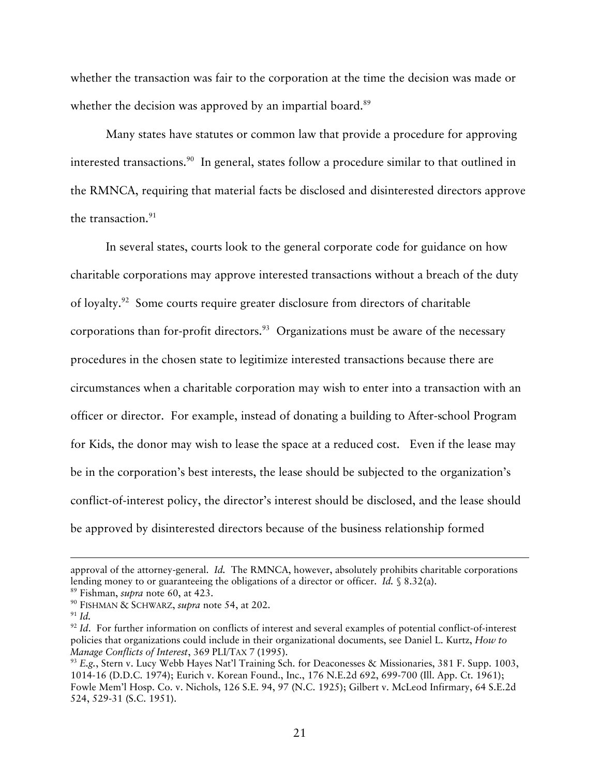whether the transaction was fair to the corporation at the time the decision was made or whether the decision was approved by an impartial board.<sup>89</sup>

Many states have statutes or common law that provide a procedure for approving interested transactions.<sup>90</sup> In general, states follow a procedure similar to that outlined in the RMNCA, requiring that material facts be disclosed and disinterested directors approve the transaction. $91$ 

In several states, courts look to the general corporate code for guidance on how charitable corporations may approve interested transactions without a breach of the duty of loyalty.<sup>92</sup> Some courts require greater disclosure from directors of charitable corporations than for-profit directors.<sup>93</sup> Organizations must be aware of the necessary procedures in the chosen state to legitimize interested transactions because there are circumstances when a charitable corporation may wish to enter into a transaction with an officer or director. For example, instead of donating a building to After-school Program for Kids, the donor may wish to lease the space at a reduced cost. Even if the lease may be in the corporation's best interests, the lease should be subjected to the organization's conflict-of-interest policy, the director's interest should be disclosed, and the lease should be approved by disinterested directors because of the business relationship formed

 $\overline{a}$ 

approval of the attorney-general. *Id.* The RMNCA, however, absolutely prohibits charitable corporations lending money to or guaranteeing the obligations of a director or officer. *Id.* § 8.32(a).<br><sup>89</sup> Fishman, *supra* note 60, at 423.<br><sup>90</sup> FISHMAN & SCHWARZ, *supra* note 54, at 202.<br><sup>91</sup> *Id.* 

<sup>&</sup>lt;sup>92</sup> *Id.* For further information on conflicts of interest and several examples of potential conflict-of-interest policies that organizations could include in their organizational documents, see Daniel L. Kurtz, *How to Manage Conflicts of Interest*, 369 PLI/TAX 7 (1995).<br><sup>93</sup> *E.g.*, Stern v. Lucy Webb Hayes Nat'l Training Sch. for Deaconesses & Missionaries, 381 F. Supp. 1003,

<sup>1014-16 (</sup>D.D.C. 1974); Eurich v. Korean Found., Inc., 176 N.E.2d 692, 699-700 (Ill. App. Ct. 1961); Fowle Mem'l Hosp. Co. v. Nichols, 126 S.E. 94, 97 (N.C. 1925); Gilbert v. McLeod Infirmary, 64 S.E.2d 524, 529-31 (S.C. 1951).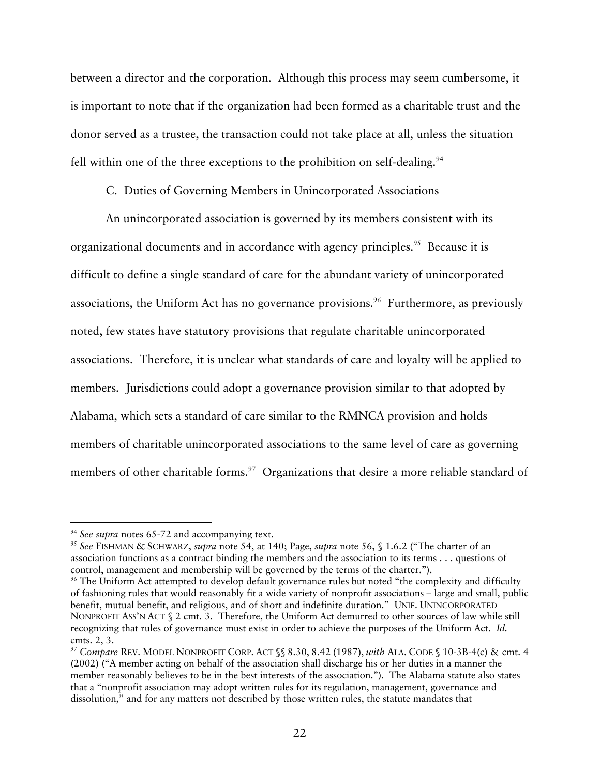between a director and the corporation. Although this process may seem cumbersome, it is important to note that if the organization had been formed as a charitable trust and the donor served as a trustee, the transaction could not take place at all, unless the situation fell within one of the three exceptions to the prohibition on self-dealing.<sup>94</sup>

C. Duties of Governing Members in Unincorporated Associations

An unincorporated association is governed by its members consistent with its organizational documents and in accordance with agency principles.<sup>95</sup> Because it is difficult to define a single standard of care for the abundant variety of unincorporated associations, the Uniform Act has no governance provisions.<sup>96</sup> Furthermore, as previously noted, few states have statutory provisions that regulate charitable unincorporated associations. Therefore, it is unclear what standards of care and loyalty will be applied to members. Jurisdictions could adopt a governance provision similar to that adopted by Alabama, which sets a standard of care similar to the RMNCA provision and holds members of charitable unincorporated associations to the same level of care as governing members of other charitable forms.<sup>97</sup> Organizations that desire a more reliable standard of

<sup>&</sup>lt;sup>94</sup> See supra notes 65-72 and accompanying text.<br><sup>95</sup> See FISHMAN & SCHWARZ, *supra* note 54, at 140; Page, *supra* note 56, § 1.6.2 ("The charter of an association functions as a contract binding the members and the association to its terms . . . questions of control, management and membership will be governed by the terms of the charter.").<br><sup>96</sup> The Uniform Act attempted to develop default governance rules but noted "the complexity and difficulty

of fashioning rules that would reasonably fit a wide variety of nonprofit associations – large and small, public benefit, mutual benefit, and religious, and of short and indefinite duration." UNIF. UNINCORPORATED NONPROFIT ASS'N ACT § 2 cmt. 3. Therefore, the Uniform Act demurred to other sources of law while still recognizing that rules of governance must exist in order to achieve the purposes of the Uniform Act. *Id.* cmts. 2, 3.

<sup>97</sup> *Compare* REV. MODEL NONPROFIT CORP. ACT §§ 8.30, 8.42 (1987), *with* ALA. CODE § 10-3B-4(c) & cmt. 4 (2002) ("A member acting on behalf of the association shall discharge his or her duties in a manner the member reasonably believes to be in the best interests of the association."). The Alabama statute also states that a "nonprofit association may adopt written rules for its regulation, management, governance and dissolution," and for any matters not described by those written rules, the statute mandates that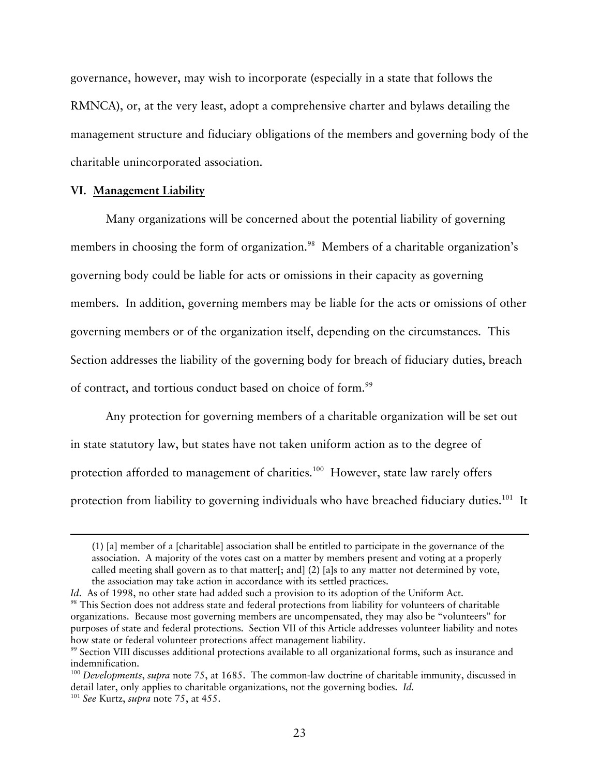governance, however, may wish to incorporate (especially in a state that follows the RMNCA), or, at the very least, adopt a comprehensive charter and bylaws detailing the management structure and fiduciary obligations of the members and governing body of the charitable unincorporated association.

# **VI. Management Liability**

Many organizations will be concerned about the potential liability of governing members in choosing the form of organization.<sup>98</sup> Members of a charitable organization's governing body could be liable for acts or omissions in their capacity as governing members. In addition, governing members may be liable for the acts or omissions of other governing members or of the organization itself, depending on the circumstances. This Section addresses the liability of the governing body for breach of fiduciary duties, breach of contract, and tortious conduct based on choice of form.<sup>99</sup>

Any protection for governing members of a charitable organization will be set out in state statutory law, but states have not taken uniform action as to the degree of protection afforded to management of charities.<sup>100</sup> However, state law rarely offers protection from liability to governing individuals who have breached fiduciary duties.<sup>101</sup> It

-

<sup>(1) [</sup>a] member of a [charitable] association shall be entitled to participate in the governance of the association. A majority of the votes cast on a matter by members present and voting at a properly called meeting shall govern as to that matter[; and] (2) [a]s to any matter not determined by vote, the association may take action in accordance with its settled practices.

*Id*. As of 1998, no other state had added such a provision to its adoption of the Uniform Act.<br><sup>98</sup> This Section does not address state and federal protections from liability for volunteers of charitable organizations. Because most governing members are uncompensated, they may also be "volunteers" for purposes of state and federal protections. Section VII of this Article addresses volunteer liability and notes how state or federal volunteer protections affect management liability.

<sup>99</sup> Section VIII discusses additional protections available to all organizational forms, such as insurance and indemnification.

<sup>100</sup> *Developments*, *supra* note 75, at 1685. The common-law doctrine of charitable immunity, discussed in detail later, only applies to charitable organizations, not the governing bodies. *Id.*

<sup>101</sup> *See* Kurtz, *supra* note 75, at 455.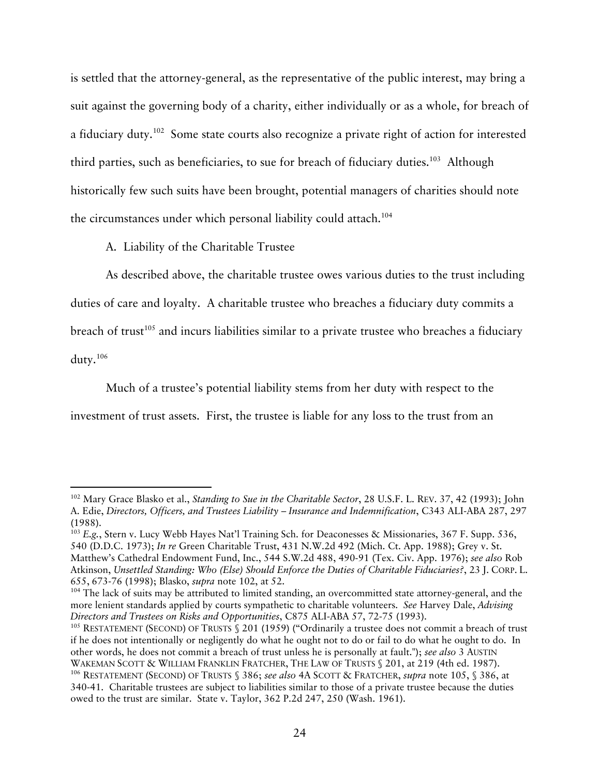is settled that the attorney-general, as the representative of the public interest, may bring a suit against the governing body of a charity, either individually or as a whole, for breach of a fiduciary duty.102 Some state courts also recognize a private right of action for interested third parties, such as beneficiaries, to sue for breach of fiduciary duties.<sup>103</sup> Although historically few such suits have been brought, potential managers of charities should note the circumstances under which personal liability could attach.<sup>104</sup>

A. Liability of the Charitable Trustee

As described above, the charitable trustee owes various duties to the trust including duties of care and loyalty. A charitable trustee who breaches a fiduciary duty commits a breach of trust<sup>105</sup> and incurs liabilities similar to a private trustee who breaches a fiduciary duty.106

Much of a trustee's potential liability stems from her duty with respect to the investment of trust assets. First, the trustee is liable for any loss to the trust from an

 <sup>102</sup> Mary Grace Blasko et al., *Standing to Sue in the Charitable Sector*, 28 U.S.F. L. REV. 37, 42 (1993); John A. Edie, *Directors, Officers, and Trustees Liability – Insurance and Indemnification*, C343 ALI-ABA 287, 297 (1988).

<sup>&</sup>lt;sup>103</sup> *E.g.*, Stern v. Lucy Webb Hayes Nat'l Training Sch. for Deaconesses & Missionaries, 367 F. Supp. 536, 540 (D.D.C. 1973); *In re* Green Charitable Trust, 431 N.W.2d 492 (Mich. Ct. App. 1988); Grey v. St. Matthew's Cathedral Endowment Fund, Inc., 544 S.W.2d 488, 490-91 (Tex. Civ. App. 1976); *see also* Rob Atkinson, *Unsettled Standing: Who (Else) Should Enforce the Duties of Charitable Fiduciaries?*, 23 J. CORP. L. 655, 673-76 (1998); Blasko, *supra* note 102, at 52.<br><sup>104</sup> The lack of suits may be attributed to limited standing, an overcommitted state attorney-general, and the

more lenient standards applied by courts sympathetic to charitable volunteers. *See* Harvey Dale, *Advising Directors and Trustees on Risks and Opportunities*, C875 ALI-ABA 57, 72-75 (1993).<br><sup>105</sup> RESTATEMENT (SECOND) OF TRUSTS § 201 (1959) ("Ordinarily a trustee does not commit a breach of trust

if he does not intentionally or negligently do what he ought not to do or fail to do what he ought to do. In other words, he does not commit a breach of trust unless he is personally at fault."); *see also* 3 AUSTIN WAKEMAN SCOTT & WILLIAM FRANKLIN FRATCHER, THE LAW OF TRUSTS § 201, at 219 (4th ed. 1987).<br><sup>106</sup> RESTATEMENT (SECOND) OF TRUSTS § 386; *see also* 4A SCOTT & FRATCHER, *supra* note 105, § 386, at

<sup>340-41.</sup> Charitable trustees are subject to liabilities similar to those of a private trustee because the duties owed to the trust are similar. State v. Taylor, 362 P.2d 247, 250 (Wash. 1961).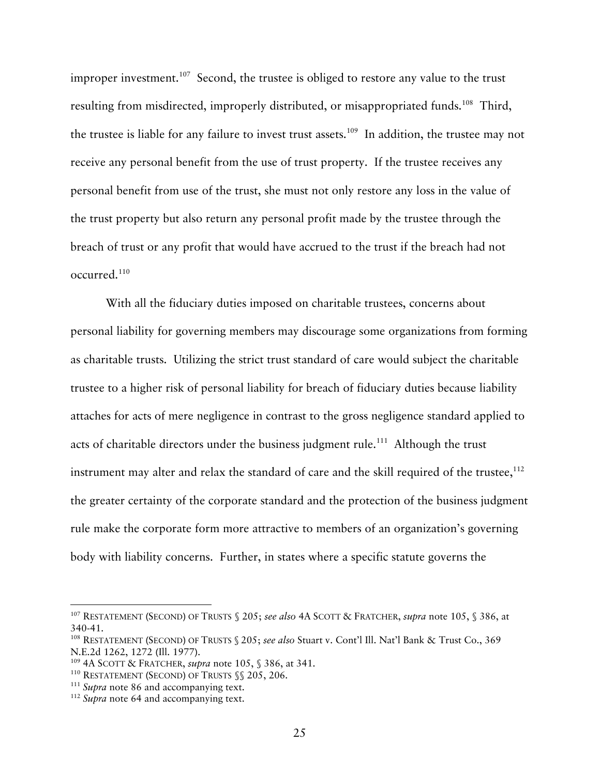improper investment.<sup>107</sup> Second, the trustee is obliged to restore any value to the trust resulting from misdirected, improperly distributed, or misappropriated funds.<sup>108</sup> Third, the trustee is liable for any failure to invest trust assets. 109 In addition, the trustee may not receive any personal benefit from the use of trust property. If the trustee receives any personal benefit from use of the trust, she must not only restore any loss in the value of the trust property but also return any personal profit made by the trustee through the breach of trust or any profit that would have accrued to the trust if the breach had not occurred.110

With all the fiduciary duties imposed on charitable trustees, concerns about personal liability for governing members may discourage some organizations from forming as charitable trusts. Utilizing the strict trust standard of care would subject the charitable trustee to a higher risk of personal liability for breach of fiduciary duties because liability attaches for acts of mere negligence in contrast to the gross negligence standard applied to acts of charitable directors under the business judgment rule.<sup>111</sup> Although the trust instrument may alter and relax the standard of care and the skill required of the trustee,  $112$ the greater certainty of the corporate standard and the protection of the business judgment rule make the corporate form more attractive to members of an organization's governing body with liability concerns. Further, in states where a specific statute governs the

 <sup>107</sup> RESTATEMENT (SECOND) OF TRUSTS § 205; *see also* 4A SCOTT & FRATCHER, *supra* note 105, § 386, at 340-41.

<sup>108</sup> RESTATEMENT (SECOND) OF TRUSTS § 205; *see also* Stuart v. Cont'l Ill. Nat'l Bank & Trust Co., 369 N.E.2d 1262, 1272 (Ill. 1977).<br><sup>109</sup> 4A SCOTT & FRATCHER, *supra* note 105, § 386, at 341.<br><sup>110</sup> RESTATEMENT (SECOND) OF TRUSTS §§ 205, 206.<br><sup>111</sup> Supra note 86 and accompanying text.<br><sup>112</sup> Supra note 64 and accompanying t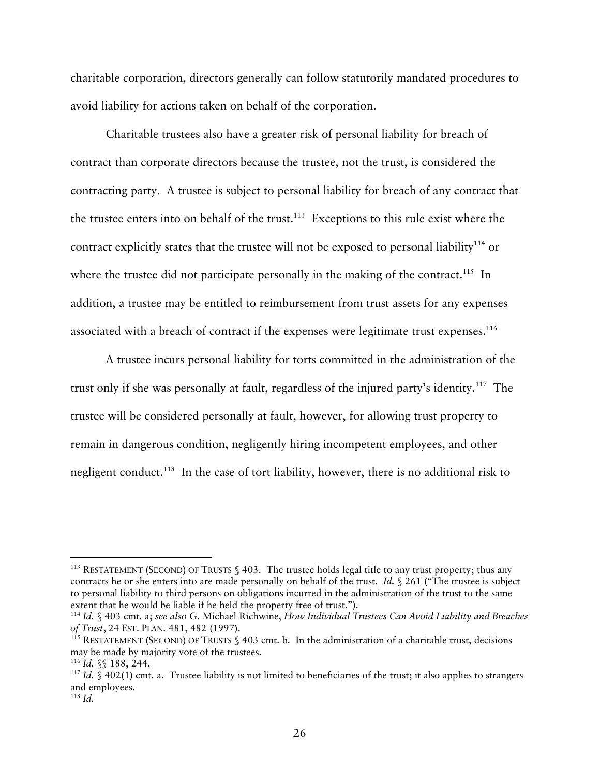charitable corporation, directors generally can follow statutorily mandated procedures to avoid liability for actions taken on behalf of the corporation.

Charitable trustees also have a greater risk of personal liability for breach of contract than corporate directors because the trustee, not the trust, is considered the contracting party. A trustee is subject to personal liability for breach of any contract that the trustee enters into on behalf of the trust.<sup>113</sup> Exceptions to this rule exist where the contract explicitly states that the trustee will not be exposed to personal liability<sup>114</sup> or where the trustee did not participate personally in the making of the contract.<sup>115</sup> In addition, a trustee may be entitled to reimbursement from trust assets for any expenses associated with a breach of contract if the expenses were legitimate trust expenses.<sup>116</sup>

A trustee incurs personal liability for torts committed in the administration of the trust only if she was personally at fault, regardless of the injured party's identity.<sup>117</sup> The trustee will be considered personally at fault, however, for allowing trust property to remain in dangerous condition, negligently hiring incompetent employees, and other negligent conduct.<sup>118</sup> In the case of tort liability, however, there is no additional risk to

<sup>&</sup>lt;sup>113</sup> RESTATEMENT (SECOND) OF TRUSTS  $\S$  403. The trustee holds legal title to any trust property; thus any contracts he or she enters into are made personally on behalf of the trust. *Id.* § 261 ("The trustee is subject to personal liability to third persons on obligations incurred in the administration of the trust to the same

<sup>&</sup>lt;sup>114</sup> Id. § 403 cmt. a; *see also* G. Michael Richwine, *How Individual Trustees Can Avoid Liability and Breaches of Trust*, 24 EST. PLAN. 481, 482 (1997).

<sup>&</sup>lt;sup>115</sup> RESTATEMENT (SECOND) OF TRUSTS  $\$$  403 cmt. b. In the administration of a charitable trust, decisions may be made by majority vote of the trustees.

<sup>&</sup>lt;sup>116</sup> *Id.* §§ 188, 244. <br><sup>117</sup> *Id.* § 402(1) cmt. a. Trustee liability is not limited to beneficiaries of the trust; it also applies to strangers and employees. 118 *Id.*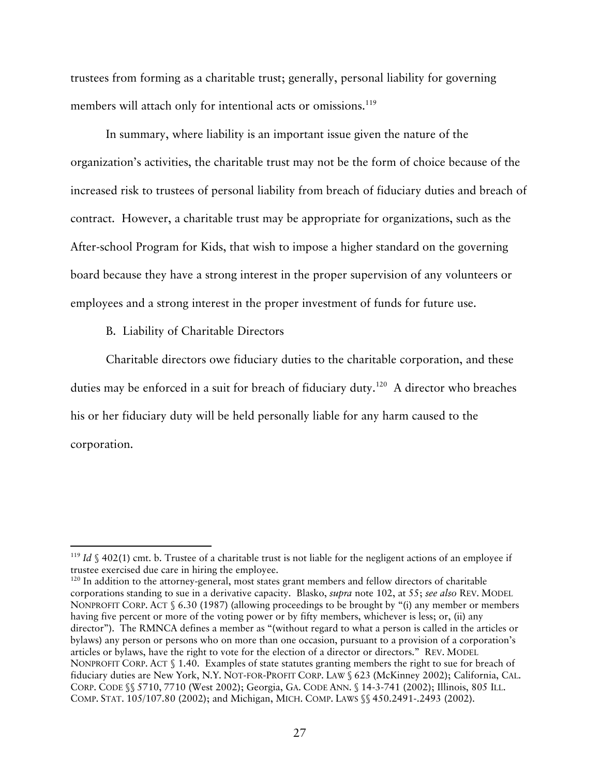trustees from forming as a charitable trust; generally, personal liability for governing members will attach only for intentional acts or omissions.<sup>119</sup>

In summary, where liability is an important issue given the nature of the organization's activities, the charitable trust may not be the form of choice because of the increased risk to trustees of personal liability from breach of fiduciary duties and breach of contract. However, a charitable trust may be appropriate for organizations, such as the After-school Program for Kids, that wish to impose a higher standard on the governing board because they have a strong interest in the proper supervision of any volunteers or employees and a strong interest in the proper investment of funds for future use.

# B. Liability of Charitable Directors

Charitable directors owe fiduciary duties to the charitable corporation, and these duties may be enforced in a suit for breach of fiduciary duty.<sup>120</sup> A director who breaches his or her fiduciary duty will be held personally liable for any harm caused to the corporation.

<sup>&</sup>lt;sup>119</sup> *Id*  $\setminus$  402(1) cmt. b. Trustee of a charitable trust is not liable for the negligent actions of an employee if trustee exercised due care in hiring the employee.

<sup>&</sup>lt;sup>120</sup> In addition to the attorney-general, most states grant members and fellow directors of charitable corporations standing to sue in a derivative capacity. Blasko, *supra* note 102, at 55; *see also* REV. MODEL NONPROFIT CORP. ACT § 6.30 (1987) (allowing proceedings to be brought by "(i) any member or members having five percent or more of the voting power or by fifty members, whichever is less; or, (ii) any director"). The RMNCA defines a member as "(without regard to what a person is called in the articles or bylaws) any person or persons who on more than one occasion, pursuant to a provision of a corporation's articles or bylaws, have the right to vote for the election of a director or directors." REV. MODEL NONPROFIT CORP. ACT § 1.40. Examples of state statutes granting members the right to sue for breach of fiduciary duties are New York, N.Y. NOT-FOR-PROFIT CORP. LAW § 623 (McKinney 2002); California, CAL. CORP. CODE §§ 5710, 7710 (West 2002); Georgia, GA. CODE ANN. § 14-3-741 (2002); Illinois, 805 ILL. COMP. STAT. 105/107.80 (2002); and Michigan, MICH. COMP. LAWS §§ 450.2491-.2493 (2002).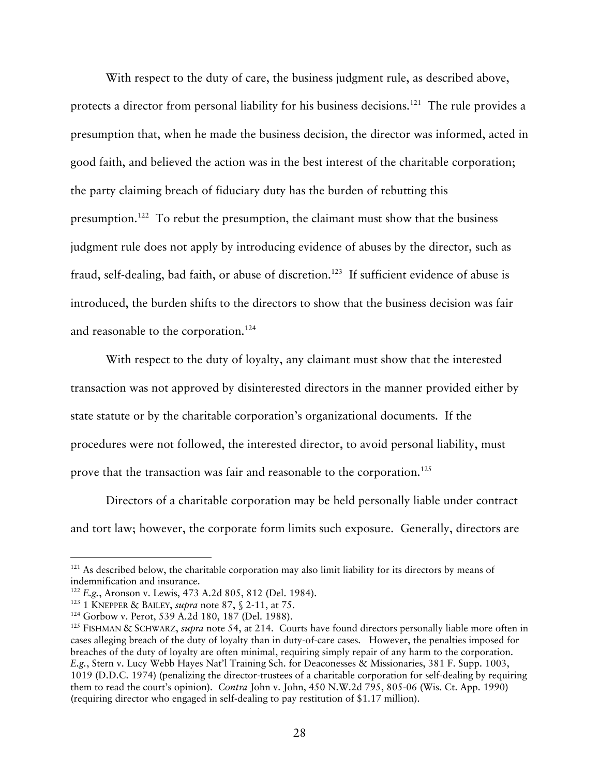With respect to the duty of care, the business judgment rule, as described above, protects a director from personal liability for his business decisions.<sup>121</sup> The rule provides a presumption that, when he made the business decision, the director was informed, acted in good faith, and believed the action was in the best interest of the charitable corporation; the party claiming breach of fiduciary duty has the burden of rebutting this presumption.122 To rebut the presumption, the claimant must show that the business judgment rule does not apply by introducing evidence of abuses by the director, such as fraud, self-dealing, bad faith, or abuse of discretion.<sup>123</sup> If sufficient evidence of abuse is introduced, the burden shifts to the directors to show that the business decision was fair and reasonable to the corporation.<sup>124</sup>

With respect to the duty of loyalty, any claimant must show that the interested transaction was not approved by disinterested directors in the manner provided either by state statute or by the charitable corporation's organizational documents. If the procedures were not followed, the interested director, to avoid personal liability, must prove that the transaction was fair and reasonable to the corporation.<sup>125</sup>

Directors of a charitable corporation may be held personally liable under contract and tort law; however, the corporate form limits such exposure. Generally, directors are

 $121$  As described below, the charitable corporation may also limit liability for its directors by means of indemnification and insurance.

<sup>&</sup>lt;sup>122</sup> E.g., Aronson v. Lewis, 473 A.2d 805, 812 (Del. 1984).<br><sup>123</sup> 1 KNEPPER & BAILEY, *supra* note 87, § 2-11, at 75.

<sup>&</sup>lt;sup>124</sup> Gorbow v. Perot, 539 A.2d 180, 187 (Del. 1988).<br><sup>125</sup> FISHMAN & SCHWARZ, *supra* note 54, at 214. Courts have found directors personally liable more often in cases alleging breach of the duty of loyalty than in duty-of-care cases. However, the penalties imposed for breaches of the duty of loyalty are often minimal, requiring simply repair of any harm to the corporation. *E.g.*, Stern v. Lucy Webb Hayes Nat'l Training Sch. for Deaconesses & Missionaries, 381 F. Supp. 1003, 1019 (D.D.C. 1974) (penalizing the director-trustees of a charitable corporation for self-dealing by requiring them to read the court's opinion). *Contra* John v. John, 450 N.W.2d 795, 805-06 (Wis. Ct. App. 1990) (requiring director who engaged in self-dealing to pay restitution of \$1.17 million).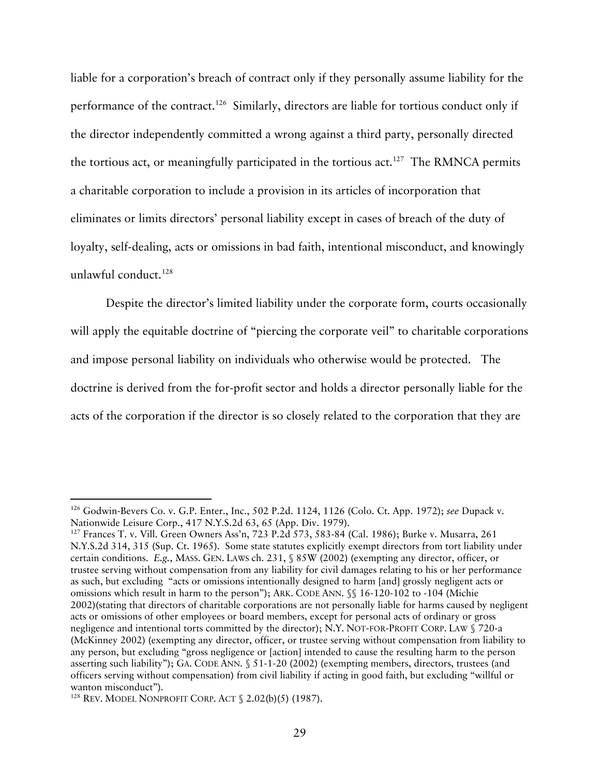liable for a corporation's breach of contract only if they personally assume liability for the performance of the contract.<sup>126</sup> Similarly, directors are liable for tortious conduct only if the director independently committed a wrong against a third party, personally directed the tortious act, or meaningfully participated in the tortious act.<sup>127</sup> The RMNCA permits a charitable corporation to include a provision in its articles of incorporation that eliminates or limits directors' personal liability except in cases of breach of the duty of loyalty, self-dealing, acts or omissions in bad faith, intentional misconduct, and knowingly unlawful conduct.<sup>128</sup>

Despite the director's limited liability under the corporate form, courts occasionally will apply the equitable doctrine of "piercing the corporate veil" to charitable corporations and impose personal liability on individuals who otherwise would be protected. The doctrine is derived from the for-profit sector and holds a director personally liable for the acts of the corporation if the director is so closely related to the corporation that they are

<sup>&</sup>lt;sup>126</sup> Godwin-Bevers Co. v. G.P. Enter., Inc., 502 P.2d. 1124, 1126 (Colo. Ct. App. 1972); *see* Dupack v. Nationwide Leisure Corp., 417 N.Y.S.2d 63, 65 (App. Div. 1979).

<sup>&</sup>lt;sup>127</sup> Frances T. v. Vill. Green Owners Ass'n, 723 P.2d 573, 583-84 (Cal. 1986); Burke v. Musarra, 261 N.Y.S.2d 314, 315 (Sup. Ct. 1965). Some state statutes explicitly exempt directors from tort liability under certain conditions. *E.g.*, MASS. GEN. LAWS ch. 231, § 85W (2002) (exempting any director, officer, or trustee serving without compensation from any liability for civil damages relating to his or her performance as such, but excluding "acts or omissions intentionally designed to harm [and] grossly negligent acts or omissions which result in harm to the person"); ARK. CODE ANN. §§ 16-120-102 to -104 (Michie 2002)(stating that directors of charitable corporations are not personally liable for harms caused by negligent acts or omissions of other employees or board members, except for personal acts of ordinary or gross negligence and intentional torts committed by the director); N.Y. NOT-FOR-PROFIT CORP. LAW § 720-a (McKinney 2002) (exempting any director, officer, or trustee serving without compensation from liability to any person, but excluding "gross negligence or [action] intended to cause the resulting harm to the person asserting such liability"); GA. CODE ANN. § 51-1-20 (2002) (exempting members, directors, trustees (and officers serving without compensation) from civil liability if acting in good faith, but excluding "willful or wanton misconduct").<br><sup>128</sup> REV. MODEL NONPROFIT CORP. ACT § 2.02(b)(5) (1987).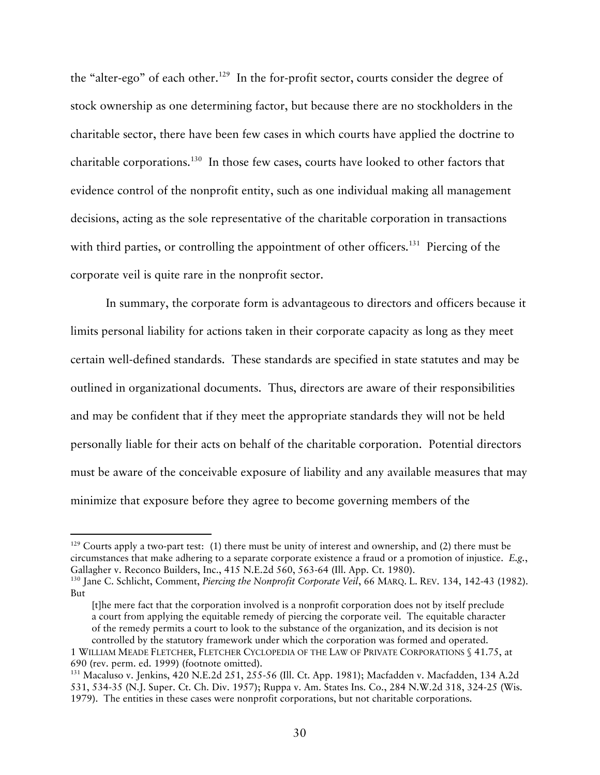the "alter-ego" of each other.<sup>129</sup> In the for-profit sector, courts consider the degree of stock ownership as one determining factor, but because there are no stockholders in the charitable sector, there have been few cases in which courts have applied the doctrine to charitable corporations.130 In those few cases, courts have looked to other factors that evidence control of the nonprofit entity, such as one individual making all management decisions, acting as the sole representative of the charitable corporation in transactions with third parties, or controlling the appointment of other officers.<sup>131</sup> Piercing of the corporate veil is quite rare in the nonprofit sector.

In summary, the corporate form is advantageous to directors and officers because it limits personal liability for actions taken in their corporate capacity as long as they meet certain well-defined standards. These standards are specified in state statutes and may be outlined in organizational documents. Thus, directors are aware of their responsibilities and may be confident that if they meet the appropriate standards they will not be held personally liable for their acts on behalf of the charitable corporation. Potential directors must be aware of the conceivable exposure of liability and any available measures that may minimize that exposure before they agree to become governing members of the

 $129$  Courts apply a two-part test: (1) there must be unity of interest and ownership, and (2) there must be circumstances that make adhering to a separate corporate existence a fraud or a promotion of injustice. *E.g.*, Gallagher v. Reconco Builders, Inc., 415 N.E.2d 560, 563-64 (Ill. App. Ct. 1980).<br><sup>130</sup> Jane C. Schlicht, Comment, *Piercing the Nonprofit Corporate Veil*, 66 MARQ. L. REV. 134, 142-43 (1982).

But

<sup>[</sup>t]he mere fact that the corporation involved is a nonprofit corporation does not by itself preclude a court from applying the equitable remedy of piercing the corporate veil. The equitable character of the remedy permits a court to look to the substance of the organization, and its decision is not controlled by the statutory framework under which the corporation was formed and operated.

<sup>1</sup> WILLIAM MEADE FLETCHER, FLETCHER CYCLOPEDIA OF THE LAW OF PRIVATE CORPORATIONS § 41.75, at 690 (rev. perm. ed. 1999) (footnote omitted).<br><sup>131</sup> Macaluso v. Jenkins, 420 N.E.2d 251, 255-56 (Ill. Ct. App. 1981); Macfadden v. Macfadden, 134 A.2d

<sup>531, 534-35 (</sup>N.J. Super. Ct. Ch. Div. 1957); Ruppa v. Am. States Ins. Co., 284 N.W.2d 318, 324-25 (Wis. 1979). The entities in these cases were nonprofit corporations, but not charitable corporations.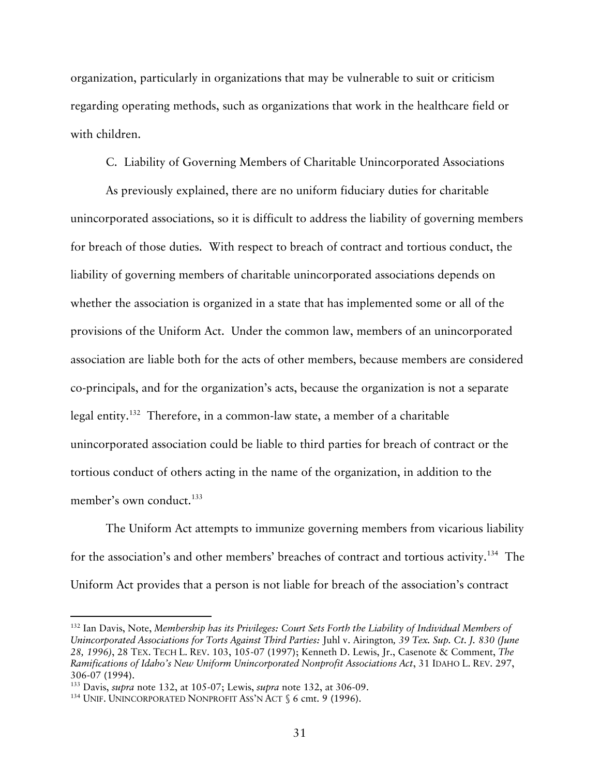organization, particularly in organizations that may be vulnerable to suit or criticism regarding operating methods, such as organizations that work in the healthcare field or with children.

C. Liability of Governing Members of Charitable Unincorporated Associations

As previously explained, there are no uniform fiduciary duties for charitable unincorporated associations, so it is difficult to address the liability of governing members for breach of those duties. With respect to breach of contract and tortious conduct, the liability of governing members of charitable unincorporated associations depends on whether the association is organized in a state that has implemented some or all of the provisions of the Uniform Act. Under the common law, members of an unincorporated association are liable both for the acts of other members, because members are considered co-principals, and for the organization's acts, because the organization is not a separate legal entity. 132 Therefore, in a common-law state, a member of a charitable unincorporated association could be liable to third parties for breach of contract or the tortious conduct of others acting in the name of the organization, in addition to the member's own conduct.<sup>133</sup>

The Uniform Act attempts to immunize governing members from vicarious liability for the association's and other members' breaches of contract and tortious activity.<sup>134</sup> The Uniform Act provides that a person is not liable for breach of the association's contract

 <sup>132</sup> Ian Davis, Note, *Membership has its Privileges: Court Sets Forth the Liability of Individual Members of Unincorporated Associations for Torts Against Third Parties:* Juhl v. Airington*, 39 Tex. Sup. Ct. J. 830 (June 28, 1996)*, 28 TEX. TECH L. REV. 103, 105-07 (1997); Kenneth D. Lewis, Jr., Casenote & Comment, *The Ramifications of Idaho's New Uniform Unincorporated Nonprofit Associations Act*, 31 IDAHO L. REV. 297, 306-07 (1994). 133 Davis, *supra* note 132, at 105-07; Lewis, *supra* note 132, at 306-09.

<sup>&</sup>lt;sup>134</sup> UNIF. UNINCORPORATED NONPROFIT ASS'N ACT § 6 cmt. 9 (1996).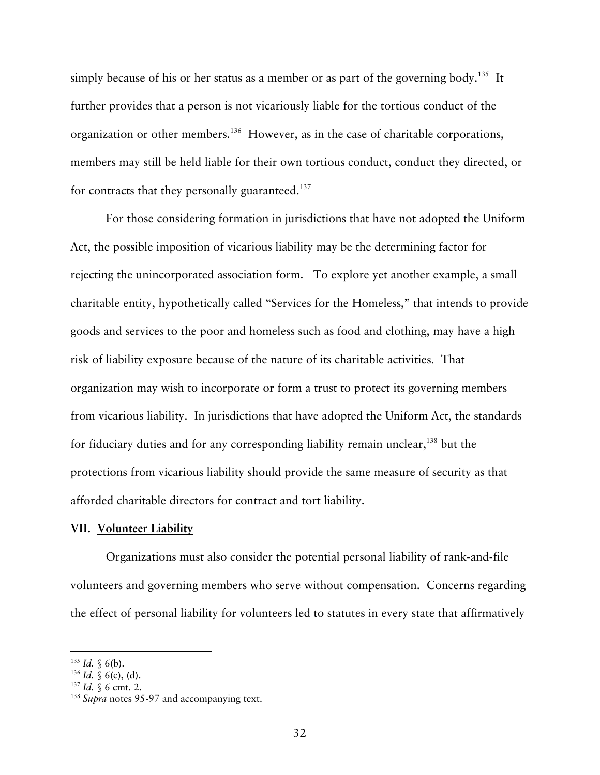simply because of his or her status as a member or as part of the governing body.<sup>135</sup> It further provides that a person is not vicariously liable for the tortious conduct of the organization or other members.136 However, as in the case of charitable corporations, members may still be held liable for their own tortious conduct, conduct they directed, or for contracts that they personally guaranteed.<sup>137</sup>

For those considering formation in jurisdictions that have not adopted the Uniform Act, the possible imposition of vicarious liability may be the determining factor for rejecting the unincorporated association form. To explore yet another example, a small charitable entity, hypothetically called "Services for the Homeless," that intends to provide goods and services to the poor and homeless such as food and clothing, may have a high risk of liability exposure because of the nature of its charitable activities. That organization may wish to incorporate or form a trust to protect its governing members from vicarious liability. In jurisdictions that have adopted the Uniform Act, the standards for fiduciary duties and for any corresponding liability remain unclear,<sup>138</sup> but the protections from vicarious liability should provide the same measure of security as that afforded charitable directors for contract and tort liability.

#### **VII. Volunteer Liability**

Organizations must also consider the potential personal liability of rank-and-file volunteers and governing members who serve without compensation. Concerns regarding the effect of personal liability for volunteers led to statutes in every state that affirmatively

<sup>&</sup>lt;sup>135</sup> *Id.* § 6(b).<br><sup>136</sup> *Id.* § 6 cmt. 2.<br><sup>138</sup> *Supra* notes 95-97 and accompanying text.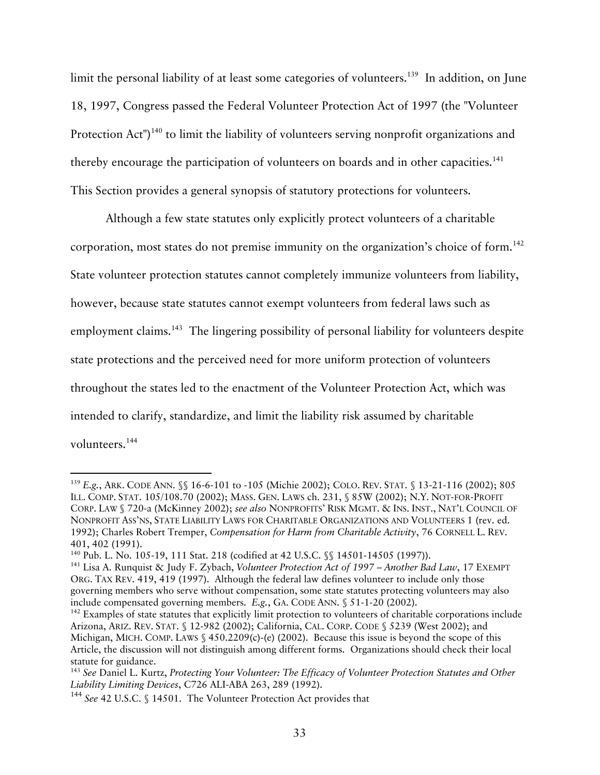limit the personal liability of at least some categories of volunteers.<sup>139</sup> In addition, on June 18, 1997, Congress passed the Federal Volunteer Protection Act of 1997 (the "Volunteer Protection Act")<sup>140</sup> to limit the liability of volunteers serving nonprofit organizations and thereby encourage the participation of volunteers on boards and in other capacities.<sup>141</sup> This Section provides a general synopsis of statutory protections for volunteers.

Although a few state statutes only explicitly protect volunteers of a charitable corporation, most states do not premise immunity on the organization's choice of form.142 State volunteer protection statutes cannot completely immunize volunteers from liability, however, because state statutes cannot exempt volunteers from federal laws such as employment claims.<sup>143</sup> The lingering possibility of personal liability for volunteers despite state protections and the perceived need for more uniform protection of volunteers throughout the states led to the enactment of the Volunteer Protection Act, which was intended to clarify, standardize, and limit the liability risk assumed by charitable volunteers.144

 <sup>139</sup> *E.g.*, ARK. CODE ANN. §§ 16-6-101 to -105 (Michie 2002); COLO. REV. STAT. § 13-21-116 (2002); 805 ILL. COMP. STAT. 105/108.70 (2002); MASS. GEN. LAWS ch. 231, § 85W (2002); N.Y. NOT-FOR-PROFIT CORP. LAW § 720-a (McKinney 2002); *see also* NONPROFITS' RISK MGMT. & INS. INST., NAT'L COUNCIL OF NONPROFIT ASS'NS, STATE LIABILITY LAWS FOR CHARITABLE ORGANIZATIONS AND VOLUNTEERS 1 (rev. ed. 1992); Charles Robert Tremper, *Compensation for Harm from Charitable Activity*, 76 CORNELL L. REV. 401, 402 (1991).<br><sup>140</sup> Pub. L. No. 105-19, 111 Stat. 218 (codified at 42 U.S.C. §§ 14501-14505 (1997)).<br><sup>141</sup> Lisa A. Runquist & Judy F. Zybach, *Volunteer Protection Act of 1997 – Another Bad Law*, 17 EXEMPT

ORG. TAX REV. 419, 419 (1997). Although the federal law defines volunteer to include only those governing members who serve without compensation, some state statutes protecting volunteers may also include compensated governing members. *E.g.*, GA. CODE ANN. § 51-1-20 (2002).<br><sup>142</sup> Examples of state statutes that explicitly limit protection to volunteers of charitable corporations include

Arizona, ARIZ. REV. STAT. § 12-982 (2002); California, CAL. CORP. CODE § 5239 (West 2002); and Michigan, MICH. COMP. LAWS § 450.2209(c)-(e) (2002). Because this issue is beyond the scope of this Article, the discussion will not distinguish among different forms. Organizations should check their local statute for guidance.<br><sup>143</sup> See Daniel L. Kurtz, *Protecting Your Volunteer: The Efficacy of Volunteer Protection Statutes and Other* 

*Liability Limiting Devices*, C726 ALI-ABA 263, 289 (1992).

<sup>144</sup> *See* 42 U.S.C. § 14501. The Volunteer Protection Act provides that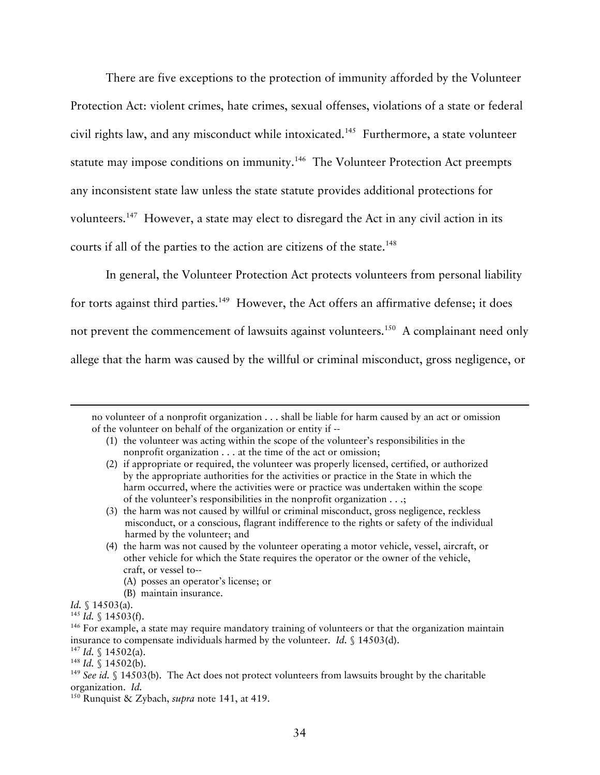There are five exceptions to the protection of immunity afforded by the Volunteer Protection Act: violent crimes, hate crimes, sexual offenses, violations of a state or federal civil rights law, and any misconduct while intoxicated.<sup>145</sup> Furthermore, a state volunteer statute may impose conditions on immunity.<sup>146</sup> The Volunteer Protection Act preempts any inconsistent state law unless the state statute provides additional protections for volunteers.<sup>147</sup> However, a state may elect to disregard the Act in any civil action in its courts if all of the parties to the action are citizens of the state.<sup>148</sup>

In general, the Volunteer Protection Act protects volunteers from personal liability for torts against third parties.<sup>149</sup> However, the Act offers an affirmative defense; it does not prevent the commencement of lawsuits against volunteers.<sup>150</sup> A complainant need only allege that the harm was caused by the willful or criminal misconduct, gross negligence, or

- (1) the volunteer was acting within the scope of the volunteer's responsibilities in the nonprofit organization . . . at the time of the act or omission;
- (2) if appropriate or required, the volunteer was properly licensed, certified, or authorized by the appropriate authorities for the activities or practice in the State in which the harm occurred, where the activities were or practice was undertaken within the scope of the volunteer's responsibilities in the nonprofit organization . . .;
- (3) the harm was not caused by willful or criminal misconduct, gross negligence, reckless misconduct, or a conscious, flagrant indifference to the rights or safety of the individual harmed by the volunteer; and
- (4) the harm was not caused by the volunteer operating a motor vehicle, vessel, aircraft, or other vehicle for which the State requires the operator or the owner of the vehicle, craft, or vessel to--
	- (A) posses an operator's license; or
	- (B) maintain insurance.
- 

-

no volunteer of a nonprofit organization . . . shall be liable for harm caused by an act or omission of the volunteer on behalf of the organization or entity if --

*Id.* § 14503(a).<br><sup>145</sup> *Id.* § 14503(f).<br><sup>146</sup> For example, a state may require mandatory training of volunteers or that the organization maintain

insurance to compensate individuals harmed by the volunteer. *Id.* § 14503(d).<br><sup>147</sup> *Id.* § 14502(a).<br><sup>148</sup> *Id.* § 14502(b).<br><sup>148</sup> *See id.* § 14503(b). The Act does not protect volunteers from lawsuits brought by the c

<sup>&</sup>lt;sup>150</sup> Runquist & Zybach, *supra* note 141, at 419.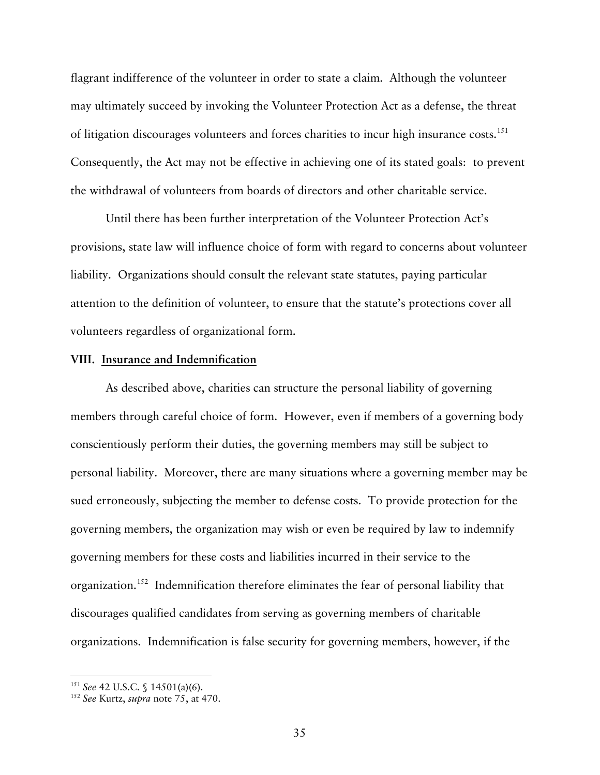flagrant indifference of the volunteer in order to state a claim. Although the volunteer may ultimately succeed by invoking the Volunteer Protection Act as a defense, the threat of litigation discourages volunteers and forces charities to incur high insurance costs.<sup>151</sup> Consequently, the Act may not be effective in achieving one of its stated goals: to prevent the withdrawal of volunteers from boards of directors and other charitable service.

Until there has been further interpretation of the Volunteer Protection Act's provisions, state law will influence choice of form with regard to concerns about volunteer liability. Organizations should consult the relevant state statutes, paying particular attention to the definition of volunteer, to ensure that the statute's protections cover all volunteers regardless of organizational form.

#### **VIII. Insurance and Indemnification**

As described above, charities can structure the personal liability of governing members through careful choice of form. However, even if members of a governing body conscientiously perform their duties, the governing members may still be subject to personal liability. Moreover, there are many situations where a governing member may be sued erroneously, subjecting the member to defense costs. To provide protection for the governing members, the organization may wish or even be required by law to indemnify governing members for these costs and liabilities incurred in their service to the organization.152 Indemnification therefore eliminates the fear of personal liability that discourages qualified candidates from serving as governing members of charitable organizations. Indemnification is false security for governing members, however, if the

<sup>151</sup> *See* 42 U.S.C. § 14501(a)(6). 152 *See* Kurtz, *supra* note 75, at 470.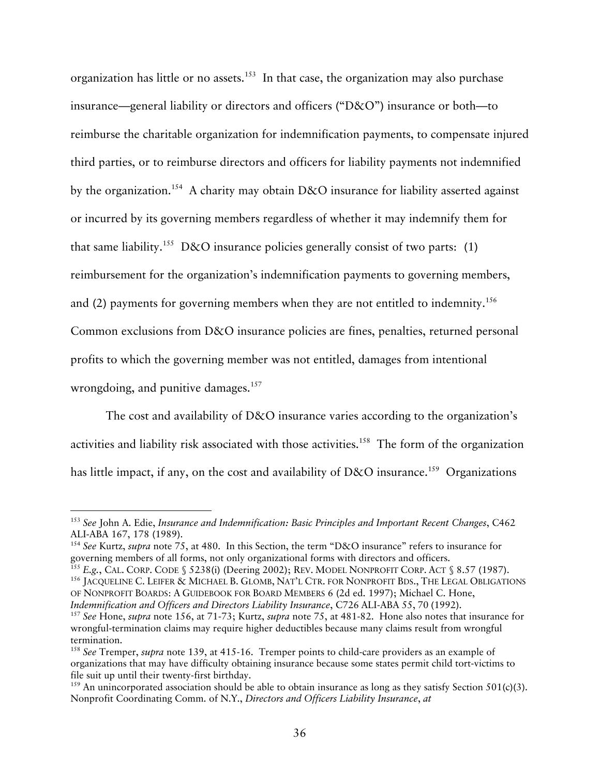organization has little or no assets.<sup>153</sup> In that case, the organization may also purchase insurance—general liability or directors and officers ("D&O") insurance or both—to reimburse the charitable organization for indemnification payments, to compensate injured third parties, or to reimburse directors and officers for liability payments not indemnified by the organization.<sup>154</sup> A charity may obtain D&O insurance for liability asserted against or incurred by its governing members regardless of whether it may indemnify them for that same liability.<sup>155</sup> D&O insurance policies generally consist of two parts: (1) reimbursement for the organization's indemnification payments to governing members, and (2) payments for governing members when they are not entitled to indemnity.<sup>156</sup> Common exclusions from D&O insurance policies are fines, penalties, returned personal profits to which the governing member was not entitled, damages from intentional wrongdoing, and punitive damages.<sup>157</sup>

The cost and availability of D&O insurance varies according to the organization's activities and liability risk associated with those activities.<sup>158</sup> The form of the organization has little impact, if any, on the cost and availability of D&O insurance.<sup>159</sup> Organizations

 <sup>153</sup> *See* John A. Edie, *Insurance and Indemnification: Basic Principles and Important Recent Changes*, C462 ALI-ABA 167, 178 (1989).<br><sup>154</sup> See Kurtz, *supra* note 75, at 480. In this Section, the term "D&O insurance" refers to insurance for

governing members of all forms, not only organizational forms with directors and officers.<br><sup>155</sup> E.g., CAL. CORP. CODE § 5238(i) (Deering 2002); REV. MODEL NONPROFIT CORP. ACT § 8.57 (1987).<br><sup>156</sup> JACQUELINE C. LEIFER & MI

OF NONPROFIT BOARDS: A GUIDEBOOK FOR BOARD MEMBERS 6 (2d ed. 1997); Michael C. Hone,

Indemnification and Officers and Directors Liability Insurance, C726 ALI-ABA 55, 70 (1992).<br><sup>157</sup> See Hone, supra note 156, at 71-73; Kurtz, supra note 75, at 481-82. Hone also notes that insurance for wrongful-termination claims may require higher deductibles because many claims result from wrongful termination.

<sup>158</sup> *See* Tremper, *supra* note 139, at 415-16. Tremper points to child-care providers as an example of organizations that may have difficulty obtaining insurance because some states permit child tort-victims to file suit up until their twenty-first birthday.

<sup>&</sup>lt;sup>159</sup> An unincorporated association should be able to obtain insurance as long as they satisfy Section 501(c)(3). Nonprofit Coordinating Comm. of N.Y., *Directors and Officers Liability Insurance*, *at*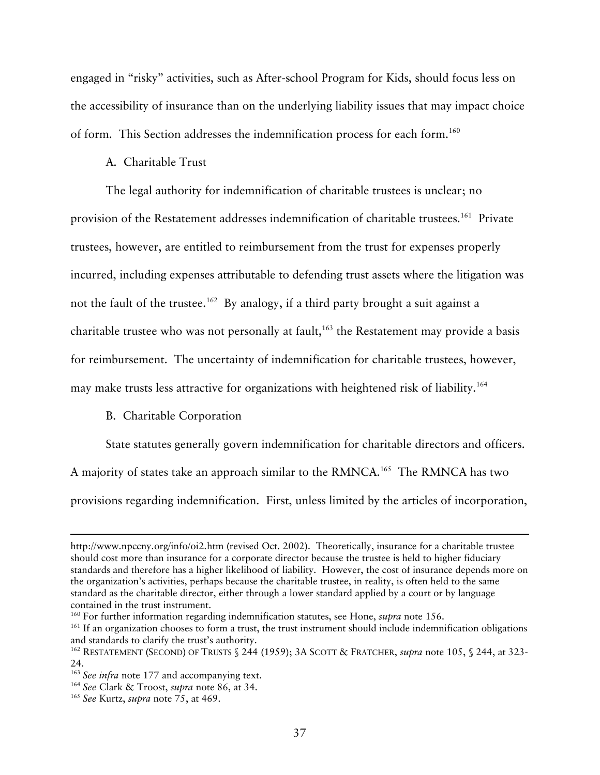engaged in "risky" activities, such as After-school Program for Kids, should focus less on the accessibility of insurance than on the underlying liability issues that may impact choice of form. This Section addresses the indemnification process for each form.160

## A. Charitable Trust

The legal authority for indemnification of charitable trustees is unclear; no provision of the Restatement addresses indemnification of charitable trustees.<sup>161</sup> Private trustees, however, are entitled to reimbursement from the trust for expenses properly incurred, including expenses attributable to defending trust assets where the litigation was not the fault of the trustee.<sup>162</sup> By analogy, if a third party brought a suit against a charitable trustee who was not personally at fault, $163$  the Restatement may provide a basis for reimbursement. The uncertainty of indemnification for charitable trustees, however, may make trusts less attractive for organizations with heightened risk of liability.<sup>164</sup>

### B. Charitable Corporation

State statutes generally govern indemnification for charitable directors and officers.

A majority of states take an approach similar to the RMNCA.165 The RMNCA has two

provisions regarding indemnification. First, unless limited by the articles of incorporation,

-

http://www.npccny.org/info/oi2.htm (revised Oct. 2002). Theoretically, insurance for a charitable trustee should cost more than insurance for a corporate director because the trustee is held to higher fiduciary standards and therefore has a higher likelihood of liability. However, the cost of insurance depends more on the organization's activities, perhaps because the charitable trustee, in reality, is often held to the same standard as the charitable director, either through a lower standard applied by a court or by language contained in the trust instrument.<br><sup>160</sup> For further information regarding indemnification statutes, see Hone, *supra* note 156.<br><sup>161</sup> If an organization chooses to form a trust, the trust instrument should include indemni

and standards to clarify the trust's authority.<br><sup>162</sup> RESTATEMENT (SECOND) OF TRUSTS § 244 (1959); 3A SCOTT & FRATCHER, *supra* note 105, § 244, at 323-

<sup>24.&</sup>lt;br><sup>163</sup> See infra note 177 and accompanying text.

<sup>&</sup>lt;sup>164</sup> *See* Clark & Troost, *supra* note 86, at 34. <sup>165</sup> *See* Kurtz, *supra* note 75, at 469.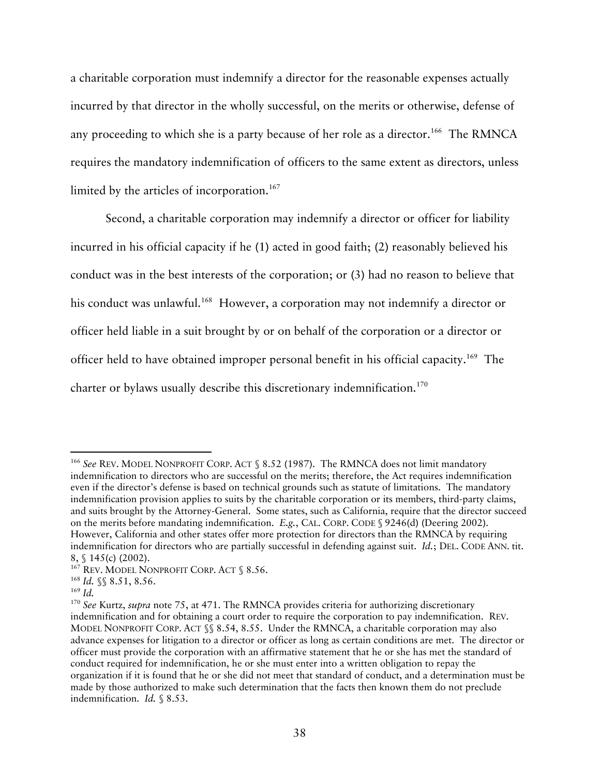a charitable corporation must indemnify a director for the reasonable expenses actually incurred by that director in the wholly successful, on the merits or otherwise, defense of any proceeding to which she is a party because of her role as a director.<sup>166</sup> The RMNCA requires the mandatory indemnification of officers to the same extent as directors, unless limited by the articles of incorporation.<sup>167</sup>

Second, a charitable corporation may indemnify a director or officer for liability incurred in his official capacity if he (1) acted in good faith; (2) reasonably believed his conduct was in the best interests of the corporation; or (3) had no reason to believe that his conduct was unlawful.<sup>168</sup> However, a corporation may not indemnify a director or officer held liable in a suit brought by or on behalf of the corporation or a director or officer held to have obtained improper personal benefit in his official capacity.169 The charter or bylaws usually describe this discretionary indemnification.<sup>170</sup>

<sup>&</sup>lt;sup>166</sup> See REV. MODEL NONPROFIT CORP. ACT § 8.52 (1987). The RMNCA does not limit mandatory indemnification to directors who are successful on the merits; therefore, the Act requires indemnification even if the director's defense is based on technical grounds such as statute of limitations. The mandatory indemnification provision applies to suits by the charitable corporation or its members, third-party claims, and suits brought by the Attorney-General. Some states, such as California, require that the director succeed on the merits before mandating indemnification. *E.g.*, CAL. CORP. CODE § 9246(d) (Deering 2002). However, California and other states offer more protection for directors than the RMNCA by requiring indemnification for directors who are partially successful in defending against suit. *Id.*; DEL. CODE ANN. tit.

<sup>8, § 145(</sup>c) (2002).<br><sup>167</sup> Rev. Model Nonprofit Corp. Act § 8.56.<br><sup>168</sup> *Id.* §§ 8.51, 8.56.<br><sup>169</sup> *Id.* 

<sup>170</sup> *See* Kurtz, *supra* note 75, at 471. The RMNCA provides criteria for authorizing discretionary indemnification and for obtaining a court order to require the corporation to pay indemnification. REV. MODEL NONPROFIT CORP. ACT §§ 8.54, 8.55. Under the RMNCA, a charitable corporation may also advance expenses for litigation to a director or officer as long as certain conditions are met. The director or officer must provide the corporation with an affirmative statement that he or she has met the standard of conduct required for indemnification, he or she must enter into a written obligation to repay the organization if it is found that he or she did not meet that standard of conduct, and a determination must be made by those authorized to make such determination that the facts then known them do not preclude indemnification. *Id.* § 8.53.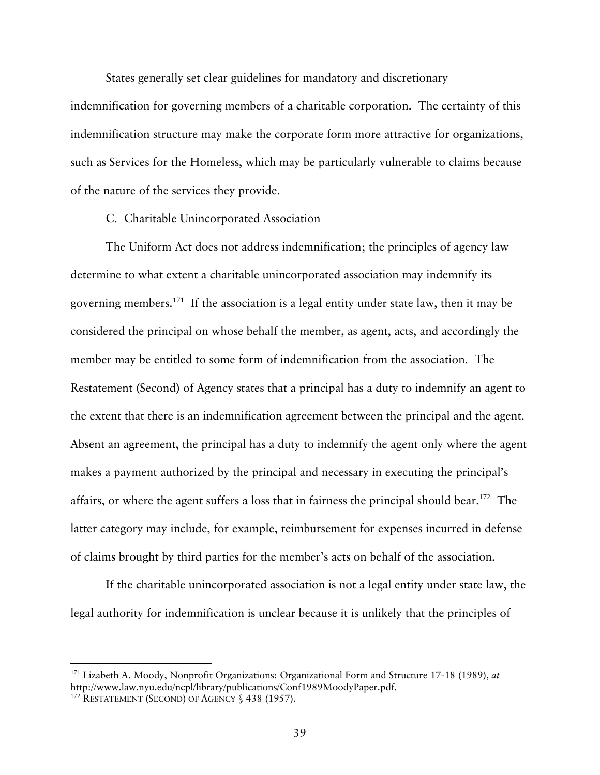States generally set clear guidelines for mandatory and discretionary

indemnification for governing members of a charitable corporation. The certainty of this indemnification structure may make the corporate form more attractive for organizations, such as Services for the Homeless, which may be particularly vulnerable to claims because of the nature of the services they provide.

C. Charitable Unincorporated Association

The Uniform Act does not address indemnification; the principles of agency law determine to what extent a charitable unincorporated association may indemnify its governing members.<sup>171</sup> If the association is a legal entity under state law, then it may be considered the principal on whose behalf the member, as agent, acts, and accordingly the member may be entitled to some form of indemnification from the association. The Restatement (Second) of Agency states that a principal has a duty to indemnify an agent to the extent that there is an indemnification agreement between the principal and the agent. Absent an agreement, the principal has a duty to indemnify the agent only where the agent makes a payment authorized by the principal and necessary in executing the principal's affairs, or where the agent suffers a loss that in fairness the principal should bear.<sup>172</sup> The latter category may include, for example, reimbursement for expenses incurred in defense of claims brought by third parties for the member's acts on behalf of the association.

If the charitable unincorporated association is not a legal entity under state law, the legal authority for indemnification is unclear because it is unlikely that the principles of

 <sup>171</sup> Lizabeth A. Moody, Nonprofit Organizations: Organizational Form and Structure 17-18 (1989), *at* http://www.law.nyu.edu/ncpl/library/publications/Conf1989MoodyPaper.pdf. 172 RESTATEMENT (SECOND) OF AGENCY § 438 (1957).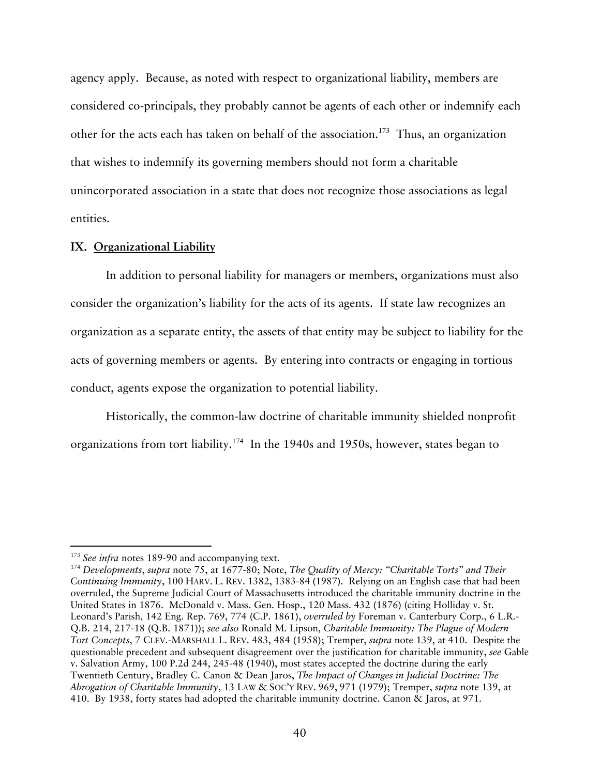agency apply. Because, as noted with respect to organizational liability, members are considered co-principals, they probably cannot be agents of each other or indemnify each other for the acts each has taken on behalf of the association.<sup>173</sup> Thus, an organization that wishes to indemnify its governing members should not form a charitable unincorporated association in a state that does not recognize those associations as legal entities.

## **IX. Organizational Liability**

In addition to personal liability for managers or members, organizations must also consider the organization's liability for the acts of its agents. If state law recognizes an organization as a separate entity, the assets of that entity may be subject to liability for the acts of governing members or agents. By entering into contracts or engaging in tortious conduct, agents expose the organization to potential liability.

Historically, the common-law doctrine of charitable immunity shielded nonprofit organizations from tort liability.174 In the 1940s and 1950s, however, states began to

<sup>&</sup>lt;sup>173</sup> *See infra* notes 189-90 and accompanying text.<br><sup>174</sup> Developments, *supra* note 75, at 1677-80; Note, *The Quality of Mercy: "Charitable Torts" and Their Continuing Immunity*, 100 HARV. L. REV. 1382, 1383-84 (1987). Relying on an English case that had been overruled, the Supreme Judicial Court of Massachusetts introduced the charitable immunity doctrine in the United States in 1876. McDonald v. Mass. Gen. Hosp., 120 Mass. 432 (1876) (citing Holliday v. St. Leonard's Parish, 142 Eng. Rep. 769, 774 (C.P. 1861), *overruled by* Foreman v. Canterbury Corp., 6 L.R.- Q.B. 214, 217-18 (Q.B. 1871)); *see also* Ronald M. Lipson, *Charitable Immunity: The Plague of Modern Tort Concepts*, 7 CLEV.-MARSHALL L. REV. 483, 484 (1958); Tremper, *supra* note 139, at 410. Despite the questionable precedent and subsequent disagreement over the justification for charitable immunity, *see* Gable v. Salvation Army, 100 P.2d 244, 245-48 (1940), most states accepted the doctrine during the early Twentieth Century, Bradley C. Canon & Dean Jaros, *The Impact of Changes in Judicial Doctrine: The Abrogation of Charitable Immunity*, 13 LAW & SOC'Y REV. 969, 971 (1979); Tremper, *supra* note 139, at 410. By 1938, forty states had adopted the charitable immunity doctrine. Canon & Jaros, at 971.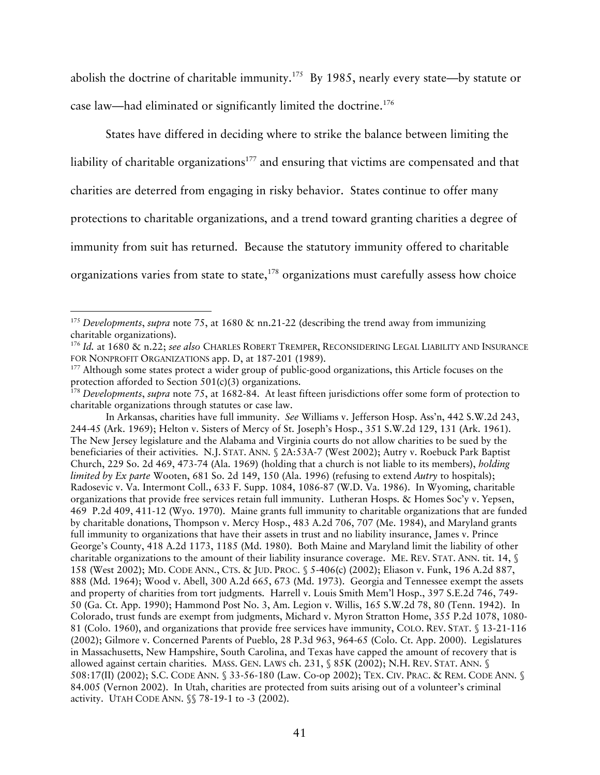abolish the doctrine of charitable immunity.175 By 1985, nearly every state—by statute or case law—had eliminated or significantly limited the doctrine.176

States have differed in deciding where to strike the balance between limiting the liability of charitable organizations<sup>177</sup> and ensuring that victims are compensated and that charities are deterred from engaging in risky behavior. States continue to offer many protections to charitable organizations, and a trend toward granting charities a degree of immunity from suit has returned. Because the statutory immunity offered to charitable organizations varies from state to state, $178$  organizations must carefully assess how choice

In Arkansas, charities have full immunity. *See* Williams v. Jefferson Hosp. Ass'n, 442 S.W.2d 243, 244-45 (Ark. 1969); Helton v. Sisters of Mercy of St. Joseph's Hosp., 351 S.W.2d 129, 131 (Ark. 1961). The New Jersey legislature and the Alabama and Virginia courts do not allow charities to be sued by the beneficiaries of their activities. N.J. STAT. ANN. § 2A:53A-7 (West 2002); Autry v. Roebuck Park Baptist Church, 229 So. 2d 469, 473-74 (Ala. 1969) (holding that a church is not liable to its members), *holding limited by Ex parte* Wooten, 681 So. 2d 149, 150 (Ala. 1996) (refusing to extend *Autry* to hospitals); Radosevic v. Va. Intermont Coll., 633 F. Supp. 1084, 1086-87 (W.D. Va. 1986). In Wyoming, charitable organizations that provide free services retain full immunity. Lutheran Hosps. & Homes Soc'y v. Yepsen, 469 P.2d 409, 411-12 (Wyo. 1970). Maine grants full immunity to charitable organizations that are funded by charitable donations, Thompson v. Mercy Hosp., 483 A.2d 706, 707 (Me. 1984), and Maryland grants full immunity to organizations that have their assets in trust and no liability insurance, James v. Prince George's County, 418 A.2d 1173, 1185 (Md. 1980). Both Maine and Maryland limit the liability of other charitable organizations to the amount of their liability insurance coverage. ME. REV. STAT. ANN. tit. 14, § 158 (West 2002); MD. CODE ANN., CTS. & JUD. PROC. § 5-406(c) (2002); Eliason v. Funk, 196 A.2d 887, 888 (Md. 1964); Wood v. Abell, 300 A.2d 665, 673 (Md. 1973). Georgia and Tennessee exempt the assets and property of charities from tort judgments. Harrell v. Louis Smith Mem'l Hosp., 397 S.E.2d 746, 749- 50 (Ga. Ct. App. 1990); Hammond Post No. 3, Am. Legion v. Willis, 165 S.W.2d 78, 80 (Tenn. 1942). In Colorado, trust funds are exempt from judgments, Michard v. Myron Stratton Home, 355 P.2d 1078, 1080- 81 (Colo. 1960), and organizations that provide free services have immunity, COLO. REV. STAT. § 13-21-116 (2002); Gilmore v. Concerned Parents of Pueblo, 28 P.3d 963, 964-65 (Colo. Ct. App. 2000). Legislatures in Massachusetts, New Hampshire, South Carolina, and Texas have capped the amount of recovery that is allowed against certain charities. MASS. GEN. LAWS ch. 231, § 85K (2002); N.H. REV. STAT. ANN. § 508:17(II) (2002); S.C. CODE ANN. § 33-56-180 (Law. Co-op 2002); TEX. CIV. PRAC. & REM. CODE ANN. § 84.005 (Vernon 2002). In Utah, charities are protected from suits arising out of a volunteer's criminal activity. UTAH CODE ANN. §§ 78-19-1 to -3 (2002).

<sup>&</sup>lt;sup>175</sup> *Developments*, *supra* note 75, at 1680 & nn.21-22 (describing the trend away from immunizing charitable organizations).

<sup>&</sup>lt;sup>176</sup> Id. at 1680 & n.22; *see also* CHARLES ROBERT TREMPER, RECONSIDERING LEGAL LIABILITY AND INSURANCE FOR NONPROFIT ORGANIZATIONS app. D, at 187-201 (1989).<br><sup>177</sup> Although some states protect a wider group of public-good organizations, this Article focuses on the

protection afforded to Section 501(c)(3) organizations.

<sup>178</sup> *Developments*, *supra* note 75, at 1682-84. At least fifteen jurisdictions offer some form of protection to charitable organizations through statutes or case law.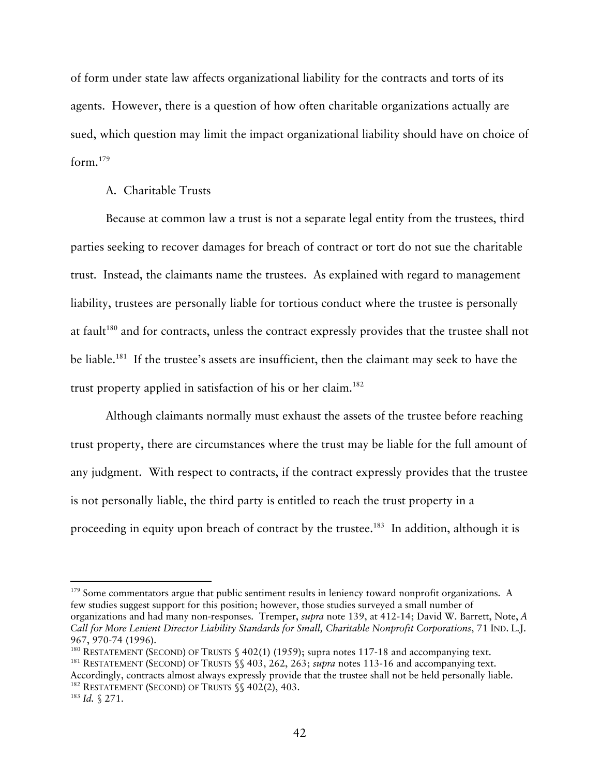of form under state law affects organizational liability for the contracts and torts of its agents. However, there is a question of how often charitable organizations actually are sued, which question may limit the impact organizational liability should have on choice of form.179

## A. Charitable Trusts

Because at common law a trust is not a separate legal entity from the trustees, third parties seeking to recover damages for breach of contract or tort do not sue the charitable trust. Instead, the claimants name the trustees. As explained with regard to management liability, trustees are personally liable for tortious conduct where the trustee is personally at fault<sup>180</sup> and for contracts, unless the contract expressly provides that the trustee shall not be liable.<sup>181</sup> If the trustee's assets are insufficient, then the claimant may seek to have the trust property applied in satisfaction of his or her claim.<sup>182</sup>

Although claimants normally must exhaust the assets of the trustee before reaching trust property, there are circumstances where the trust may be liable for the full amount of any judgment. With respect to contracts, if the contract expressly provides that the trustee is not personally liable, the third party is entitled to reach the trust property in a proceeding in equity upon breach of contract by the trustee.<sup>183</sup> In addition, although it is

 $179$  Some commentators argue that public sentiment results in leniency toward nonprofit organizations. A few studies suggest support for this position; however, those studies surveyed a small number of organizations and had many non-responses. Tremper, *supra* note 139, at 412-14; David W. Barrett, Note, *A Call for More Lenient Director Liability Standards for Small, Charitable Nonprofit Corporations*, 71 IND. L.J.

<sup>967, 970-74 (1996).&</sup>lt;br><sup>180</sup> RESTATEMENT (SECOND) OF TRUSTS § 402(1) (1959); supra notes 117-18 and accompanying text.<br><sup>181</sup> RESTATEMENT (SECOND) OF TRUSTS §§ 403, 262, 263; *supra* notes 113-16 and accompanying text.

Accordingly, contracts almost always expressly provide that the trustee shall not be held personally liable.<br><sup>182</sup> RESTATEMENT (SECOND) OF TRUSTS §§ 402(2), 403.<br><sup>183</sup> *Id.* § 271.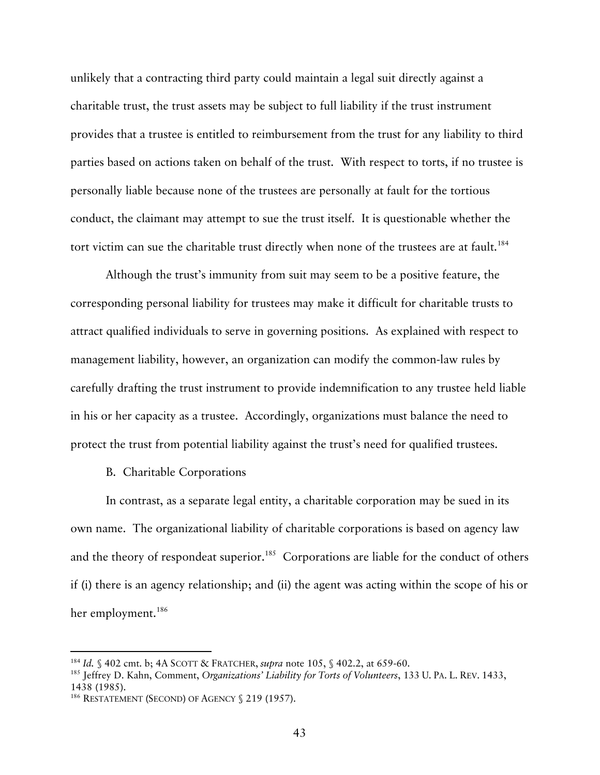unlikely that a contracting third party could maintain a legal suit directly against a charitable trust, the trust assets may be subject to full liability if the trust instrument provides that a trustee is entitled to reimbursement from the trust for any liability to third parties based on actions taken on behalf of the trust. With respect to torts, if no trustee is personally liable because none of the trustees are personally at fault for the tortious conduct, the claimant may attempt to sue the trust itself. It is questionable whether the tort victim can sue the charitable trust directly when none of the trustees are at fault.<sup>184</sup>

Although the trust's immunity from suit may seem to be a positive feature, the corresponding personal liability for trustees may make it difficult for charitable trusts to attract qualified individuals to serve in governing positions. As explained with respect to management liability, however, an organization can modify the common-law rules by carefully drafting the trust instrument to provide indemnification to any trustee held liable in his or her capacity as a trustee. Accordingly, organizations must balance the need to protect the trust from potential liability against the trust's need for qualified trustees.

## B. Charitable Corporations

In contrast, as a separate legal entity, a charitable corporation may be sued in its own name. The organizational liability of charitable corporations is based on agency law and the theory of respondeat superior.<sup>185</sup> Corporations are liable for the conduct of others if (i) there is an agency relationship; and (ii) the agent was acting within the scope of his or her employment.<sup>186</sup>

<sup>&</sup>lt;sup>184</sup> *Id.* § 402 cmt. b; 4A SCOTT & FRATCHER, *supra* note 105, § 402.2, at 659-60.<br><sup>185</sup> Jeffrey D. Kahn, Comment, *Organizations' Liability for Torts of Volunteers*, 133 U. PA. L. REV. 1433, 1438 (1985).

<sup>&</sup>lt;sup>186</sup> RESTATEMENT (SECOND) OF AGENCY § 219 (1957).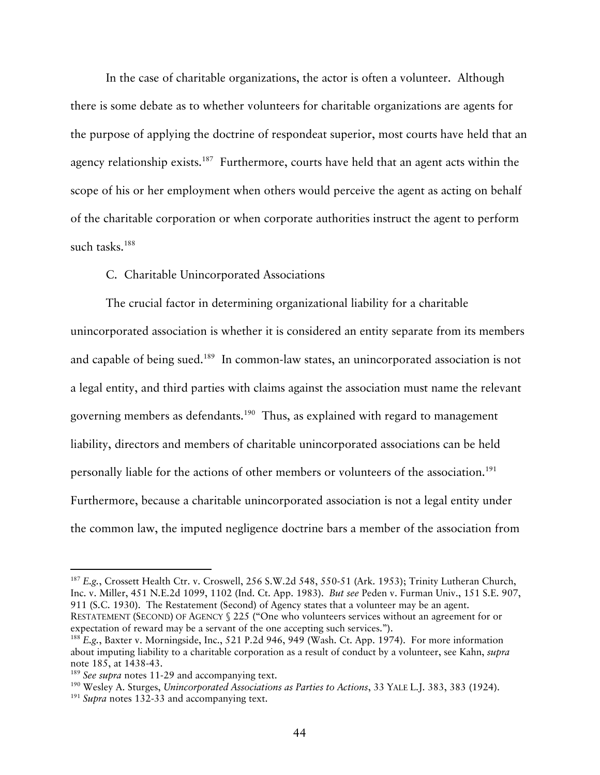In the case of charitable organizations, the actor is often a volunteer. Although there is some debate as to whether volunteers for charitable organizations are agents for the purpose of applying the doctrine of respondeat superior, most courts have held that an agency relationship exists.<sup>187</sup> Furthermore, courts have held that an agent acts within the scope of his or her employment when others would perceive the agent as acting on behalf of the charitable corporation or when corporate authorities instruct the agent to perform such tasks.<sup>188</sup>

## C. Charitable Unincorporated Associations

The crucial factor in determining organizational liability for a charitable unincorporated association is whether it is considered an entity separate from its members and capable of being sued.<sup>189</sup> In common-law states, an unincorporated association is not a legal entity, and third parties with claims against the association must name the relevant governing members as defendants.<sup>190</sup> Thus, as explained with regard to management liability, directors and members of charitable unincorporated associations can be held personally liable for the actions of other members or volunteers of the association.<sup>191</sup> Furthermore, because a charitable unincorporated association is not a legal entity under the common law, the imputed negligence doctrine bars a member of the association from

<sup>&</sup>lt;sup>187</sup> E.g., Crossett Health Ctr. v. Croswell, 256 S.W.2d 548, 550-51 (Ark. 1953); Trinity Lutheran Church, Inc. v. Miller, 451 N.E.2d 1099, 1102 (Ind. Ct. App. 1983). *But see* Peden v. Furman Univ., 151 S.E. 907, 911 (S.C. 1930). The Restatement (Second) of Agency states that a volunteer may be an agent. RESTATEMENT (SECOND) OF AGENCY § 225 ("One who volunteers services without an agreement for or

expectation of reward may be a servant of the one accepting such services."). 188 *E.g.*, Baxter v. Morningside, Inc., 521 P.2d 946, 949 (Wash. Ct. App. 1974). For more information about imputing liability to a charitable corporation as a result of conduct by a volunteer, see Kahn, *supra*  note 185, at 1438-43.<br><sup>189</sup> See supra notes 11-29 and accompanying text.<br><sup>190</sup> Wesley A. Sturges, *Unincorporated Associations as Parties to Actions*, 33 YALE L.J. 383, 383 (1924).<br><sup>191</sup> Supra notes 132-33 and accompanying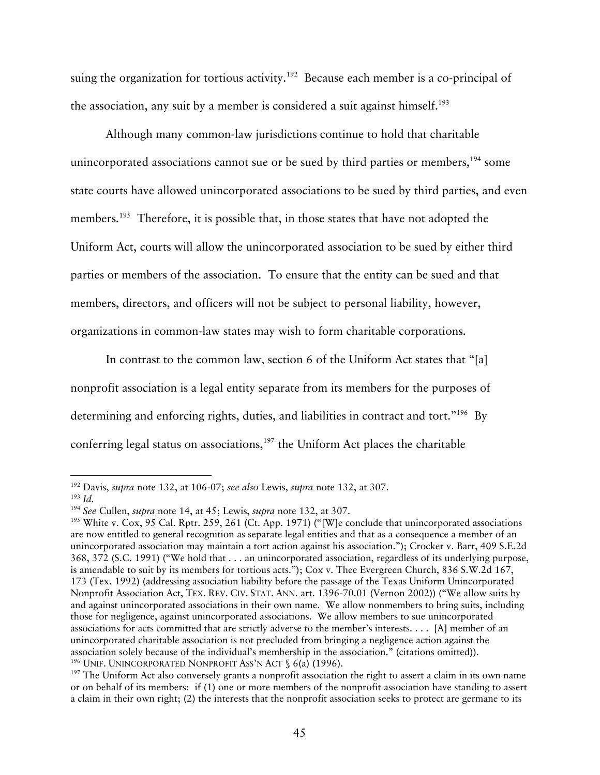suing the organization for tortious activity.<sup>192</sup> Because each member is a co-principal of the association, any suit by a member is considered a suit against himself.<sup>193</sup>

Although many common-law jurisdictions continue to hold that charitable unincorporated associations cannot sue or be sued by third parties or members,  $194$  some state courts have allowed unincorporated associations to be sued by third parties, and even members.<sup>195</sup> Therefore, it is possible that, in those states that have not adopted the Uniform Act, courts will allow the unincorporated association to be sued by either third parties or members of the association. To ensure that the entity can be sued and that members, directors, and officers will not be subject to personal liability, however, organizations in common-law states may wish to form charitable corporations.

In contrast to the common law, section 6 of the Uniform Act states that "[a] nonprofit association is a legal entity separate from its members for the purposes of determining and enforcing rights, duties, and liabilities in contract and tort."<sup>196</sup> By conferring legal status on associations, $197$  the Uniform Act places the charitable

<sup>&</sup>lt;sup>192</sup> Davis, *supra* note 132, at 106-07; *see also* Lewis, *supra* note 132, at 307.<br><sup>193</sup> *Id. See* Cullen, *supra* note 14, at 45; Lewis, *supra* note 132, at 307.

<sup>&</sup>lt;sup>195</sup> White v. Cox, 95 Cal. Rptr. 259, 261 (Ct. App. 1971) ("[W]e conclude that unincorporated associations are now entitled to general recognition as separate legal entities and that as a consequence a member of an unincorporated association may maintain a tort action against his association."); Crocker v. Barr, 409 S.E.2d 368, 372 (S.C. 1991) ("We hold that . . . an unincorporated association, regardless of its underlying purpose, is amendable to suit by its members for tortious acts."); Cox v. Thee Evergreen Church, 836 S.W.2d 167, 173 (Tex. 1992) (addressing association liability before the passage of the Texas Uniform Unincorporated Nonprofit Association Act, TEX. REV. CIV. STAT. ANN. art. 1396-70.01 (Vernon 2002)) ("We allow suits by and against unincorporated associations in their own name. We allow nonmembers to bring suits, including those for negligence, against unincorporated associations. We allow members to sue unincorporated associations for acts committed that are strictly adverse to the member's interests. . . . [A] member of an unincorporated charitable association is not precluded from bringing a negligence action against the association solely because of the individual's membership in the association." (citations omitted)).<br><sup>196</sup> UNIF. UNINCORPORATED NONPROFIT ASS'N ACT  $\S$  6(a) (1996).

 $197$  The Uniform Act also conversely grants a nonprofit association the right to assert a claim in its own name or on behalf of its members: if (1) one or more members of the nonprofit association have standing to assert a claim in their own right; (2) the interests that the nonprofit association seeks to protect are germane to its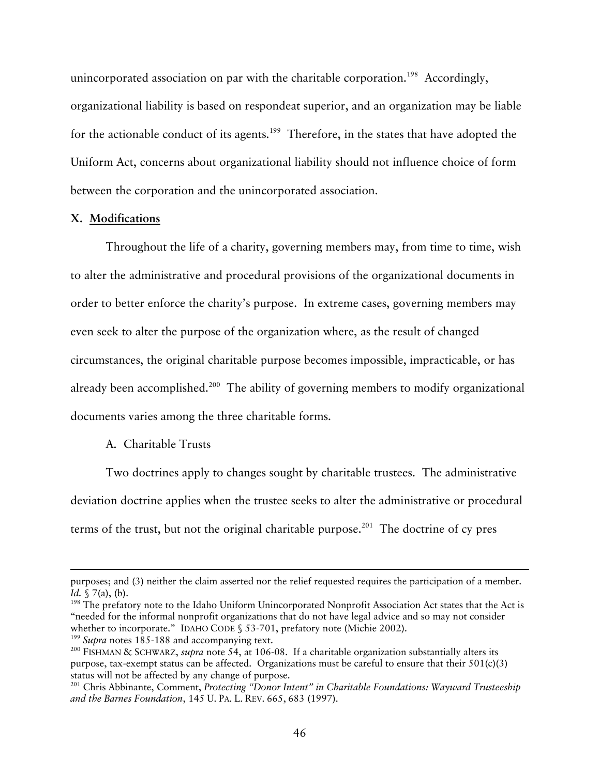unincorporated association on par with the charitable corporation.<sup>198</sup> Accordingly, organizational liability is based on respondeat superior, and an organization may be liable for the actionable conduct of its agents.<sup>199</sup> Therefore, in the states that have adopted the Uniform Act, concerns about organizational liability should not influence choice of form between the corporation and the unincorporated association.

#### **X. Modifications**

Throughout the life of a charity, governing members may, from time to time, wish to alter the administrative and procedural provisions of the organizational documents in order to better enforce the charity's purpose. In extreme cases, governing members may even seek to alter the purpose of the organization where, as the result of changed circumstances, the original charitable purpose becomes impossible, impracticable, or has already been accomplished.<sup>200</sup> The ability of governing members to modify organizational documents varies among the three charitable forms.

## A. Charitable Trusts

-

Two doctrines apply to changes sought by charitable trustees. The administrative deviation doctrine applies when the trustee seeks to alter the administrative or procedural terms of the trust, but not the original charitable purpose. 201 The doctrine of cy pres

purposes; and (3) neither the claim asserted nor the relief requested requires the participation of a member. *Id.* § 7(a), (b).

<sup>&</sup>lt;sup>198</sup> The prefatory note to the Idaho Uniform Unincorporated Nonprofit Association Act states that the Act is "needed for the informal nonprofit organizations that do not have legal advice and so may not consider whether to incorporate." IDAHO CODE § 53-701, prefatory note (Michie 2002).<br><sup>199</sup> Supra notes 185-188 and accompanying text.<br><sup>200</sup> FISHMAN & SCHWARZ, *supra* note 54, at 106-08. If a charitable organization substantially a

purpose, tax-exempt status can be affected. Organizations must be careful to ensure that their  $501(c)(3)$ status will not be affected by any change of purpose.<br><sup>201</sup> Chris Abbinante, Comment, *Protecting "Donor Intent" in Charitable Foundations: Wayward Trusteeship* 

*and the Barnes Foundation*, 145 U. PA. L. REV. 665, 683 (1997).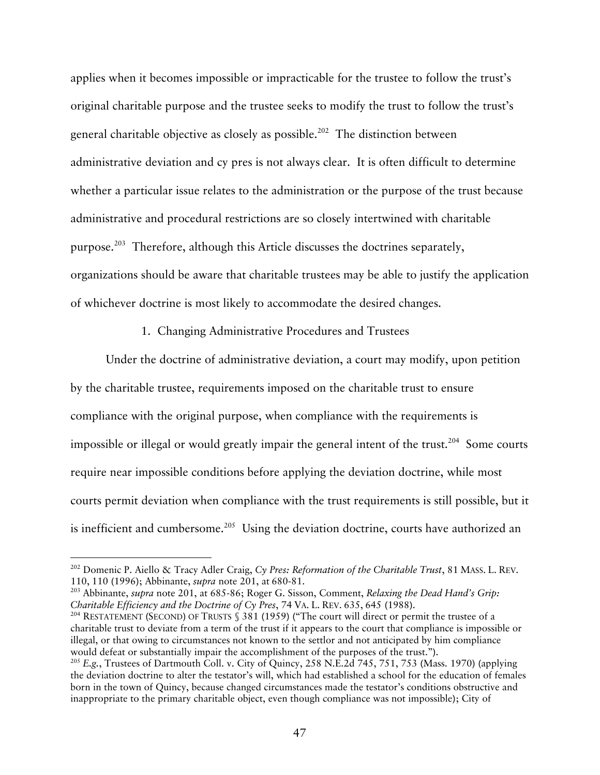applies when it becomes impossible or impracticable for the trustee to follow the trust's original charitable purpose and the trustee seeks to modify the trust to follow the trust's general charitable objective as closely as possible.<sup>202</sup> The distinction between administrative deviation and cy pres is not always clear. It is often difficult to determine whether a particular issue relates to the administration or the purpose of the trust because administrative and procedural restrictions are so closely intertwined with charitable purpose.203 Therefore, although this Article discusses the doctrines separately, organizations should be aware that charitable trustees may be able to justify the application of whichever doctrine is most likely to accommodate the desired changes.

#### 1. Changing Administrative Procedures and Trustees

Under the doctrine of administrative deviation, a court may modify, upon petition by the charitable trustee, requirements imposed on the charitable trust to ensure compliance with the original purpose, when compliance with the requirements is impossible or illegal or would greatly impair the general intent of the trust.<sup>204</sup> Some courts require near impossible conditions before applying the deviation doctrine, while most courts permit deviation when compliance with the trust requirements is still possible, but it is inefficient and cumbersome.<sup>205</sup> Using the deviation doctrine, courts have authorized an

 <sup>202</sup> Domenic P. Aiello & Tracy Adler Craig, *Cy Pres: Reformation of the Charitable Trust*, 81 MASS. L. REV. 110, 110 (1996); Abbinante, *supra* note 201, at 680-81.

<sup>203</sup> Abbinante, *supra* note 201, at 685-86; Roger G. Sisson, Comment, *Relaxing the Dead Hand's Grip:* 

<sup>&</sup>lt;sup>204</sup> RESTATEMENT (SECOND) OF TRUSTS § 381 (1959) ("The court will direct or permit the trustee of a charitable trust to deviate from a term of the trust if it appears to the court that compliance is impossible or illegal, or that owing to circumstances not known to the settlor and not anticipated by him compliance would defeat or substantially impair the accomplishment of the purposes of the trust.").<br><sup>205</sup> *E.g.*, Trustees of Dartmouth Coll. v. City of Quincy, 258 N.E.2d 745, 751, 753 (Mass. 1970) (applying

the deviation doctrine to alter the testator's will, which had established a school for the education of females born in the town of Quincy, because changed circumstances made the testator's conditions obstructive and inappropriate to the primary charitable object, even though compliance was not impossible); City of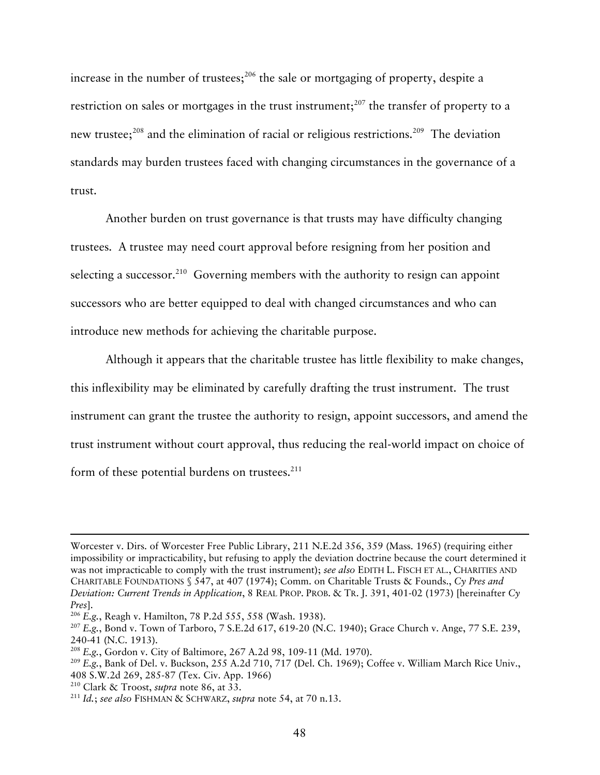increase in the number of trustees; $^{206}$  the sale or mortgaging of property, despite a restriction on sales or mortgages in the trust instrument;<sup>207</sup> the transfer of property to a new trustee;<sup>208</sup> and the elimination of racial or religious restrictions.<sup>209</sup> The deviation standards may burden trustees faced with changing circumstances in the governance of a trust.

Another burden on trust governance is that trusts may have difficulty changing trustees. A trustee may need court approval before resigning from her position and selecting a successor.<sup>210</sup> Governing members with the authority to resign can appoint successors who are better equipped to deal with changed circumstances and who can introduce new methods for achieving the charitable purpose.

Although it appears that the charitable trustee has little flexibility to make changes, this inflexibility may be eliminated by carefully drafting the trust instrument. The trust instrument can grant the trustee the authority to resign, appoint successors, and amend the trust instrument without court approval, thus reducing the real-world impact on choice of form of these potential burdens on trustees. $^{211}$ 

 $\overline{a}$ 

Worcester v. Dirs. of Worcester Free Public Library, 211 N.E.2d 356, 359 (Mass. 1965) (requiring either impossibility or impracticability, but refusing to apply the deviation doctrine because the court determined it was not impracticable to comply with the trust instrument); *see also* EDITH L. FISCH ET AL., CHARITIES AND CHARITABLE FOUNDATIONS § 547, at 407 (1974); Comm. on Charitable Trusts & Founds., *Cy Pres and Deviation: Current Trends in Application*, 8 REAL PROP. PROB. & TR. J. 391, 401-02 (1973) [hereinafter *Cy Pres*].<br><sup>206</sup> E.g., Reagh v. Hamilton, 78 P.2d 555, 558 (Wash. 1938).<br><sup>207</sup> E.g., Bond v. Town of Tarboro, 7 S.E.2d 617, 619-20 (N.C. 1940); Grace Church v. Ange, 77 S.E. 239,

<sup>240-41 (</sup>N.C. 1913). 208 *E.g.*, Gordon v. City of Baltimore, 267 A.2d 98, 109-11 (Md. 1970).

<sup>209</sup> *E.g.*, Bank of Del. v. Buckson, 255 A.2d 710, 717 (Del. Ch. 1969); Coffee v. William March Rice Univ., 408 S.W.2d 269, 285-87 (Tex. Civ. App. 1966) 210 Clark & Troost, *supra* note 86, at 33. 211 *Id.*; *see also* FISHMAN & SCHWARZ, *supra* note 54, at 70 n.13.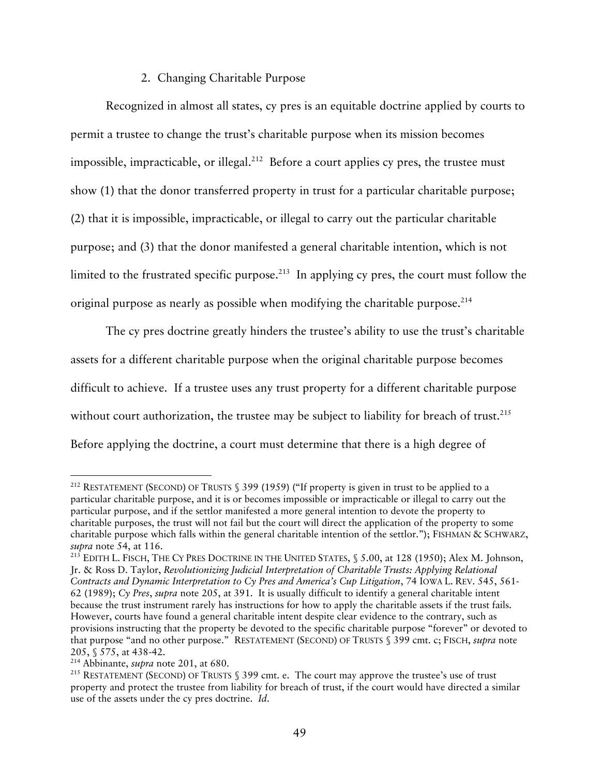## 2. Changing Charitable Purpose

Recognized in almost all states, cy pres is an equitable doctrine applied by courts to permit a trustee to change the trust's charitable purpose when its mission becomes impossible, impracticable, or illegal.<sup>212</sup> Before a court applies cy pres, the trustee must show (1) that the donor transferred property in trust for a particular charitable purpose; (2) that it is impossible, impracticable, or illegal to carry out the particular charitable purpose; and (3) that the donor manifested a general charitable intention, which is not limited to the frustrated specific purpose.<sup>213</sup> In applying cy pres, the court must follow the original purpose as nearly as possible when modifying the charitable purpose.<sup>214</sup>

The cy pres doctrine greatly hinders the trustee's ability to use the trust's charitable assets for a different charitable purpose when the original charitable purpose becomes difficult to achieve. If a trustee uses any trust property for a different charitable purpose without court authorization, the trustee may be subject to liability for breach of trust.<sup>215</sup> Before applying the doctrine, a court must determine that there is a high degree of

<sup>&</sup>lt;sup>212</sup> RESTATEMENT (SECOND) OF TRUSTS § 399 (1959) ("If property is given in trust to be applied to a particular charitable purpose, and it is or becomes impossible or impracticable or illegal to carry out the particular purpose, and if the settlor manifested a more general intention to devote the property to charitable purposes, the trust will not fail but the court will direct the application of the property to some charitable purpose which falls within the general charitable intention of the settlor."); FISHMAN & SCHWARZ, *supra* note 54, at 116.<br><sup>213</sup> EDITH L. FISCH, THE CY PRES DOCTRINE IN THE UNITED STATES, § 5.00, at 128 (1950); Alex M. Johnson,

Jr. & Ross D. Taylor, *Revolutionizing Judicial Interpretation of Charitable Trusts: Applying Relational Contracts and Dynamic Interpretation to Cy Pres and America's Cup Litigation*, 74 IOWA L. REV. 545, 561- 62 (1989); *Cy Pres*, *supra* note 205, at 391. It is usually difficult to identify a general charitable intent because the trust instrument rarely has instructions for how to apply the charitable assets if the trust fails. However, courts have found a general charitable intent despite clear evidence to the contrary, such as provisions instructing that the property be devoted to the specific charitable purpose "forever" or devoted to that purpose "and no other purpose." RESTATEMENT (SECOND) OF TRUSTS § 399 cmt. c; FISCH, *supra* note 205, § 575, at 438-42.<br><sup>214</sup> Abbinante, *supra* note 201, at 680.<br><sup>215</sup> RESTATEMENT (SECOND) OF TRUSTS § 399 cmt. e. The court may approve the trustee's use of trust

property and protect the trustee from liability for breach of trust, if the court would have directed a similar use of the assets under the cy pres doctrine. *Id*.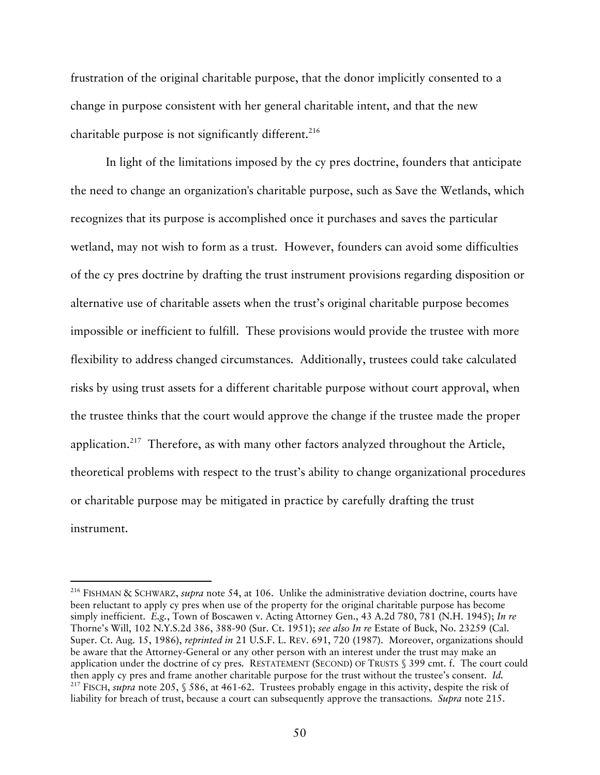frustration of the original charitable purpose, that the donor implicitly consented to a change in purpose consistent with her general charitable intent, and that the new charitable purpose is not significantly different.<sup>216</sup>

In light of the limitations imposed by the cy pres doctrine, founders that anticipate the need to change an organization's charitable purpose, such as Save the Wetlands, which recognizes that its purpose is accomplished once it purchases and saves the particular wetland, may not wish to form as a trust. However, founders can avoid some difficulties of the cy pres doctrine by drafting the trust instrument provisions regarding disposition or alternative use of charitable assets when the trust's original charitable purpose becomes impossible or inefficient to fulfill. These provisions would provide the trustee with more flexibility to address changed circumstances. Additionally, trustees could take calculated risks by using trust assets for a different charitable purpose without court approval, when the trustee thinks that the court would approve the change if the trustee made the proper application.217 Therefore, as with many other factors analyzed throughout the Article, theoretical problems with respect to the trust's ability to change organizational procedures or charitable purpose may be mitigated in practice by carefully drafting the trust instrument.

 <sup>216</sup> FISHMAN & SCHWARZ, *supra* note 54, at 106. Unlike the administrative deviation doctrine, courts have been reluctant to apply cy pres when use of the property for the original charitable purpose has become simply inefficient. *E.g.*, Town of Boscawen v. Acting Attorney Gen., 43 A.2d 780, 781 (N.H. 1945); *In re* Thorne's Will, 102 N.Y.S.2d 386, 388-90 (Sur. Ct. 1951); *see also In re* Estate of Buck, No. 23259 (Cal. Super. Ct. Aug. 15, 1986), *reprinted in* 21 U.S.F. L. REV. 691, 720 (1987). Moreover, organizations should be aware that the Attorney-General or any other person with an interest under the trust may make an application under the doctrine of cy pres. RESTATEMENT (SECOND) OF TRUSTS § 399 cmt. f. The court could then apply cy pres and frame another charitable purpose for the trust without the trustee's consent. *Id.* 217 FISCH, *supra* note 205, § 586, at 461-62. Trustees probably engage in this activity, despite the risk of liability for breach of trust, because a court can subsequently approve the transactions. *Supra* note 215.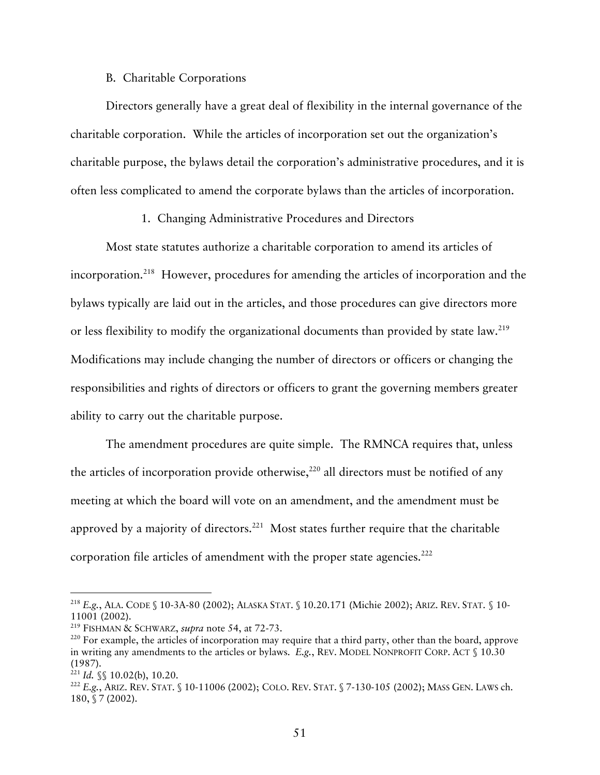## B. Charitable Corporations

Directors generally have a great deal of flexibility in the internal governance of the charitable corporation. While the articles of incorporation set out the organization's charitable purpose, the bylaws detail the corporation's administrative procedures, and it is often less complicated to amend the corporate bylaws than the articles of incorporation.

### 1. Changing Administrative Procedures and Directors

Most state statutes authorize a charitable corporation to amend its articles of incorporation.218 However, procedures for amending the articles of incorporation and the bylaws typically are laid out in the articles, and those procedures can give directors more or less flexibility to modify the organizational documents than provided by state law.<sup>219</sup> Modifications may include changing the number of directors or officers or changing the responsibilities and rights of directors or officers to grant the governing members greater ability to carry out the charitable purpose.

The amendment procedures are quite simple. The RMNCA requires that, unless the articles of incorporation provide otherwise, $220$  all directors must be notified of any meeting at which the board will vote on an amendment, and the amendment must be approved by a majority of directors.<sup>221</sup> Most states further require that the charitable corporation file articles of amendment with the proper state agencies. $^{222}$ 

 <sup>218</sup> *E.g.*, ALA. CODE § 10-3A-80 (2002); ALASKA STAT. § 10.20.171 (Michie 2002); ARIZ. REV. STAT. § 10- 11001 (2002).<br><sup>219</sup> FISHMAN & SCHWARZ, *supra* note 54, at 72-73.<br><sup>220</sup> For example, the articles of incorporation may require that a third party, other than the board, approve

in writing any amendments to the articles or bylaws. *E.g.*, REV. MODEL NONPROFIT CORP. ACT § 10.30

<sup>&</sup>lt;sup>221</sup> *Id.* §§ 10.02(b), 10.20.<br><sup>222</sup> *E.g.*, Ariz. Rev. Stat. § 10-11006 (2002); Colo. Rev. Stat. § 7-130-105 (2002); Mass Gen. Laws ch. 180, § 7 (2002).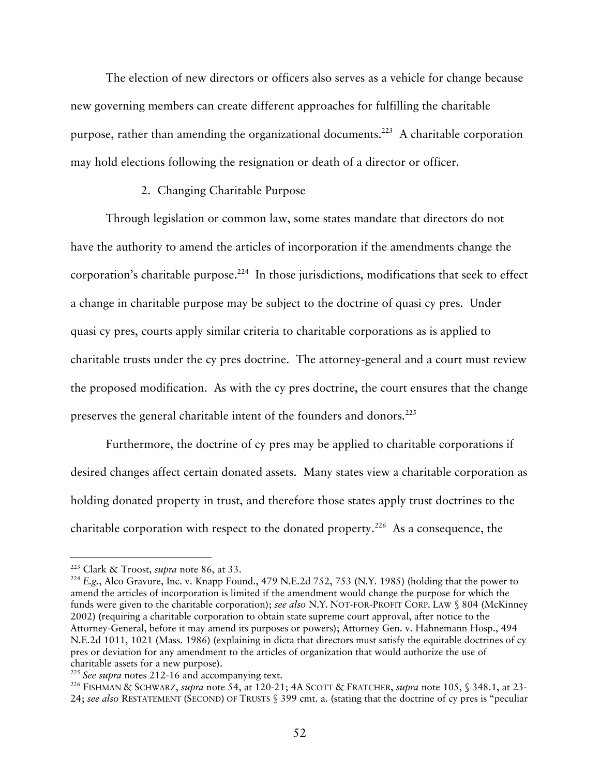The election of new directors or officers also serves as a vehicle for change because new governing members can create different approaches for fulfilling the charitable purpose, rather than amending the organizational documents.<sup>223</sup> A charitable corporation may hold elections following the resignation or death of a director or officer.

# 2. Changing Charitable Purpose

Through legislation or common law, some states mandate that directors do not have the authority to amend the articles of incorporation if the amendments change the corporation's charitable purpose.<sup>224</sup> In those jurisdictions, modifications that seek to effect a change in charitable purpose may be subject to the doctrine of quasi cy pres. Under quasi cy pres, courts apply similar criteria to charitable corporations as is applied to charitable trusts under the cy pres doctrine. The attorney-general and a court must review the proposed modification. As with the cy pres doctrine, the court ensures that the change preserves the general charitable intent of the founders and donors.<sup>225</sup>

Furthermore, the doctrine of cy pres may be applied to charitable corporations if desired changes affect certain donated assets. Many states view a charitable corporation as holding donated property in trust, and therefore those states apply trust doctrines to the charitable corporation with respect to the donated property.<sup>226</sup> As a consequence, the

<sup>&</sup>lt;sup>223</sup> Clark & Troost, *supra* note 86, at 33.<br><sup>224</sup> E.g., Alco Gravure, Inc. v. Knapp Found., 479 N.E.2d 752, 753 (N.Y. 1985) (holding that the power to amend the articles of incorporation is limited if the amendment would change the purpose for which the funds were given to the charitable corporation); *see also* N.Y. NOT-FOR-PROFIT CORP. LAW § 804 (McKinney 2002) **(**requiring a charitable corporation to obtain state supreme court approval, after notice to the Attorney-General, before it may amend its purposes or powers); Attorney Gen. v. Hahnemann Hosp., 494 N.E.2d 1011, 1021 (Mass. 1986) (explaining in dicta that directors must satisfy the equitable doctrines of cy pres or deviation for any amendment to the articles of organization that would authorize the use of charitable assets for a new purpose).<br><sup>225</sup> *See supra* notes 212-16 and accompanying text.<br><sup>226</sup> FISHMAN & SCHWARZ, *supra* note 54, at 120-21; 4A SCOTT & FRATCHER, *supra* note 105, § 348.1, at 23-

<sup>24;</sup> *see also* RESTATEMENT (SECOND) OF TRUSTS § 399 cmt. a. (stating that the doctrine of cy pres is "peculiar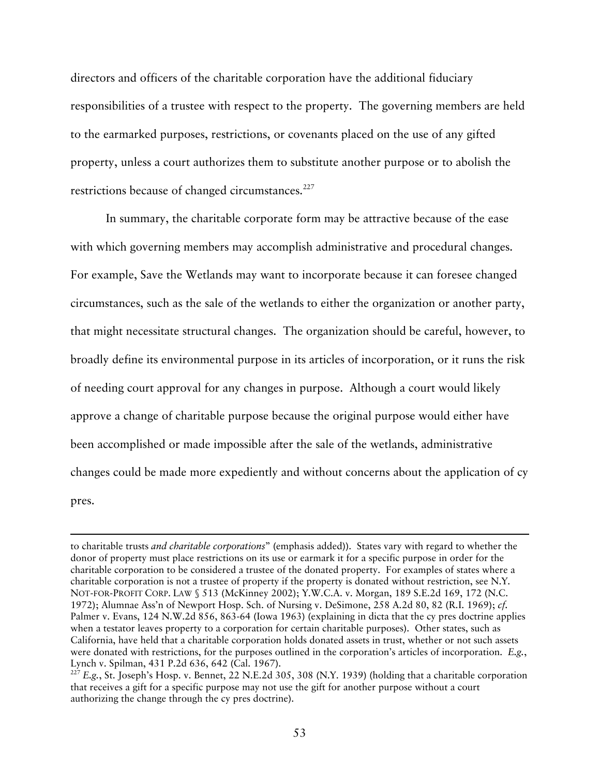directors and officers of the charitable corporation have the additional fiduciary responsibilities of a trustee with respect to the property. The governing members are held to the earmarked purposes, restrictions, or covenants placed on the use of any gifted property, unless a court authorizes them to substitute another purpose or to abolish the restrictions because of changed circumstances.<sup>227</sup>

In summary, the charitable corporate form may be attractive because of the ease with which governing members may accomplish administrative and procedural changes. For example, Save the Wetlands may want to incorporate because it can foresee changed circumstances, such as the sale of the wetlands to either the organization or another party, that might necessitate structural changes. The organization should be careful, however, to broadly define its environmental purpose in its articles of incorporation, or it runs the risk of needing court approval for any changes in purpose. Although a court would likely approve a change of charitable purpose because the original purpose would either have been accomplished or made impossible after the sale of the wetlands, administrative changes could be made more expediently and without concerns about the application of cy pres.

-

to charitable trusts *and charitable corporations*" (emphasis added)). States vary with regard to whether the donor of property must place restrictions on its use or earmark it for a specific purpose in order for the charitable corporation to be considered a trustee of the donated property. For examples of states where a charitable corporation is not a trustee of property if the property is donated without restriction, see N.Y. NOT-FOR-PROFIT CORP. LAW § 513 (McKinney 2002); Y.W.C.A. v. Morgan, 189 S.E.2d 169, 172 (N.C. 1972); Alumnae Ass'n of Newport Hosp. Sch. of Nursing v. DeSimone, 258 A.2d 80, 82 (R.I. 1969); *cf.* Palmer v. Evans, 124 N.W.2d 856, 863-64 (Iowa 1963) (explaining in dicta that the cy pres doctrine applies when a testator leaves property to a corporation for certain charitable purposes). Other states, such as California, have held that a charitable corporation holds donated assets in trust, whether or not such assets were donated with restrictions, for the purposes outlined in the corporation's articles of incorporation. *E.g.*, Lynch v. Spilman, 431 P.2d 636, 642 (Cal. 1967).<br><sup>227</sup> *E.g.*, St. Joseph's Hosp. v. Bennet, 22 N.E.2d 305, 308 (N.Y. 1939) (holding that a charitable corporation

that receives a gift for a specific purpose may not use the gift for another purpose without a court authorizing the change through the cy pres doctrine).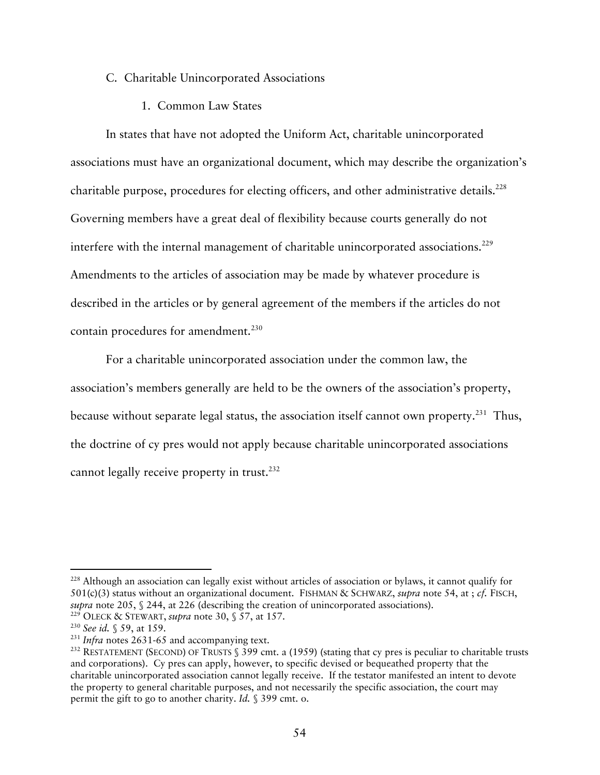### C. Charitable Unincorporated Associations

1. Common Law States

In states that have not adopted the Uniform Act, charitable unincorporated associations must have an organizational document, which may describe the organization's charitable purpose, procedures for electing officers, and other administrative details.<sup>228</sup> Governing members have a great deal of flexibility because courts generally do not interfere with the internal management of charitable unincorporated associations.<sup>229</sup> Amendments to the articles of association may be made by whatever procedure is described in the articles or by general agreement of the members if the articles do not contain procedures for amendment.<sup>230</sup>

For a charitable unincorporated association under the common law, the association's members generally are held to be the owners of the association's property, because without separate legal status, the association itself cannot own property.<sup>231</sup> Thus, the doctrine of cy pres would not apply because charitable unincorporated associations cannot legally receive property in trust.<sup>232</sup>

<sup>&</sup>lt;sup>228</sup> Although an association can legally exist without articles of association or bylaws, it cannot qualify for 501(c)(3) status without an organizational document. FISHMAN & SCHWARZ, *supra* note 54, at ; *cf*. FISCH, *supra* note 205, § 244, at 226 (describing the creation of unincorporated associations).

<sup>&</sup>lt;sup>229</sup> OLECK & STEWART, *supra* note 30, § 57, at 157.<br><sup>230</sup> See id. § 59, at 159.<br><sup>231</sup> Infra notes 2631-65 and accompanying text.<br><sup>232</sup> RESTATEMENT (SECOND) OF TRUSTS § 399 cmt. a (1959) (stating that cy pres is peculiar and corporations). Cy pres can apply, however, to specific devised or bequeathed property that the charitable unincorporated association cannot legally receive. If the testator manifested an intent to devote the property to general charitable purposes, and not necessarily the specific association, the court may permit the gift to go to another charity. *Id.* § 399 cmt. o.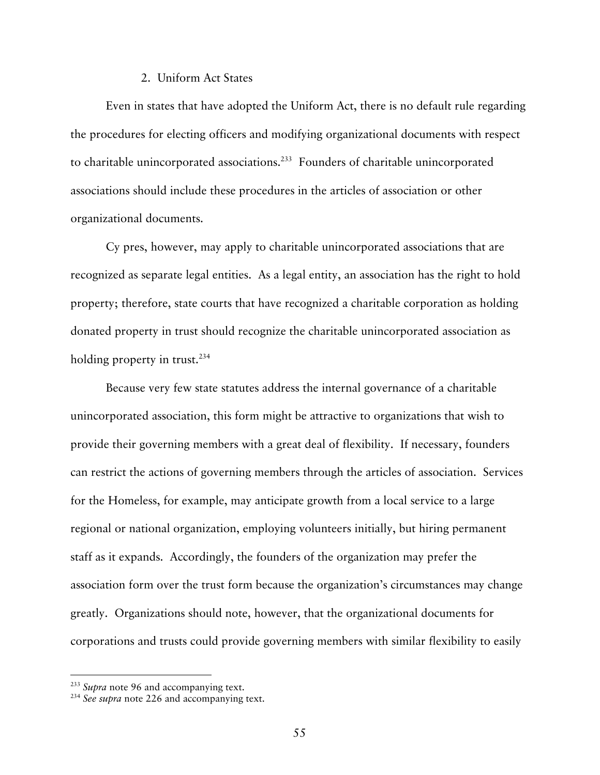### 2. Uniform Act States

Even in states that have adopted the Uniform Act, there is no default rule regarding the procedures for electing officers and modifying organizational documents with respect to charitable unincorporated associations.<sup>233</sup> Founders of charitable unincorporated associations should include these procedures in the articles of association or other organizational documents.

Cy pres, however, may apply to charitable unincorporated associations that are recognized as separate legal entities. As a legal entity, an association has the right to hold property; therefore, state courts that have recognized a charitable corporation as holding donated property in trust should recognize the charitable unincorporated association as holding property in trust.<sup>234</sup>

Because very few state statutes address the internal governance of a charitable unincorporated association, this form might be attractive to organizations that wish to provide their governing members with a great deal of flexibility. If necessary, founders can restrict the actions of governing members through the articles of association. Services for the Homeless, for example, may anticipate growth from a local service to a large regional or national organization, employing volunteers initially, but hiring permanent staff as it expands. Accordingly, the founders of the organization may prefer the association form over the trust form because the organization's circumstances may change greatly. Organizations should note, however, that the organizational documents for corporations and trusts could provide governing members with similar flexibility to easily

<sup>233</sup> *Supra* note 96 and accompanying text. 234 *See supra* note 226 and accompanying text.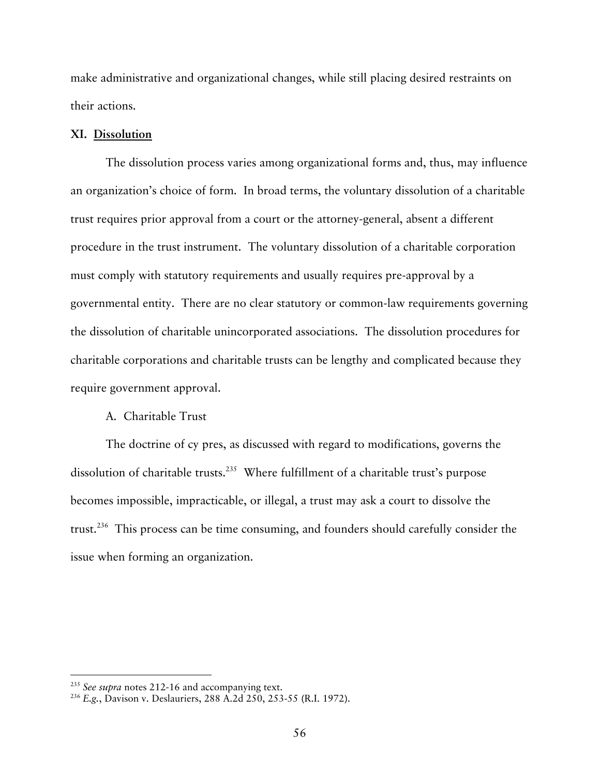make administrative and organizational changes, while still placing desired restraints on their actions.

#### **XI. Dissolution**

The dissolution process varies among organizational forms and, thus, may influence an organization's choice of form. In broad terms, the voluntary dissolution of a charitable trust requires prior approval from a court or the attorney-general, absent a different procedure in the trust instrument. The voluntary dissolution of a charitable corporation must comply with statutory requirements and usually requires pre-approval by a governmental entity. There are no clear statutory or common-law requirements governing the dissolution of charitable unincorporated associations. The dissolution procedures for charitable corporations and charitable trusts can be lengthy and complicated because they require government approval.

## A. Charitable Trust

The doctrine of cy pres, as discussed with regard to modifications, governs the dissolution of charitable trusts. 235 Where fulfillment of a charitable trust's purpose becomes impossible, impracticable, or illegal, a trust may ask a court to dissolve the trust.236 This process can be time consuming, and founders should carefully consider the issue when forming an organization.

<sup>&</sup>lt;sup>235</sup> *See supra* notes 212-16 and accompanying text.<br><sup>236</sup> *E.g.*, Davison v. Deslauriers, 288 A.2d 250, 253-55 (R.I. 1972).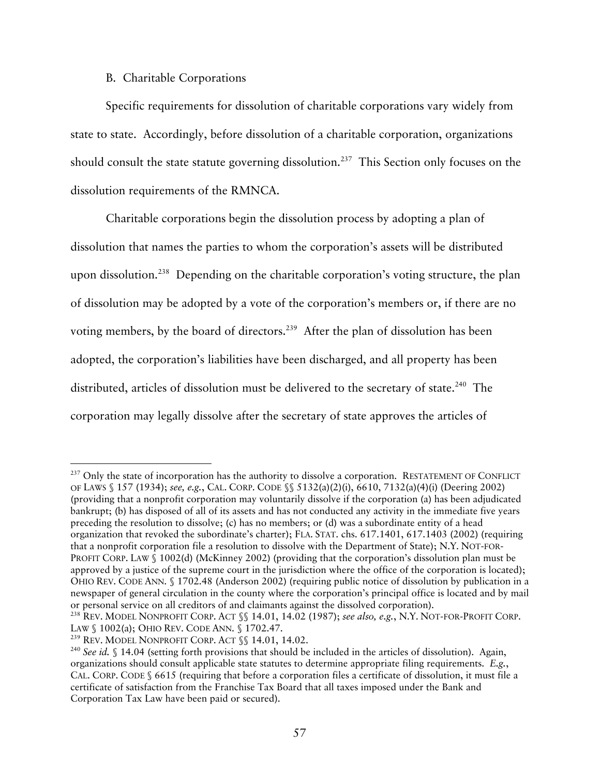# B. Charitable Corporations

Specific requirements for dissolution of charitable corporations vary widely from state to state. Accordingly, before dissolution of a charitable corporation, organizations should consult the state statute governing dissolution.<sup>237</sup> This Section only focuses on the dissolution requirements of the RMNCA.

Charitable corporations begin the dissolution process by adopting a plan of dissolution that names the parties to whom the corporation's assets will be distributed upon dissolution.238 Depending on the charitable corporation's voting structure, the plan of dissolution may be adopted by a vote of the corporation's members or, if there are no voting members, by the board of directors.<sup>239</sup> After the plan of dissolution has been adopted, the corporation's liabilities have been discharged, and all property has been distributed, articles of dissolution must be delivered to the secretary of state.<sup>240</sup> The corporation may legally dissolve after the secretary of state approves the articles of

<sup>&</sup>lt;sup>237</sup> Only the state of incorporation has the authority to dissolve a corporation. RESTATEMENT OF CONFLICT OF LAWS § 157 (1934); *see, e.g.*, CAL. CORP. CODE §§ 5132(a)(2)(i), 6610, 7132(a)(4)(i) (Deering 2002) (providing that a nonprofit corporation may voluntarily dissolve if the corporation (a) has been adjudicated bankrupt; (b) has disposed of all of its assets and has not conducted any activity in the immediate five years preceding the resolution to dissolve; (c) has no members; or (d) was a subordinate entity of a head organization that revoked the subordinate's charter); FLA. STAT. chs. 617.1401, 617.1403 (2002) (requiring that a nonprofit corporation file a resolution to dissolve with the Department of State); N.Y. NOT-FOR-PROFIT CORP. LAW § 1002(d) (McKinney 2002) (providing that the corporation's dissolution plan must be approved by a justice of the supreme court in the jurisdiction where the office of the corporation is located); OHIO REV. CODE ANN. § 1702.48 (Anderson 2002) (requiring public notice of dissolution by publication in a newspaper of general circulation in the county where the corporation's principal office is located and by mail or personal service on all creditors of and claimants against the dissolved corporation). 238 REV. MODEL NONPROFIT CORP. ACT §§ 14.01, 14.02 (1987); *see also, e.g.*, N.Y. NOT-FOR-PROFIT CORP.

LAW § 1002(a); OHIO REV. CODE ANN. § 1702.47.<br><sup>239</sup> REV. MODEL NONPROFIT CORP. ACT §§ 14.01, 14.02.<br><sup>240</sup> *See id.* § 14.04 (setting forth provisions that should be included in the articles of dissolution). Again,

organizations should consult applicable state statutes to determine appropriate filing requirements. *E.g.*, CAL. CORP. CODE § 6615 (requiring that before a corporation files a certificate of dissolution, it must file a certificate of satisfaction from the Franchise Tax Board that all taxes imposed under the Bank and Corporation Tax Law have been paid or secured).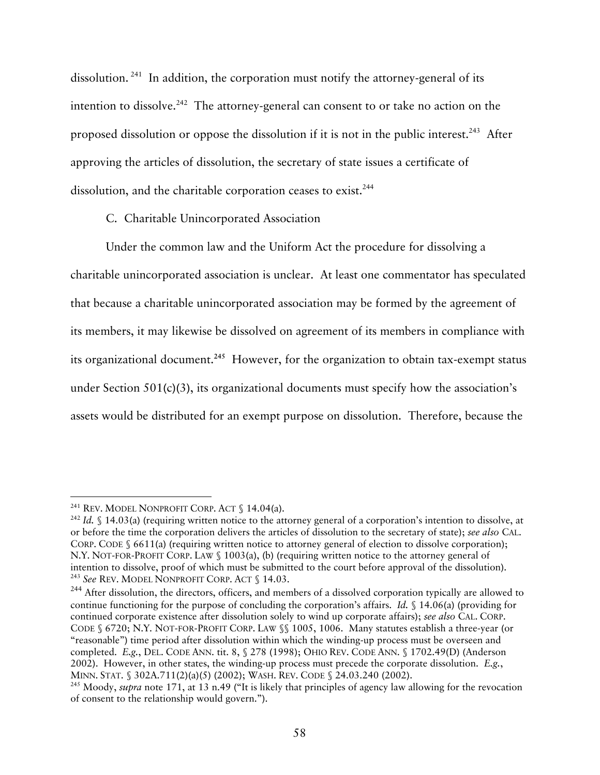dissolution. 241 In addition, the corporation must notify the attorney-general of its intention to dissolve.<sup>242</sup> The attorney-general can consent to or take no action on the proposed dissolution or oppose the dissolution if it is not in the public interest.<sup>243</sup> After approving the articles of dissolution, the secretary of state issues a certificate of dissolution, and the charitable corporation ceases to exist.<sup>244</sup>

C. Charitable Unincorporated Association

Under the common law and the Uniform Act the procedure for dissolving a charitable unincorporated association is unclear. At least one commentator has speculated that because a charitable unincorporated association may be formed by the agreement of its members, it may likewise be dissolved on agreement of its members in compliance with its organizational document.**<sup>245</sup>** However, for the organization to obtain tax-exempt status under Section 501(c)(3), its organizational documents must specify how the association's assets would be distributed for an exempt purpose on dissolution. Therefore, because the

<sup>&</sup>lt;sup>241</sup> REV. MODEL NONPROFIT CORP. ACT § 14.04(a).<br><sup>242</sup> *Id.* § 14.03(a) (requiring written notice to the attorney general of a corporation's intention to dissolve, at or before the time the corporation delivers the articles of dissolution to the secretary of state); *see also* CAL. CORP. CODE § 6611(a) (requiring written notice to attorney general of election to dissolve corporation); N.Y. NOT-FOR-PROFIT CORP. LAW § 1003(a), (b) (requiring written notice to the attorney general of intention to dissolve, proof of which must be submitted to the court before approval of the dissolution). 243 *See* REV. MODEL NONPROFIT CORP. ACT § 14.03.

<sup>&</sup>lt;sup>244</sup> After dissolution, the directors, officers, and members of a dissolved corporation typically are allowed to continue functioning for the purpose of concluding the corporation's affairs. *Id.* § 14.06(a) (providing for continued corporate existence after dissolution solely to wind up corporate affairs); *see also* CAL. CORP. CODE § 6720; N.Y. NOT-FOR-PROFIT CORP. LAW §§ 1005, 1006. Many statutes establish a three-year (or "reasonable") time period after dissolution within which the winding-up process must be overseen and completed. *E.g.*, DEL. CODE ANN. tit. 8, § 278 (1998); OHIO REV. CODE ANN. § 1702.49(D) (Anderson 2002). However, in other states, the winding-up process must precede the corporate dissolution. *E.g.*, MINN. STAT. § 302A.711(2)(a)(5) (2002); WASH. REV. CODE § 24.03.240 (2002).<br><sup>245</sup> Moody, *supra* note 171, at 13 n.49 ("It is likely that principles of agency law allowing for the revocation

of consent to the relationship would govern.").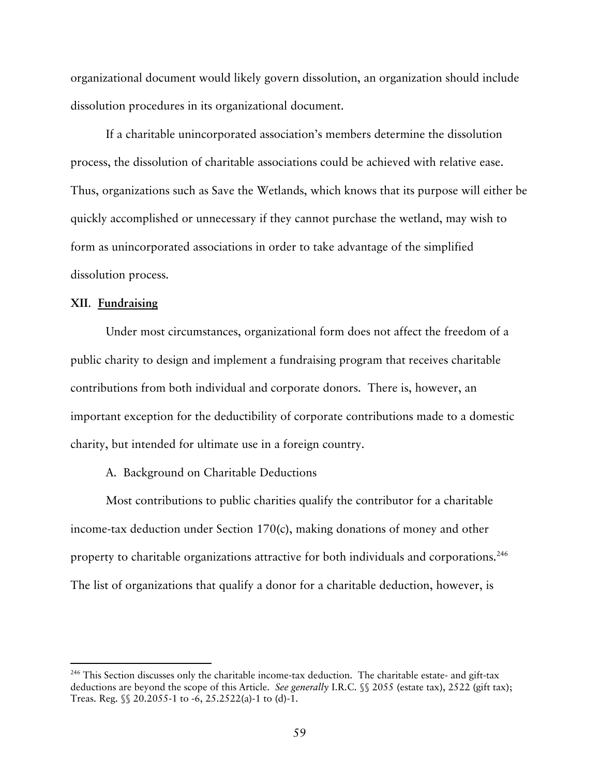organizational document would likely govern dissolution, an organization should include dissolution procedures in its organizational document.

If a charitable unincorporated association's members determine the dissolution process, the dissolution of charitable associations could be achieved with relative ease. Thus, organizations such as Save the Wetlands, which knows that its purpose will either be quickly accomplished or unnecessary if they cannot purchase the wetland, may wish to form as unincorporated associations in order to take advantage of the simplified dissolution process.

#### **XII**. **Fundraising**

Under most circumstances, organizational form does not affect the freedom of a public charity to design and implement a fundraising program that receives charitable contributions from both individual and corporate donors. There is, however, an important exception for the deductibility of corporate contributions made to a domestic charity, but intended for ultimate use in a foreign country.

#### A. Background on Charitable Deductions

Most contributions to public charities qualify the contributor for a charitable income-tax deduction under Section 170(c), making donations of money and other property to charitable organizations attractive for both individuals and corporations.<sup>246</sup> The list of organizations that qualify a donor for a charitable deduction, however, is

<sup>&</sup>lt;sup>246</sup> This Section discusses only the charitable income-tax deduction. The charitable estate- and gift-tax deductions are beyond the scope of this Article. *See generally* I.R.C. §§ 2055 (estate tax), 2522 (gift tax); Treas. Reg. §§ 20.2055-1 to -6, 25.2522(a)-1 to (d)-1.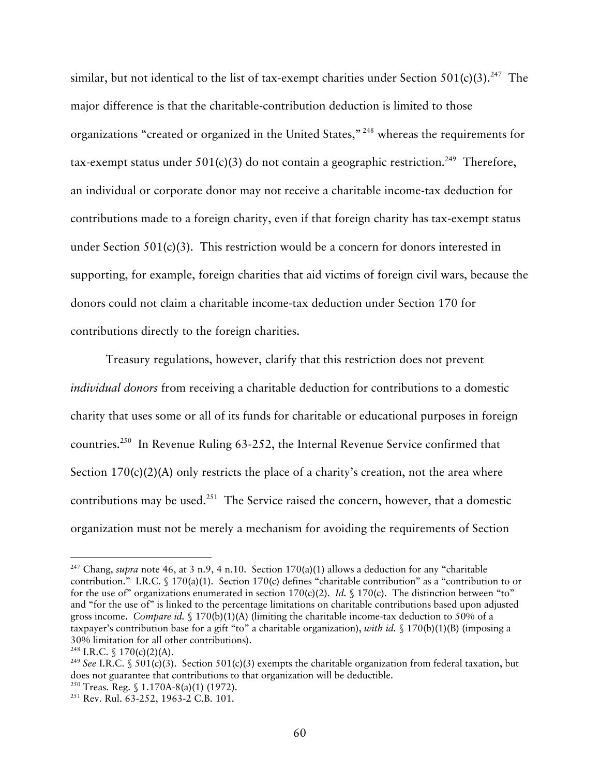similar, but not identical to the list of tax-exempt charities under Section  $501(c)(3)$ .<sup>247</sup> The major difference is that the charitable-contribution deduction is limited to those organizations "created or organized in the United States," 248 whereas the requirements for tax-exempt status under  $501(c)(3)$  do not contain a geographic restriction.<sup>249</sup> Therefore, an individual or corporate donor may not receive a charitable income-tax deduction for contributions made to a foreign charity, even if that foreign charity has tax-exempt status under Section 501(c)(3). This restriction would be a concern for donors interested in supporting, for example, foreign charities that aid victims of foreign civil wars, because the donors could not claim a charitable income-tax deduction under Section 170 for contributions directly to the foreign charities.

Treasury regulations, however, clarify that this restriction does not prevent *individual donors* from receiving a charitable deduction for contributions to a domestic charity that uses some or all of its funds for charitable or educational purposes in foreign countries.250 In Revenue Ruling 63-252, the Internal Revenue Service confirmed that Section  $170(c)(2)(A)$  only restricts the place of a charity's creation, not the area where contributions may be used.<sup>251</sup> The Service raised the concern, however, that a domestic organization must not be merely a mechanism for avoiding the requirements of Section

<sup>&</sup>lt;sup>247</sup> Chang, *supra* note 46, at 3 n.9, 4 n.10. Section 170(a)(1) allows a deduction for any "charitable contribution." I.R.C. § 170(a)(1). Section 170(c) defines "charitable contribution" as a "contribution to or for the use of" organizations enumerated in section 170(c)(2). *Id.* § 170(c). The distinction between "to" and "for the use of" is linked to the percentage limitations on charitable contributions based upon adjusted gross income**.** *Compare id.* § 170(b)(1)(A) (limiting the charitable income-tax deduction to 50% of a taxpayer's contribution base for a gift "to" a charitable organization), *with id.* § 170(b)(1)(B) (imposing a 30% limitation for all other contributions).<br><sup>248</sup> I.R.C. § 170(c)(2)(A).<br><sup>249</sup> *See* I.R.C. § 501(c)(3). Section 501(c)(3) exempts the charitable organization from federal taxation, but

does not guarantee that contributions to that organization will be deductible.<br><sup>250</sup> Treas. Reg. § 1.170A-8(a)(1) (1972).<br><sup>251</sup> Rev. Rul. 63-252, 1963-2 C.B. 101.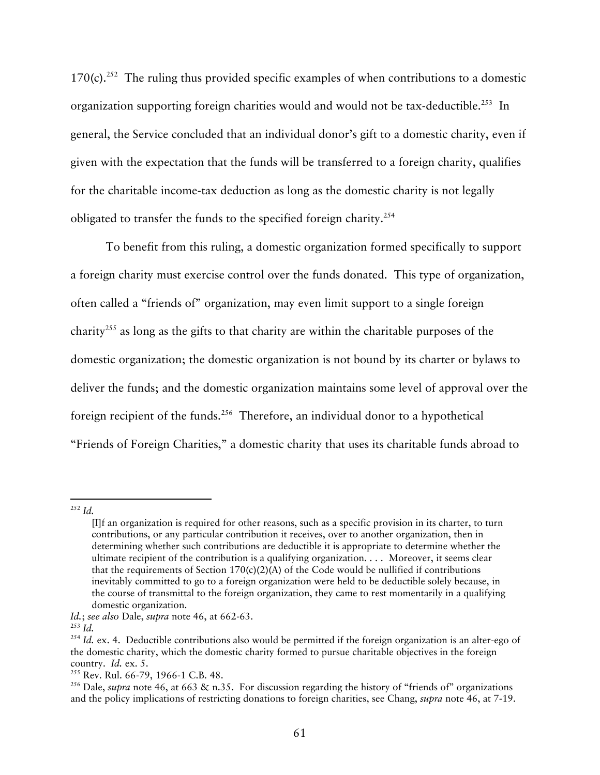170(c).<sup>252</sup> The ruling thus provided specific examples of when contributions to a domestic organization supporting foreign charities would and would not be tax-deductible.<sup>253</sup> In general, the Service concluded that an individual donor's gift to a domestic charity, even if given with the expectation that the funds will be transferred to a foreign charity, qualifies for the charitable income-tax deduction as long as the domestic charity is not legally obligated to transfer the funds to the specified foreign charity.254

To benefit from this ruling, a domestic organization formed specifically to support a foreign charity must exercise control over the funds donated. This type of organization, often called a "friends of" organization, may even limit support to a single foreign charity<sup>255</sup> as long as the gifts to that charity are within the charitable purposes of the domestic organization; the domestic organization is not bound by its charter or bylaws to deliver the funds; and the domestic organization maintains some level of approval over the foreign recipient of the funds.<sup>256</sup> Therefore, an individual donor to a hypothetical "Friends of Foreign Charities," a domestic charity that uses its charitable funds abroad to

252 *Id.*

<sup>[</sup>I]f an organization is required for other reasons, such as a specific provision in its charter, to turn contributions, or any particular contribution it receives, over to another organization, then in determining whether such contributions are deductible it is appropriate to determine whether the ultimate recipient of the contribution is a qualifying organization. . . . Moreover, it seems clear that the requirements of Section  $170(c)(2)(A)$  of the Code would be nullified if contributions inevitably committed to go to a foreign organization were held to be deductible solely because, in the course of transmittal to the foreign organization, they came to rest momentarily in a qualifying domestic organization.

*Id.*; *see also* Dale, *supra* note 46, at 662-63. 253 *Id.*

<sup>&</sup>lt;sup>254</sup> *Id.* ex. 4. Deductible contributions also would be permitted if the foreign organization is an alter-ego of the domestic charity, which the domestic charity formed to pursue charitable objectives in the foreign country. *Id.* ex. 5.<br><sup>255</sup> Rev. Rul. 66-79, 1966-1 C.B. 48.<br><sup>256</sup> Dale, *supra* note 46, at 663 & n.35. For discussion regarding the history of "friends of" organizations

and the policy implications of restricting donations to foreign charities, see Chang, *supra* note 46, at 7-19.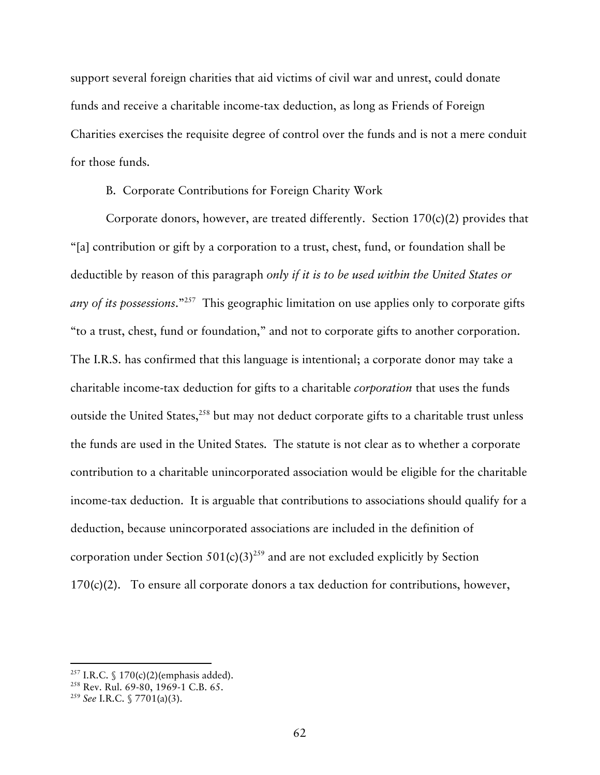support several foreign charities that aid victims of civil war and unrest, could donate funds and receive a charitable income-tax deduction, as long as Friends of Foreign Charities exercises the requisite degree of control over the funds and is not a mere conduit for those funds.

B. Corporate Contributions for Foreign Charity Work

Corporate donors, however, are treated differently. Section 170(c)(2) provides that "[a] contribution or gift by a corporation to a trust, chest, fund, or foundation shall be deductible by reason of this paragraph *only if it is to be used within the United States or any of its possessions*."257 This geographic limitation on use applies only to corporate gifts "to a trust, chest, fund or foundation," and not to corporate gifts to another corporation. The I.R.S. has confirmed that this language is intentional; a corporate donor may take a charitable income-tax deduction for gifts to a charitable *corporation* that uses the funds outside the United States,<sup>258</sup> but may not deduct corporate gifts to a charitable trust unless the funds are used in the United States. The statute is not clear as to whether a corporate contribution to a charitable unincorporated association would be eligible for the charitable income-tax deduction. It is arguable that contributions to associations should qualify for a deduction, because unincorporated associations are included in the definition of corporation under Section  $501(c)(3)^{259}$  and are not excluded explicitly by Section  $170(c)(2)$ . To ensure all corporate donors a tax deduction for contributions, however,

<sup>&</sup>lt;sup>257</sup> I.R.C. § 170(c)(2)(emphasis added).<br><sup>258</sup> Rev. Rul. 69-80, 1969-1 C.B. 65.<br><sup>259</sup> *See* I.R.C. § 7701(a)(3).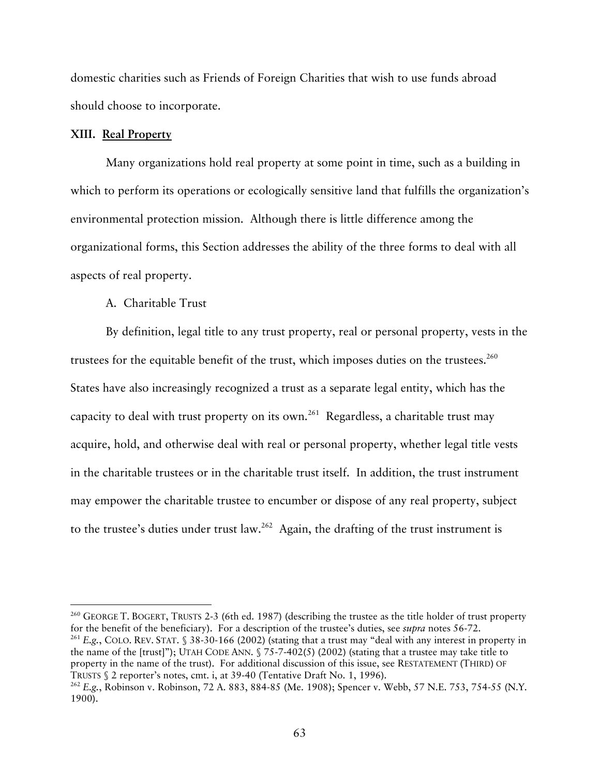domestic charities such as Friends of Foreign Charities that wish to use funds abroad should choose to incorporate.

#### **XIII. Real Property**

Many organizations hold real property at some point in time, such as a building in which to perform its operations or ecologically sensitive land that fulfills the organization's environmental protection mission. Although there is little difference among the organizational forms, this Section addresses the ability of the three forms to deal with all aspects of real property.

### A. Charitable Trust

By definition, legal title to any trust property, real or personal property, vests in the trustees for the equitable benefit of the trust, which imposes duties on the trustees.<sup>260</sup> States have also increasingly recognized a trust as a separate legal entity, which has the capacity to deal with trust property on its own.<sup>261</sup> Regardless, a charitable trust may acquire, hold, and otherwise deal with real or personal property, whether legal title vests in the charitable trustees or in the charitable trust itself. In addition, the trust instrument may empower the charitable trustee to encumber or dispose of any real property, subject to the trustee's duties under trust law.<sup>262</sup> Again, the drafting of the trust instrument is

<sup>260</sup> GEORGE T. BOGERT, TRUSTS 2-3 (6th ed. 1987) (describing the trustee as the title holder of trust property for the benefit of the beneficiary). For a description of the trustee's duties, see *supra* notes 56-72. <sup>261</sup> E.g., COLO. REV. STAT.  $$38-30-166 (2002)$  (stating that a trust may "deal with any interest in property in the name of the [trust]"); UTAH CODE ANN. § 75-7-402(5) (2002) (stating that a trustee may take title to property in the name of the trust). For additional discussion of this issue, see RESTATEMENT (THIRD) OF

TRUSTS § 2 reporter's notes, cmt. i, at 39-40 (Tentative Draft No. 1, 1996). 262 *E.g.*, Robinson v. Robinson, 72 A. 883, 884-85 (Me. 1908); Spencer v. Webb, 57 N.E. 753, 754-55 (N.Y. 1900).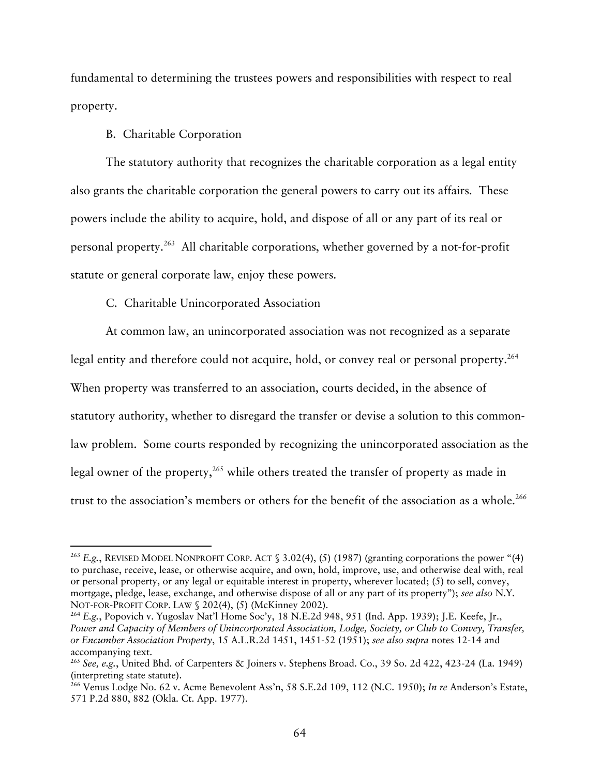fundamental to determining the trustees powers and responsibilities with respect to real property.

### B. Charitable Corporation

The statutory authority that recognizes the charitable corporation as a legal entity also grants the charitable corporation the general powers to carry out its affairs. These powers include the ability to acquire, hold, and dispose of all or any part of its real or personal property.263 All charitable corporations, whether governed by a not-for-profit statute or general corporate law, enjoy these powers.

### C. Charitable Unincorporated Association

At common law, an unincorporated association was not recognized as a separate legal entity and therefore could not acquire, hold, or convey real or personal property.<sup>264</sup> When property was transferred to an association, courts decided, in the absence of statutory authority, whether to disregard the transfer or devise a solution to this commonlaw problem. Some courts responded by recognizing the unincorporated association as the legal owner of the property,  $265$  while others treated the transfer of property as made in trust to the association's members or others for the benefit of the association as a whole.<sup>266</sup>

<sup>&</sup>lt;sup>263</sup> E.g., REVISED MODEL NONPROFIT CORP. ACT § 3.02(4), (5) (1987) (granting corporations the power "(4) to purchase, receive, lease, or otherwise acquire, and own, hold, improve, use, and otherwise deal with, real or personal property, or any legal or equitable interest in property, wherever located; (5) to sell, convey, mortgage, pledge, lease, exchange, and otherwise dispose of all or any part of its property"); *see also* N.Y. NOT-FOR-PROFIT CORP. LAW § 202(4), (5) (McKinney 2002).<br><sup>264</sup> E.g., Popovich v. Yugoslav Nat'l Home Soc'y, 18 N.E.2d 948, 951 (Ind. App. 1939); J.E. Keefe, Jr.,

*Power and Capacity of Members of Unincorporated Association, Lodge, Society, or Club to Convey, Transfer, or Encumber Association Property*, 15 A.L.R.2d 1451, 1451-52 (1951); *see also supra* notes 12-14 and accompanying text.

<sup>265</sup> *See, e.g.*, United Bhd. of Carpenters & Joiners v. Stephens Broad. Co., 39 So. 2d 422, 423-24 (La. 1949) (interpreting state statute).

<sup>266</sup> Venus Lodge No. 62 v. Acme Benevolent Ass'n, 58 S.E.2d 109, 112 (N.C. 1950); *In re* Anderson's Estate, 571 P.2d 880, 882 (Okla. Ct. App. 1977).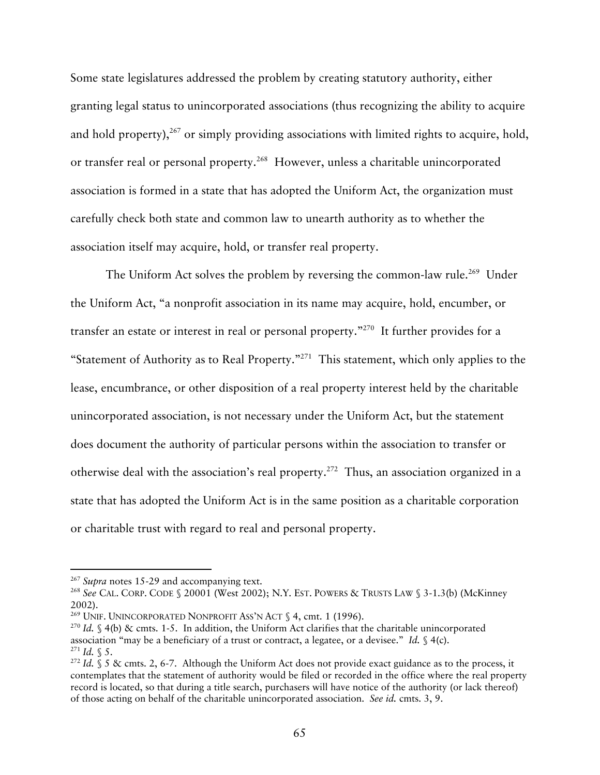Some state legislatures addressed the problem by creating statutory authority, either granting legal status to unincorporated associations (thus recognizing the ability to acquire and hold property), $267$  or simply providing associations with limited rights to acquire, hold, or transfer real or personal property.<sup>268</sup> However, unless a charitable unincorporated association is formed in a state that has adopted the Uniform Act, the organization must carefully check both state and common law to unearth authority as to whether the association itself may acquire, hold, or transfer real property.

The Uniform Act solves the problem by reversing the common-law rule.<sup>269</sup> Under the Uniform Act, "a nonprofit association in its name may acquire, hold, encumber, or transfer an estate or interest in real or personal property."270 It further provides for a "Statement of Authority as to Real Property."<sup>271</sup> This statement, which only applies to the lease, encumbrance, or other disposition of a real property interest held by the charitable unincorporated association, is not necessary under the Uniform Act, but the statement does document the authority of particular persons within the association to transfer or otherwise deal with the association's real property.272 Thus, an association organized in a state that has adopted the Uniform Act is in the same position as a charitable corporation or charitable trust with regard to real and personal property.

<sup>&</sup>lt;sup>267</sup> *Supra* notes 15-29 and accompanying text.<br><sup>268</sup> *See* CAL. CORP. CODE § 20001 (West 2002); N.Y. EST. POWERS & TRUSTS LAW § 3-1.3(b) (McKinney 2002).

<sup>&</sup>lt;sup>269</sup> UNIF. UNINCORPORATED NONPROFIT ASS'N ACT  $\frac{6}{3}$  4, cmt. 1 (1996).

<sup>270</sup> *Id.* § 4(b) & cmts. 1-5. In addition, the Uniform Act clarifies that the charitable unincorporated association "may be a beneficiary of a trust or contract, a legatee, or a devisee." *Id.* § 4(c). 271 *Id.* § 5.

<sup>272</sup> *Id.* § 5 & cmts. 2, 6-7. Although the Uniform Act does not provide exact guidance as to the process, it contemplates that the statement of authority would be filed or recorded in the office where the real property record is located, so that during a title search, purchasers will have notice of the authority (or lack thereof) of those acting on behalf of the charitable unincorporated association. *See id.* cmts. 3, 9.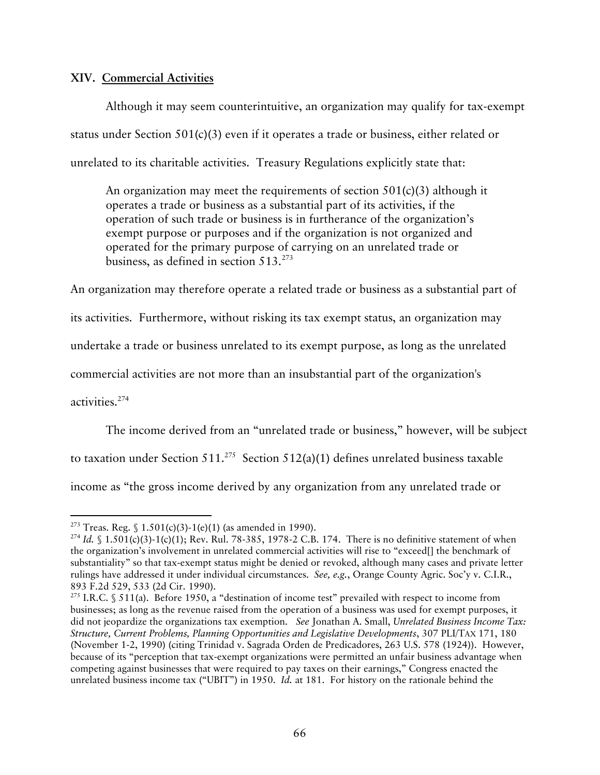## **XIV. Commercial Activities**

Although it may seem counterintuitive, an organization may qualify for tax-exempt status under Section 501(c)(3) even if it operates a trade or business, either related or unrelated to its charitable activities. Treasury Regulations explicitly state that:

An organization may meet the requirements of section 501(c)(3) although it operates a trade or business as a substantial part of its activities, if the operation of such trade or business is in furtherance of the organization's exempt purpose or purposes and if the organization is not organized and operated for the primary purpose of carrying on an unrelated trade or business, as defined in section  $513.^{273}$ 

An organization may therefore operate a related trade or business as a substantial part of

its activities. Furthermore, without risking its tax exempt status, an organization may

undertake a trade or business unrelated to its exempt purpose, as long as the unrelated

commercial activities are not more than an insubstantial part of the organization's

activities.274

The income derived from an "unrelated trade or business," however, will be subject to taxation under Section 511.<sup>275</sup> Section 512(a)(1) defines unrelated business taxable income as "the gross income derived by any organization from any unrelated trade or

<sup>&</sup>lt;sup>273</sup> Treas. Reg. § 1.501(c)(3)-1(e)(1) (as amended in 1990).<br><sup>274</sup> *Id.* § 1.501(c)(3)-1(c)(1); Rev. Rul. 78-385, 1978-2 C.B. 174. There is no definitive statement of when the organization's involvement in unrelated commercial activities will rise to "exceed[] the benchmark of substantiality" so that tax-exempt status might be denied or revoked, although many cases and private letter rulings have addressed it under individual circumstances. *See, e.g.*, Orange County Agric. Soc'y v. C.I.R., 893 F.2d 529, 533 (2d Cir. 1990).<br><sup>275</sup> I.R.C. § 511(a). Before 1950, a "destination of income test" prevailed with respect to income from

businesses; as long as the revenue raised from the operation of a business was used for exempt purposes, it did not jeopardize the organizations tax exemption. *See* Jonathan A. Small, *Unrelated Business Income Tax: Structure, Current Problems, Planning Opportunities and Legislative Developments*, 307 PLI/TAX 171, 180 (November 1-2, 1990) (citing Trinidad v. Sagrada Orden de Predicadores, 263 U.S. 578 (1924)). However, because of its "perception that tax-exempt organizations were permitted an unfair business advantage when competing against businesses that were required to pay taxes on their earnings," Congress enacted the unrelated business income tax ("UBIT") in 1950. *Id.* at 181. For history on the rationale behind the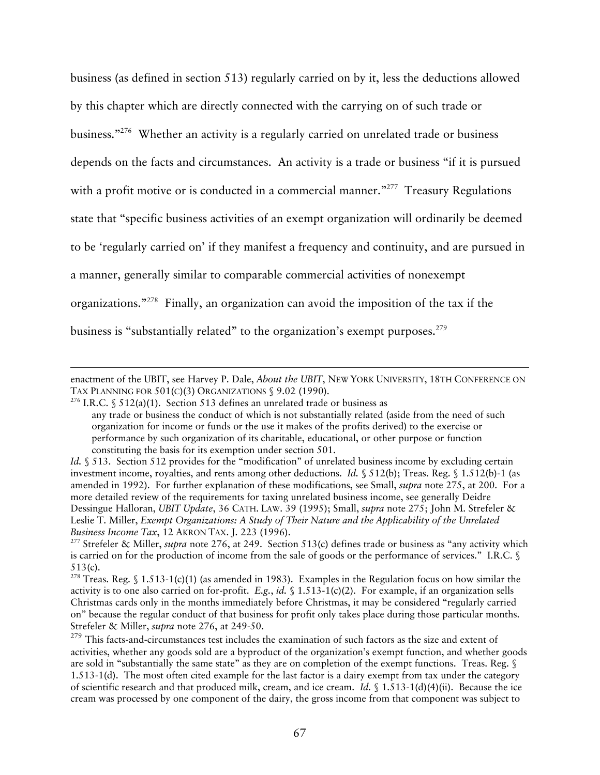business (as defined in section 513) regularly carried on by it, less the deductions allowed by this chapter which are directly connected with the carrying on of such trade or business."<sup>276</sup> Whether an activity is a regularly carried on unrelated trade or business depends on the facts and circumstances. An activity is a trade or business "if it is pursued with a profit motive or is conducted in a commercial manner."<sup>277</sup> Treasury Regulations state that "specific business activities of an exempt organization will ordinarily be deemed to be 'regularly carried on' if they manifest a frequency and continuity, and are pursued in a manner, generally similar to comparable commercial activities of nonexempt organizations."278 Finally, an organization can avoid the imposition of the tax if the business is "substantially related" to the organization's exempt purposes.<sup>279</sup>

 $\overline{a}$ 

513(c).<br><sup>278</sup> Treas. Reg. § 1.513-1(c)(1) (as amended in 1983). Examples in the Regulation focus on how similar the activity is to one also carried on for-profit. *E.g.*, *id.*  $\int$  1.513-1(c)(2). For example, if an organization sells Christmas cards only in the months immediately before Christmas, it may be considered "regularly carried on" because the regular conduct of that business for profit only takes place during those particular months. Strefeler & Miller, *supra* note 276, at 249-50.

enactment of the UBIT, see Harvey P. Dale, *About the UBIT*, NEW YORK UNIVERSITY, 18TH CONFERENCE ON TAX PLANNING FOR 501(C)(3) ORGANIZATIONS § 9.02 (1990).

<sup>&</sup>lt;sup>276</sup> I.R.C. § 512(a)(1). Section 513 defines an unrelated trade or business as any trade or business the conduct of which is not substantially related (aside from the need of such organization for income or funds or the use it makes of the profits derived) to the exercise or performance by such organization of its charitable, educational, or other purpose or function constituting the basis for its exemption under section 501.

*Id.* § 513. Section 512 provides for the "modification" of unrelated business income by excluding certain investment income, royalties, and rents among other deductions. *Id.* § 512(b); Treas. Reg. § 1.512(b)-1 (as amended in 1992). For further explanation of these modifications, see Small, *supra* note 275, at 200. For a more detailed review of the requirements for taxing unrelated business income, see generally Deidre Dessingue Halloran, *UBIT Update*, 36 CATH. LAW. 39 (1995); Small, *supra* note 275; John M. Strefeler & Leslie T. Miller, *Exempt Organizations: A Study of Their Nature and the Applicability of the Unrelated* 

<sup>&</sup>lt;sup>277</sup> Strefeler & Miller, *supra* note 276, at 249. Section 513(c) defines trade or business as "any activity which is carried on for the production of income from the sale of goods or the performance of services." I.R.C. §

<sup>&</sup>lt;sup>279</sup> This facts-and-circumstances test includes the examination of such factors as the size and extent of activities, whether any goods sold are a byproduct of the organization's exempt function, and whether goods are sold in "substantially the same state" as they are on completion of the exempt functions. Treas. Reg. § 1.513-1(d). The most often cited example for the last factor is a dairy exempt from tax under the category of scientific research and that produced milk, cream, and ice cream. *Id.* § 1.513-1(d)(4)(ii). Because the ice cream was processed by one component of the dairy, the gross income from that component was subject to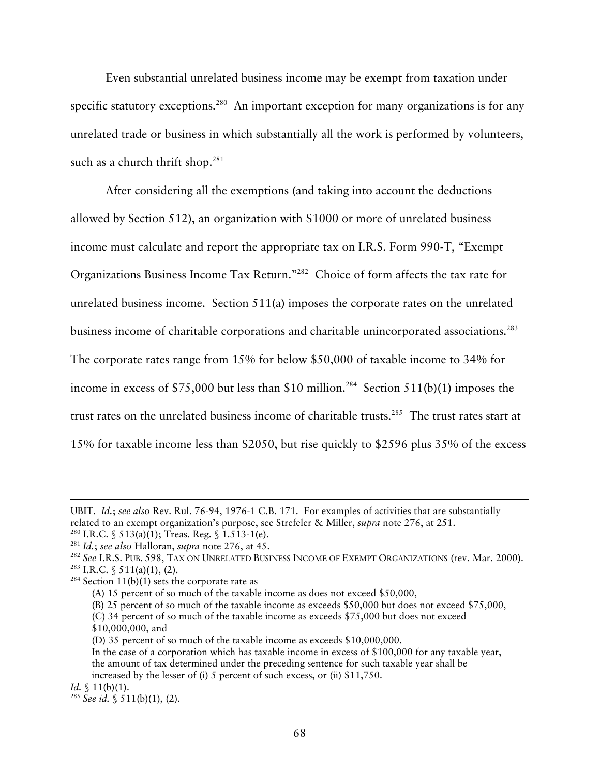Even substantial unrelated business income may be exempt from taxation under specific statutory exceptions.<sup>280</sup> An important exception for many organizations is for any unrelated trade or business in which substantially all the work is performed by volunteers, such as a church thrift shop. $281$ 

After considering all the exemptions (and taking into account the deductions allowed by Section 512), an organization with \$1000 or more of unrelated business income must calculate and report the appropriate tax on I.R.S. Form 990-T, "Exempt Organizations Business Income Tax Return."282 Choice of form affects the tax rate for unrelated business income. Section 511(a) imposes the corporate rates on the unrelated business income of charitable corporations and charitable unincorporated associations.<sup>283</sup> The corporate rates range from 15% for below \$50,000 of taxable income to 34% for income in excess of \$75,000 but less than \$10 million.<sup>284</sup> Section 511(b)(1) imposes the trust rates on the unrelated business income of charitable trusts.<sup>285</sup> The trust rates start at 15% for taxable income less than \$2050, but rise quickly to \$2596 plus 35% of the excess

-

UBIT. *Id.*; *see also* Rev. Rul. 76-94, 1976-1 C.B. 171. For examples of activities that are substantially

related to an exempt organization's purpose, see Strefeler & Miller, *supra* note 276, at 251.<br><sup>280</sup> I.R.C. § 513(a)(1); Treas. Reg. § 1.513-1(e).<br><sup>281</sup> Id.; *see also* Halloran, *supra* note 276, at 45.<br><sup>282</sup> See I.R.S.

<sup>(</sup>A) 15 percent of so much of the taxable income as does not exceed \$50,000,

<sup>(</sup>B) 25 percent of so much of the taxable income as exceeds \$50,000 but does not exceed \$75,000,

<sup>(</sup>C) 34 percent of so much of the taxable income as exceeds \$75,000 but does not exceed \$10,000,000, and

<sup>(</sup>D) 35 percent of so much of the taxable income as exceeds \$10,000,000.

In the case of a corporation which has taxable income in excess of \$100,000 for any taxable year, the amount of tax determined under the preceding sentence for such taxable year shall be increased by the lesser of (i) 5 percent of such excess, or (ii) \$11,750.

*Id.*  $\{11(b)(1).$ 

<sup>285</sup> *See id.* § 511(b)(1), (2).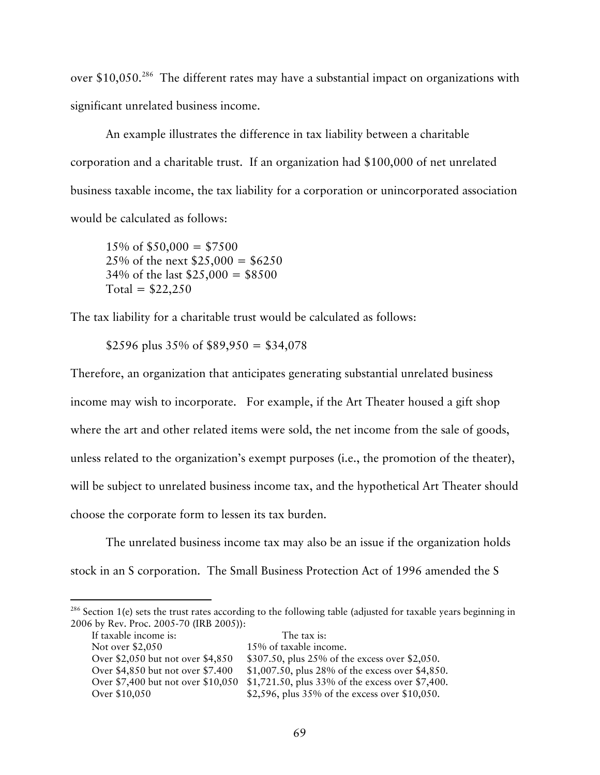over \$10,050<sup>286</sup> The different rates may have a substantial impact on organizations with significant unrelated business income.

An example illustrates the difference in tax liability between a charitable corporation and a charitable trust. If an organization had \$100,000 of net unrelated business taxable income, the tax liability for a corporation or unincorporated association would be calculated as follows:

 $15\% \text{ of } $50,000 = $7500$ 25% of the next  $$25,000 = $6250$  $34\%$  of the last  $$25,000 = $8500$  $Total = $22,250$ 

The tax liability for a charitable trust would be calculated as follows:

\$2596 plus  $35\%$  of \$89,950 = \$34,078

Therefore, an organization that anticipates generating substantial unrelated business income may wish to incorporate. For example, if the Art Theater housed a gift shop where the art and other related items were sold, the net income from the sale of goods, unless related to the organization's exempt purposes (i.e., the promotion of the theater), will be subject to unrelated business income tax, and the hypothetical Art Theater should choose the corporate form to lessen its tax burden.

The unrelated business income tax may also be an issue if the organization holds stock in an S corporation. The Small Business Protection Act of 1996 amended the S

<sup>&</sup>lt;sup>286</sup> Section 1(e) sets the trust rates according to the following table (adjusted for taxable years beginning in 2006 by Rev. Proc. 2005-70 (IRB 2005)):

| If taxable income is:              | The tax is:                                      |
|------------------------------------|--------------------------------------------------|
| Not over \$2,050                   | 15% of taxable income.                           |
| Over \$2,050 but not over \$4,850  | \$307.50, plus 25% of the excess over \$2,050.   |
| Over \$4,850 but not over \$7.400  | \$1,007.50, plus 28% of the excess over \$4,850. |
| Over \$7,400 but not over \$10,050 | \$1,721.50, plus 33% of the excess over \$7,400. |
| Over \$10,050                      | \$2,596, plus 35% of the excess over \$10,050.   |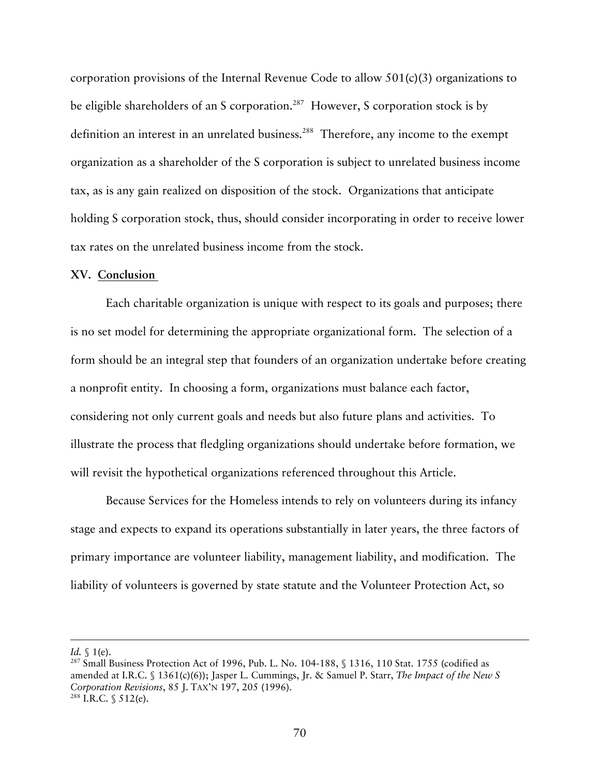corporation provisions of the Internal Revenue Code to allow 501(c)(3) organizations to be eligible shareholders of an S corporation.<sup>287</sup> However, S corporation stock is by definition an interest in an unrelated business. 288 Therefore, any income to the exempt organization as a shareholder of the S corporation is subject to unrelated business income tax, as is any gain realized on disposition of the stock. Organizations that anticipate holding S corporation stock, thus, should consider incorporating in order to receive lower tax rates on the unrelated business income from the stock.

## **XV. Conclusion**

Each charitable organization is unique with respect to its goals and purposes; there is no set model for determining the appropriate organizational form. The selection of a form should be an integral step that founders of an organization undertake before creating a nonprofit entity. In choosing a form, organizations must balance each factor, considering not only current goals and needs but also future plans and activities. To illustrate the process that fledgling organizations should undertake before formation, we will revisit the hypothetical organizations referenced throughout this Article.

Because Services for the Homeless intends to rely on volunteers during its infancy stage and expects to expand its operations substantially in later years, the three factors of primary importance are volunteer liability, management liability, and modification. The liability of volunteers is governed by state statute and the Volunteer Protection Act, so

-

*Id.* § 1(e).<br><sup>287</sup> Small Business Protection Act of 1996, Pub. L. No. 104-188, § 1316, 110 Stat. 1755 (codified as amended at I.R.C. § 1361(c)(6)); Jasper L. Cummings, Jr. & Samuel P. Starr, *The Impact of the New S Corporation Revisions*, 85 J. TAX'N 197, 205 (1996). 288 I.R.C. § 512(e).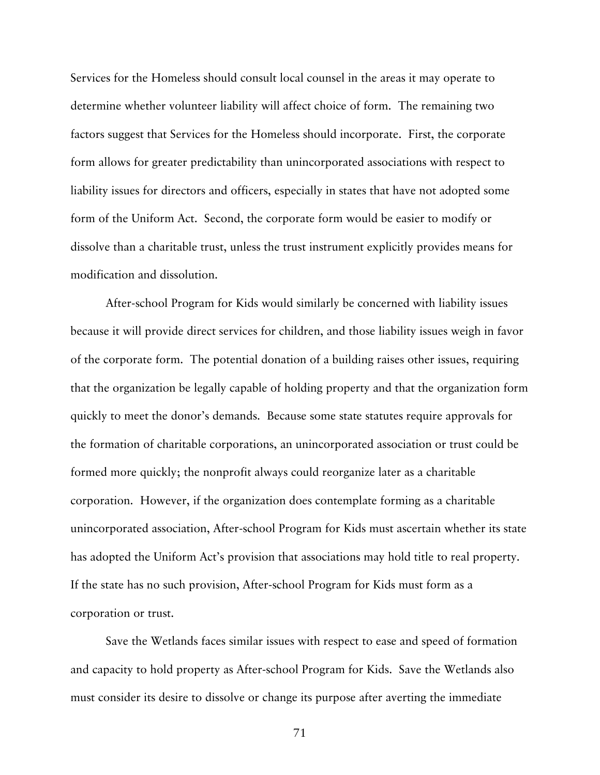Services for the Homeless should consult local counsel in the areas it may operate to determine whether volunteer liability will affect choice of form. The remaining two factors suggest that Services for the Homeless should incorporate. First, the corporate form allows for greater predictability than unincorporated associations with respect to liability issues for directors and officers, especially in states that have not adopted some form of the Uniform Act. Second, the corporate form would be easier to modify or dissolve than a charitable trust, unless the trust instrument explicitly provides means for modification and dissolution.

After-school Program for Kids would similarly be concerned with liability issues because it will provide direct services for children, and those liability issues weigh in favor of the corporate form. The potential donation of a building raises other issues, requiring that the organization be legally capable of holding property and that the organization form quickly to meet the donor's demands. Because some state statutes require approvals for the formation of charitable corporations, an unincorporated association or trust could be formed more quickly; the nonprofit always could reorganize later as a charitable corporation. However, if the organization does contemplate forming as a charitable unincorporated association, After-school Program for Kids must ascertain whether its state has adopted the Uniform Act's provision that associations may hold title to real property. If the state has no such provision, After-school Program for Kids must form as a corporation or trust.

Save the Wetlands faces similar issues with respect to ease and speed of formation and capacity to hold property as After-school Program for Kids. Save the Wetlands also must consider its desire to dissolve or change its purpose after averting the immediate

71